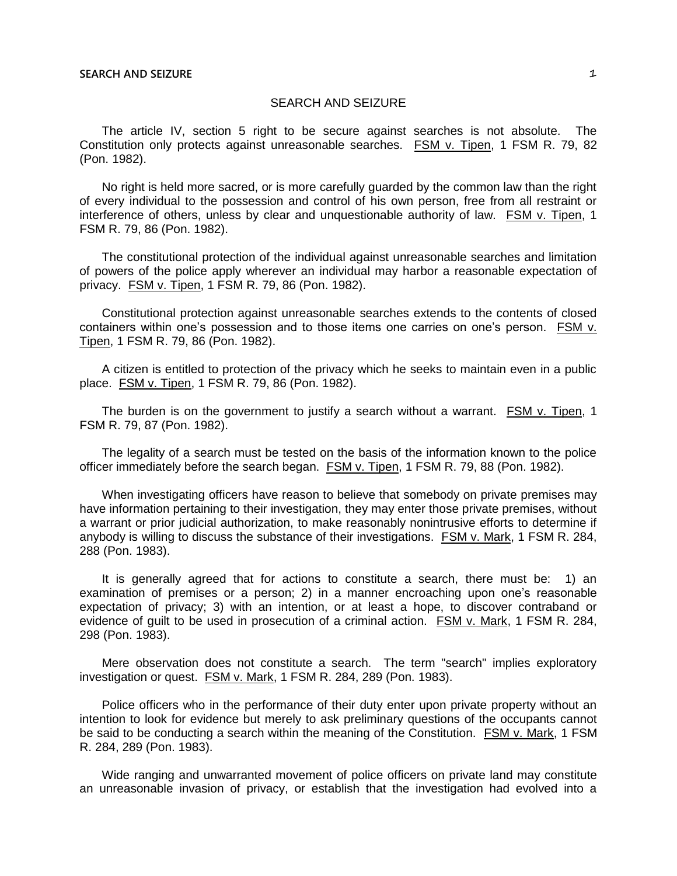The article IV, section 5 right to be secure against searches is not absolute. The Constitution only protects against unreasonable searches. FSM v. Tipen, 1 FSM R. 79, 82 (Pon. 1982).

No right is held more sacred, or is more carefully guarded by the common law than the right of every individual to the possession and control of his own person, free from all restraint or interference of others, unless by clear and unquestionable authority of law. FSM v. Tipen, 1 FSM R. 79, 86 (Pon. 1982).

The constitutional protection of the individual against unreasonable searches and limitation of powers of the police apply wherever an individual may harbor a reasonable expectation of privacy. FSM v. Tipen, 1 FSM R. 79, 86 (Pon. 1982).

Constitutional protection against unreasonable searches extends to the contents of closed containers within one's possession and to those items one carries on one's person. FSM v. Tipen, 1 FSM R. 79, 86 (Pon. 1982).

A citizen is entitled to protection of the privacy which he seeks to maintain even in a public place. FSM v. Tipen, 1 FSM R. 79, 86 (Pon. 1982).

The burden is on the government to justify a search without a warrant. FSM v. Tipen, 1 FSM R. 79, 87 (Pon. 1982).

The legality of a search must be tested on the basis of the information known to the police officer immediately before the search began. FSM v. Tipen, 1 FSM R. 79, 88 (Pon. 1982).

When investigating officers have reason to believe that somebody on private premises may have information pertaining to their investigation, they may enter those private premises, without a warrant or prior judicial authorization, to make reasonably nonintrusive efforts to determine if anybody is willing to discuss the substance of their investigations. FSM v. Mark, 1 FSM R. 284, 288 (Pon. 1983).

It is generally agreed that for actions to constitute a search, there must be: 1) an examination of premises or a person; 2) in a manner encroaching upon one's reasonable expectation of privacy; 3) with an intention, or at least a hope, to discover contraband or evidence of guilt to be used in prosecution of a criminal action. FSM v. Mark, 1 FSM R. 284, 298 (Pon. 1983).

Mere observation does not constitute a search. The term "search" implies exploratory investigation or quest. FSM v. Mark, 1 FSM R. 284, 289 (Pon. 1983).

Police officers who in the performance of their duty enter upon private property without an intention to look for evidence but merely to ask preliminary questions of the occupants cannot be said to be conducting a search within the meaning of the Constitution. FSM v. Mark, 1 FSM R. 284, 289 (Pon. 1983).

Wide ranging and unwarranted movement of police officers on private land may constitute an unreasonable invasion of privacy, or establish that the investigation had evolved into a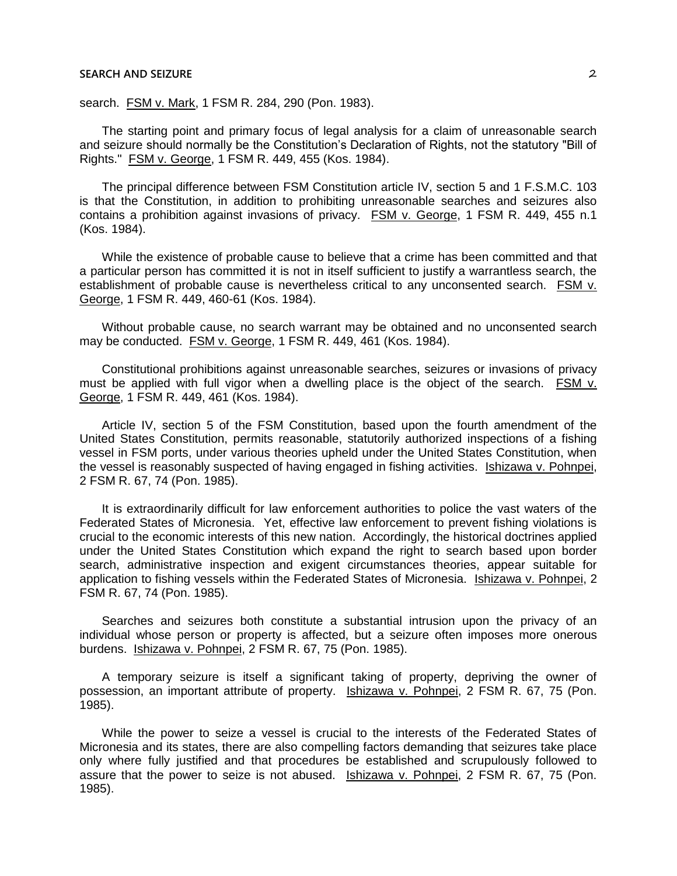search. FSM v. Mark, 1 FSM R. 284, 290 (Pon. 1983).

The starting point and primary focus of legal analysis for a claim of unreasonable search and seizure should normally be the Constitution's Declaration of Rights, not the statutory "Bill of Rights." FSM v. George, 1 FSM R. 449, 455 (Kos. 1984).

The principal difference between FSM Constitution article IV, section 5 and 1 F.S.M.C. 103 is that the Constitution, in addition to prohibiting unreasonable searches and seizures also contains a prohibition against invasions of privacy. FSM v. George, 1 FSM R. 449, 455 n.1 (Kos. 1984).

While the existence of probable cause to believe that a crime has been committed and that a particular person has committed it is not in itself sufficient to justify a warrantless search, the establishment of probable cause is nevertheless critical to any unconsented search. FSM v. George, 1 FSM R. 449, 460-61 (Kos. 1984).

Without probable cause, no search warrant may be obtained and no unconsented search may be conducted. FSM v. George, 1 FSM R. 449, 461 (Kos. 1984).

Constitutional prohibitions against unreasonable searches, seizures or invasions of privacy must be applied with full vigor when a dwelling place is the object of the search.  $FSM v$ . George, 1 FSM R. 449, 461 (Kos. 1984).

Article IV, section 5 of the FSM Constitution, based upon the fourth amendment of the United States Constitution, permits reasonable, statutorily authorized inspections of a fishing vessel in FSM ports, under various theories upheld under the United States Constitution, when the vessel is reasonably suspected of having engaged in fishing activities. Ishizawa v. Pohnpei, 2 FSM R. 67, 74 (Pon. 1985).

It is extraordinarily difficult for law enforcement authorities to police the vast waters of the Federated States of Micronesia. Yet, effective law enforcement to prevent fishing violations is crucial to the economic interests of this new nation. Accordingly, the historical doctrines applied under the United States Constitution which expand the right to search based upon border search, administrative inspection and exigent circumstances theories, appear suitable for application to fishing vessels within the Federated States of Micronesia. Ishizawa v. Pohnpei, 2 FSM R. 67, 74 (Pon. 1985).

Searches and seizures both constitute a substantial intrusion upon the privacy of an individual whose person or property is affected, but a seizure often imposes more onerous burdens. Ishizawa v. Pohnpei, 2 FSM R. 67, 75 (Pon. 1985).

A temporary seizure is itself a significant taking of property, depriving the owner of possession, an important attribute of property. Ishizawa v. Pohnpei, 2 FSM R. 67, 75 (Pon. 1985).

While the power to seize a vessel is crucial to the interests of the Federated States of Micronesia and its states, there are also compelling factors demanding that seizures take place only where fully justified and that procedures be established and scrupulously followed to assure that the power to seize is not abused. Ishizawa v. Pohnpei, 2 FSM R. 67, 75 (Pon. 1985).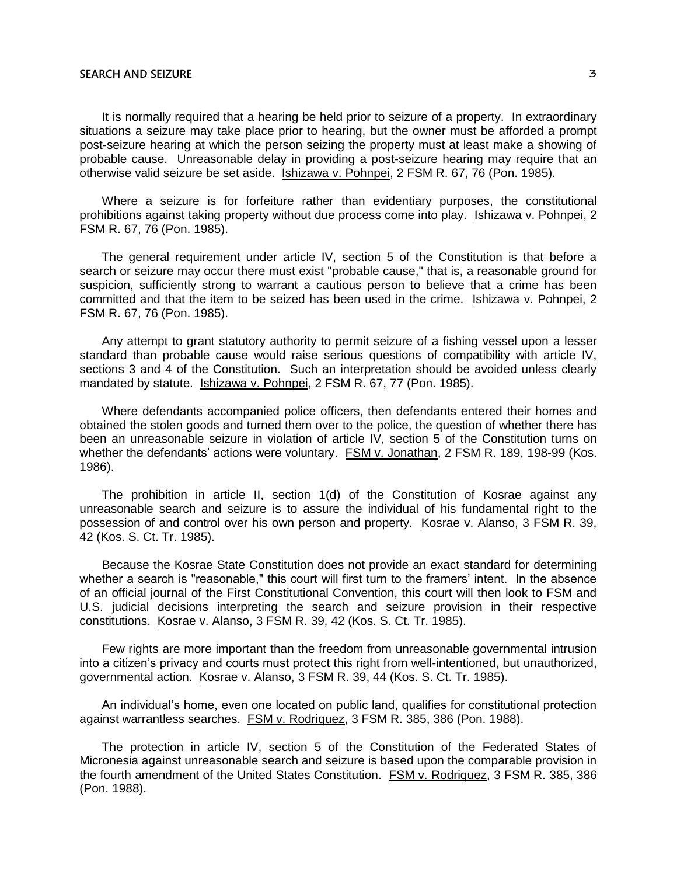It is normally required that a hearing be held prior to seizure of a property. In extraordinary situations a seizure may take place prior to hearing, but the owner must be afforded a prompt post-seizure hearing at which the person seizing the property must at least make a showing of probable cause. Unreasonable delay in providing a post-seizure hearing may require that an otherwise valid seizure be set aside. Ishizawa v. Pohnpei, 2 FSM R. 67, 76 (Pon. 1985).

Where a seizure is for forfeiture rather than evidentiary purposes, the constitutional prohibitions against taking property without due process come into play. Ishizawa v. Pohnpei, 2 FSM R. 67, 76 (Pon. 1985).

The general requirement under article IV, section 5 of the Constitution is that before a search or seizure may occur there must exist "probable cause," that is, a reasonable ground for suspicion, sufficiently strong to warrant a cautious person to believe that a crime has been committed and that the item to be seized has been used in the crime. Ishizawa v. Pohnpei, 2 FSM R. 67, 76 (Pon. 1985).

Any attempt to grant statutory authority to permit seizure of a fishing vessel upon a lesser standard than probable cause would raise serious questions of compatibility with article IV, sections 3 and 4 of the Constitution. Such an interpretation should be avoided unless clearly mandated by statute. Ishizawa v. Pohnpei, 2 FSM R. 67, 77 (Pon. 1985).

Where defendants accompanied police officers, then defendants entered their homes and obtained the stolen goods and turned them over to the police, the question of whether there has been an unreasonable seizure in violation of article IV, section 5 of the Constitution turns on whether the defendants' actions were voluntary. **FSM v. Jonathan, 2 FSM R. 189, 198-99 (Kos.** 1986).

The prohibition in article II, section 1(d) of the Constitution of Kosrae against any unreasonable search and seizure is to assure the individual of his fundamental right to the possession of and control over his own person and property. Kosrae v. Alanso, 3 FSM R. 39, 42 (Kos. S. Ct. Tr. 1985).

Because the Kosrae State Constitution does not provide an exact standard for determining whether a search is "reasonable," this court will first turn to the framers' intent. In the absence of an official journal of the First Constitutional Convention, this court will then look to FSM and U.S. judicial decisions interpreting the search and seizure provision in their respective constitutions. Kosrae v. Alanso, 3 FSM R. 39, 42 (Kos. S. Ct. Tr. 1985).

Few rights are more important than the freedom from unreasonable governmental intrusion into a citizen's privacy and courts must protect this right from well-intentioned, but unauthorized, governmental action. Kosrae v. Alanso, 3 FSM R. 39, 44 (Kos. S. Ct. Tr. 1985).

An individual's home, even one located on public land, qualifies for constitutional protection against warrantless searches. FSM v. Rodriquez, 3 FSM R. 385, 386 (Pon. 1988).

The protection in article IV, section 5 of the Constitution of the Federated States of Micronesia against unreasonable search and seizure is based upon the comparable provision in the fourth amendment of the United States Constitution. FSM v. Rodriquez, 3 FSM R. 385, 386 (Pon. 1988).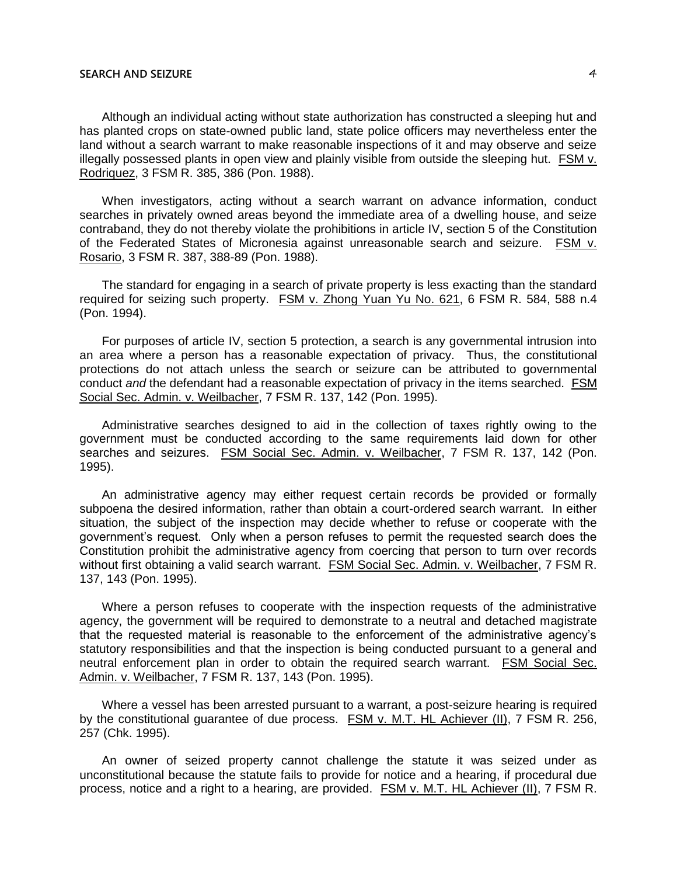Although an individual acting without state authorization has constructed a sleeping hut and has planted crops on state-owned public land, state police officers may nevertheless enter the land without a search warrant to make reasonable inspections of it and may observe and seize illegally possessed plants in open view and plainly visible from outside the sleeping hut. FSM v. Rodriquez, 3 FSM R. 385, 386 (Pon. 1988).

When investigators, acting without a search warrant on advance information, conduct searches in privately owned areas beyond the immediate area of a dwelling house, and seize contraband, they do not thereby violate the prohibitions in article IV, section 5 of the Constitution of the Federated States of Micronesia against unreasonable search and seizure. FSM v. Rosario, 3 FSM R. 387, 388-89 (Pon. 1988).

The standard for engaging in a search of private property is less exacting than the standard required for seizing such property. FSM v. Zhong Yuan Yu No. 621, 6 FSM R. 584, 588 n.4 (Pon. 1994).

For purposes of article IV, section 5 protection, a search is any governmental intrusion into an area where a person has a reasonable expectation of privacy. Thus, the constitutional protections do not attach unless the search or seizure can be attributed to governmental conduct *and* the defendant had a reasonable expectation of privacy in the items searched. FSM Social Sec. Admin. v. Weilbacher, 7 FSM R. 137, 142 (Pon. 1995).

Administrative searches designed to aid in the collection of taxes rightly owing to the government must be conducted according to the same requirements laid down for other searches and seizures. FSM Social Sec. Admin. v. Weilbacher, 7 FSM R. 137, 142 (Pon. 1995).

An administrative agency may either request certain records be provided or formally subpoena the desired information, rather than obtain a court-ordered search warrant. In either situation, the subject of the inspection may decide whether to refuse or cooperate with the government's request. Only when a person refuses to permit the requested search does the Constitution prohibit the administrative agency from coercing that person to turn over records without first obtaining a valid search warrant. FSM Social Sec. Admin. v. Weilbacher, 7 FSM R. 137, 143 (Pon. 1995).

Where a person refuses to cooperate with the inspection requests of the administrative agency, the government will be required to demonstrate to a neutral and detached magistrate that the requested material is reasonable to the enforcement of the administrative agency's statutory responsibilities and that the inspection is being conducted pursuant to a general and neutral enforcement plan in order to obtain the required search warrant. FSM Social Sec. Admin. v. Weilbacher, 7 FSM R. 137, 143 (Pon. 1995).

Where a vessel has been arrested pursuant to a warrant, a post-seizure hearing is required by the constitutional guarantee of due process. FSM v. M.T. HL Achiever (II), 7 FSM R. 256, 257 (Chk. 1995).

An owner of seized property cannot challenge the statute it was seized under as unconstitutional because the statute fails to provide for notice and a hearing, if procedural due process, notice and a right to a hearing, are provided. FSM v. M.T. HL Achiever (II), 7 FSM R.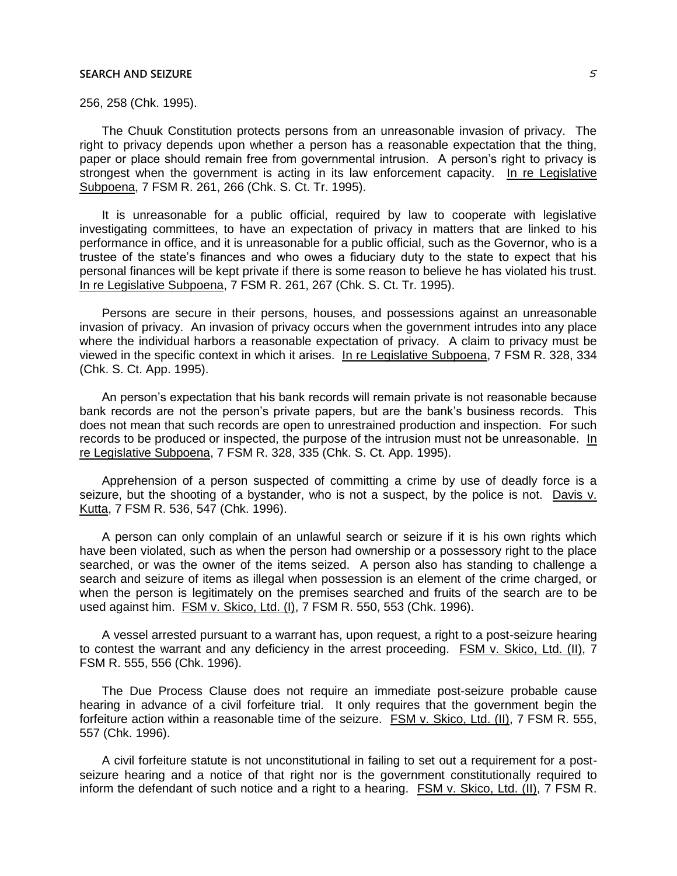256, 258 (Chk. 1995).

The Chuuk Constitution protects persons from an unreasonable invasion of privacy. The right to privacy depends upon whether a person has a reasonable expectation that the thing, paper or place should remain free from governmental intrusion. A person's right to privacy is strongest when the government is acting in its law enforcement capacity. In re Legislative Subpoena, 7 FSM R. 261, 266 (Chk. S. Ct. Tr. 1995).

It is unreasonable for a public official, required by law to cooperate with legislative investigating committees, to have an expectation of privacy in matters that are linked to his performance in office, and it is unreasonable for a public official, such as the Governor, who is a trustee of the state's finances and who owes a fiduciary duty to the state to expect that his personal finances will be kept private if there is some reason to believe he has violated his trust. In re Legislative Subpoena, 7 FSM R. 261, 267 (Chk. S. Ct. Tr. 1995).

Persons are secure in their persons, houses, and possessions against an unreasonable invasion of privacy. An invasion of privacy occurs when the government intrudes into any place where the individual harbors a reasonable expectation of privacy. A claim to privacy must be viewed in the specific context in which it arises. In re Legislative Subpoena, 7 FSM R. 328, 334 (Chk. S. Ct. App. 1995).

An person's expectation that his bank records will remain private is not reasonable because bank records are not the person's private papers, but are the bank's business records. This does not mean that such records are open to unrestrained production and inspection. For such records to be produced or inspected, the purpose of the intrusion must not be unreasonable. In re Legislative Subpoena, 7 FSM R. 328, 335 (Chk. S. Ct. App. 1995).

Apprehension of a person suspected of committing a crime by use of deadly force is a seizure, but the shooting of a bystander, who is not a suspect, by the police is not. Davis v. Kutta, 7 FSM R. 536, 547 (Chk. 1996).

A person can only complain of an unlawful search or seizure if it is his own rights which have been violated, such as when the person had ownership or a possessory right to the place searched, or was the owner of the items seized. A person also has standing to challenge a search and seizure of items as illegal when possession is an element of the crime charged, or when the person is legitimately on the premises searched and fruits of the search are to be used against him. FSM v. Skico, Ltd. (I), 7 FSM R. 550, 553 (Chk. 1996).

A vessel arrested pursuant to a warrant has, upon request, a right to a post-seizure hearing to contest the warrant and any deficiency in the arrest proceeding. FSM v. Skico, Ltd. (II), 7 FSM R. 555, 556 (Chk. 1996).

The Due Process Clause does not require an immediate post-seizure probable cause hearing in advance of a civil forfeiture trial. It only requires that the government begin the forfeiture action within a reasonable time of the seizure. FSM v. Skico, Ltd. (II), 7 FSM R. 555, 557 (Chk. 1996).

A civil forfeiture statute is not unconstitutional in failing to set out a requirement for a postseizure hearing and a notice of that right nor is the government constitutionally required to inform the defendant of such notice and a right to a hearing. FSM v. Skico, Ltd. (II), 7 FSM R.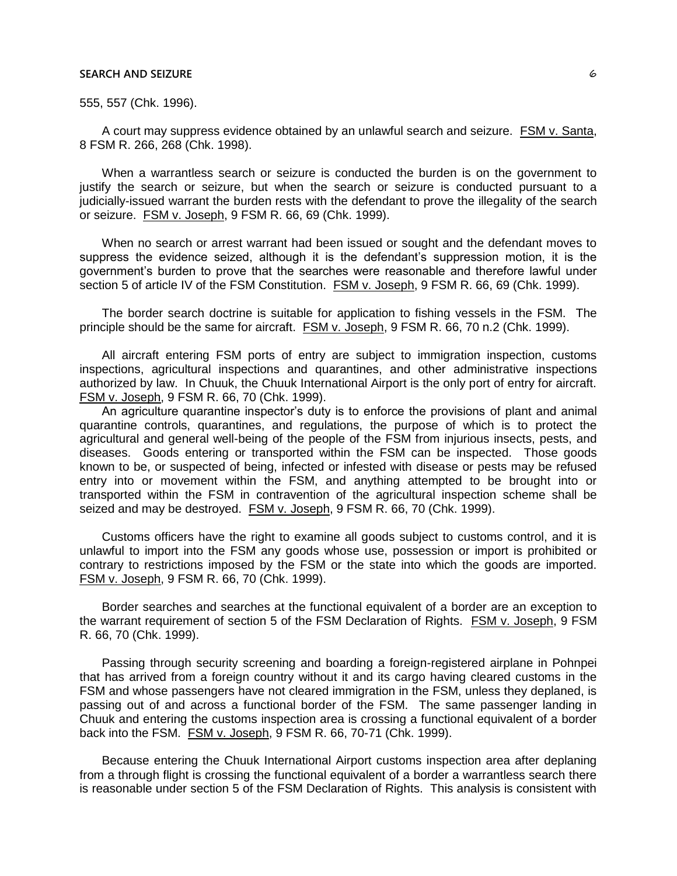555, 557 (Chk. 1996).

A court may suppress evidence obtained by an unlawful search and seizure. FSM v. Santa, 8 FSM R. 266, 268 (Chk. 1998).

When a warrantless search or seizure is conducted the burden is on the government to justify the search or seizure, but when the search or seizure is conducted pursuant to a judicially-issued warrant the burden rests with the defendant to prove the illegality of the search or seizure. FSM v. Joseph, 9 FSM R. 66, 69 (Chk. 1999).

When no search or arrest warrant had been issued or sought and the defendant moves to suppress the evidence seized, although it is the defendant's suppression motion, it is the government's burden to prove that the searches were reasonable and therefore lawful under section 5 of article IV of the FSM Constitution. FSM v. Joseph, 9 FSM R. 66, 69 (Chk. 1999).

The border search doctrine is suitable for application to fishing vessels in the FSM. The principle should be the same for aircraft. FSM v. Joseph, 9 FSM R. 66, 70 n.2 (Chk. 1999).

All aircraft entering FSM ports of entry are subject to immigration inspection, customs inspections, agricultural inspections and quarantines, and other administrative inspections authorized by law. In Chuuk, the Chuuk International Airport is the only port of entry for aircraft. FSM v. Joseph, 9 FSM R. 66, 70 (Chk. 1999).

An agriculture quarantine inspector's duty is to enforce the provisions of plant and animal quarantine controls, quarantines, and regulations, the purpose of which is to protect the agricultural and general well-being of the people of the FSM from injurious insects, pests, and diseases. Goods entering or transported within the FSM can be inspected. Those goods known to be, or suspected of being, infected or infested with disease or pests may be refused entry into or movement within the FSM, and anything attempted to be brought into or transported within the FSM in contravention of the agricultural inspection scheme shall be seized and may be destroyed. FSM v. Joseph, 9 FSM R. 66, 70 (Chk. 1999).

Customs officers have the right to examine all goods subject to customs control, and it is unlawful to import into the FSM any goods whose use, possession or import is prohibited or contrary to restrictions imposed by the FSM or the state into which the goods are imported. FSM v. Joseph, 9 FSM R. 66, 70 (Chk. 1999).

Border searches and searches at the functional equivalent of a border are an exception to the warrant requirement of section 5 of the FSM Declaration of Rights. FSM v. Joseph, 9 FSM R. 66, 70 (Chk. 1999).

Passing through security screening and boarding a foreign-registered airplane in Pohnpei that has arrived from a foreign country without it and its cargo having cleared customs in the FSM and whose passengers have not cleared immigration in the FSM, unless they deplaned, is passing out of and across a functional border of the FSM. The same passenger landing in Chuuk and entering the customs inspection area is crossing a functional equivalent of a border back into the FSM. FSM v. Joseph, 9 FSM R. 66, 70-71 (Chk. 1999).

Because entering the Chuuk International Airport customs inspection area after deplaning from a through flight is crossing the functional equivalent of a border a warrantless search there is reasonable under section 5 of the FSM Declaration of Rights. This analysis is consistent with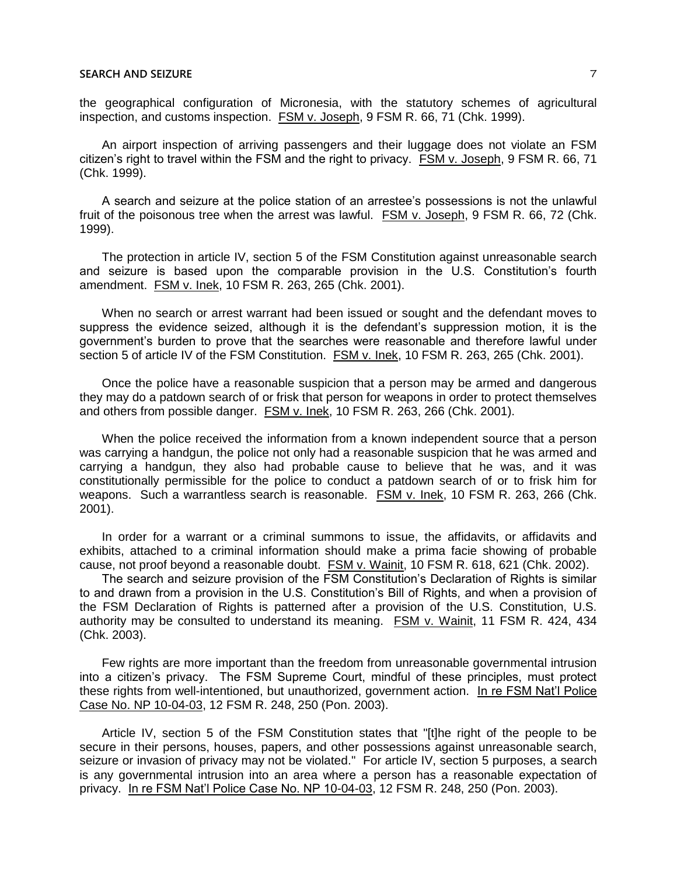the geographical configuration of Micronesia, with the statutory schemes of agricultural inspection, and customs inspection. FSM v. Joseph, 9 FSM R. 66, 71 (Chk. 1999).

An airport inspection of arriving passengers and their luggage does not violate an FSM citizen's right to travel within the FSM and the right to privacy. FSM v. Joseph, 9 FSM R. 66, 71 (Chk. 1999).

A search and seizure at the police station of an arrestee's possessions is not the unlawful fruit of the poisonous tree when the arrest was lawful. FSM v. Joseph, 9 FSM R. 66, 72 (Chk. 1999).

The protection in article IV, section 5 of the FSM Constitution against unreasonable search and seizure is based upon the comparable provision in the U.S. Constitution's fourth amendment. FSM v. Inek, 10 FSM R. 263, 265 (Chk. 2001).

When no search or arrest warrant had been issued or sought and the defendant moves to suppress the evidence seized, although it is the defendant's suppression motion, it is the government's burden to prove that the searches were reasonable and therefore lawful under section 5 of article IV of the FSM Constitution. FSM v. Inek, 10 FSM R. 263, 265 (Chk. 2001).

Once the police have a reasonable suspicion that a person may be armed and dangerous they may do a patdown search of or frisk that person for weapons in order to protect themselves and others from possible danger. FSM v. Inek, 10 FSM R. 263, 266 (Chk. 2001).

When the police received the information from a known independent source that a person was carrying a handgun, the police not only had a reasonable suspicion that he was armed and carrying a handgun, they also had probable cause to believe that he was, and it was constitutionally permissible for the police to conduct a patdown search of or to frisk him for weapons. Such a warrantless search is reasonable. FSM v. Inek, 10 FSM R. 263, 266 (Chk. 2001).

In order for a warrant or a criminal summons to issue, the affidavits, or affidavits and exhibits, attached to a criminal information should make a prima facie showing of probable cause, not proof beyond a reasonable doubt. FSM v. Wainit, 10 FSM R. 618, 621 (Chk. 2002).

The search and seizure provision of the FSM Constitution's Declaration of Rights is similar to and drawn from a provision in the U.S. Constitution's Bill of Rights, and when a provision of the FSM Declaration of Rights is patterned after a provision of the U.S. Constitution, U.S. authority may be consulted to understand its meaning. FSM v. Wainit, 11 FSM R. 424, 434 (Chk. 2003).

Few rights are more important than the freedom from unreasonable governmental intrusion into a citizen's privacy. The FSM Supreme Court, mindful of these principles, must protect these rights from well-intentioned, but unauthorized, government action. In re FSM Nat'l Police Case No. NP 10-04-03, 12 FSM R. 248, 250 (Pon. 2003).

Article IV, section 5 of the FSM Constitution states that "[t]he right of the people to be secure in their persons, houses, papers, and other possessions against unreasonable search, seizure or invasion of privacy may not be violated." For article IV, section 5 purposes, a search is any governmental intrusion into an area where a person has a reasonable expectation of privacy. In re FSM Nat'l Police Case No. NP 10-04-03, 12 FSM R. 248, 250 (Pon. 2003).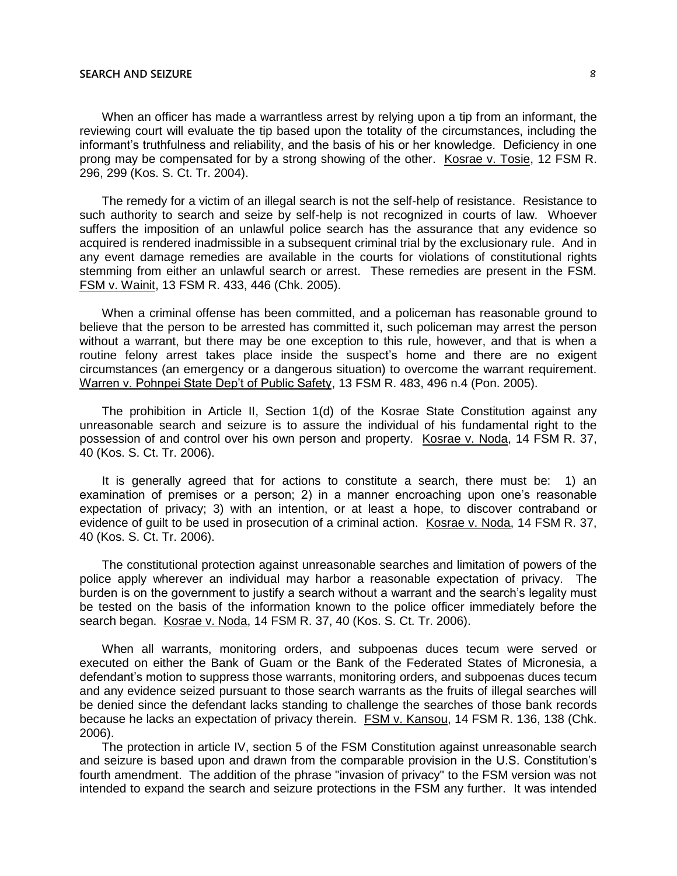When an officer has made a warrantless arrest by relying upon a tip from an informant, the reviewing court will evaluate the tip based upon the totality of the circumstances, including the informant's truthfulness and reliability, and the basis of his or her knowledge. Deficiency in one prong may be compensated for by a strong showing of the other. Kosrae v. Tosie, 12 FSM R. 296, 299 (Kos. S. Ct. Tr. 2004).

The remedy for a victim of an illegal search is not the self-help of resistance. Resistance to such authority to search and seize by self-help is not recognized in courts of law. Whoever suffers the imposition of an unlawful police search has the assurance that any evidence so acquired is rendered inadmissible in a subsequent criminal trial by the exclusionary rule. And in any event damage remedies are available in the courts for violations of constitutional rights stemming from either an unlawful search or arrest. These remedies are present in the FSM. FSM v. Wainit, 13 FSM R. 433, 446 (Chk. 2005).

When a criminal offense has been committed, and a policeman has reasonable ground to believe that the person to be arrested has committed it, such policeman may arrest the person without a warrant, but there may be one exception to this rule, however, and that is when a routine felony arrest takes place inside the suspect's home and there are no exigent circumstances (an emergency or a dangerous situation) to overcome the warrant requirement. Warren v. Pohnpei State Dep't of Public Safety, 13 FSM R. 483, 496 n.4 (Pon. 2005).

The prohibition in Article II, Section 1(d) of the Kosrae State Constitution against any unreasonable search and seizure is to assure the individual of his fundamental right to the possession of and control over his own person and property. Kosrae v. Noda, 14 FSM R. 37, 40 (Kos. S. Ct. Tr. 2006).

It is generally agreed that for actions to constitute a search, there must be: 1) an examination of premises or a person; 2) in a manner encroaching upon one's reasonable expectation of privacy; 3) with an intention, or at least a hope, to discover contraband or evidence of guilt to be used in prosecution of a criminal action. Kosrae v. Noda, 14 FSM R. 37, 40 (Kos. S. Ct. Tr. 2006).

The constitutional protection against unreasonable searches and limitation of powers of the police apply wherever an individual may harbor a reasonable expectation of privacy. The burden is on the government to justify a search without a warrant and the search's legality must be tested on the basis of the information known to the police officer immediately before the search began. Kosrae v. Noda, 14 FSM R. 37, 40 (Kos. S. Ct. Tr. 2006).

When all warrants, monitoring orders, and subpoenas duces tecum were served or executed on either the Bank of Guam or the Bank of the Federated States of Micronesia, a defendant's motion to suppress those warrants, monitoring orders, and subpoenas duces tecum and any evidence seized pursuant to those search warrants as the fruits of illegal searches will be denied since the defendant lacks standing to challenge the searches of those bank records because he lacks an expectation of privacy therein. FSM v. Kansou, 14 FSM R. 136, 138 (Chk. 2006).

The protection in article IV, section 5 of the FSM Constitution against unreasonable search and seizure is based upon and drawn from the comparable provision in the U.S. Constitution's fourth amendment. The addition of the phrase "invasion of privacy" to the FSM version was not intended to expand the search and seizure protections in the FSM any further. It was intended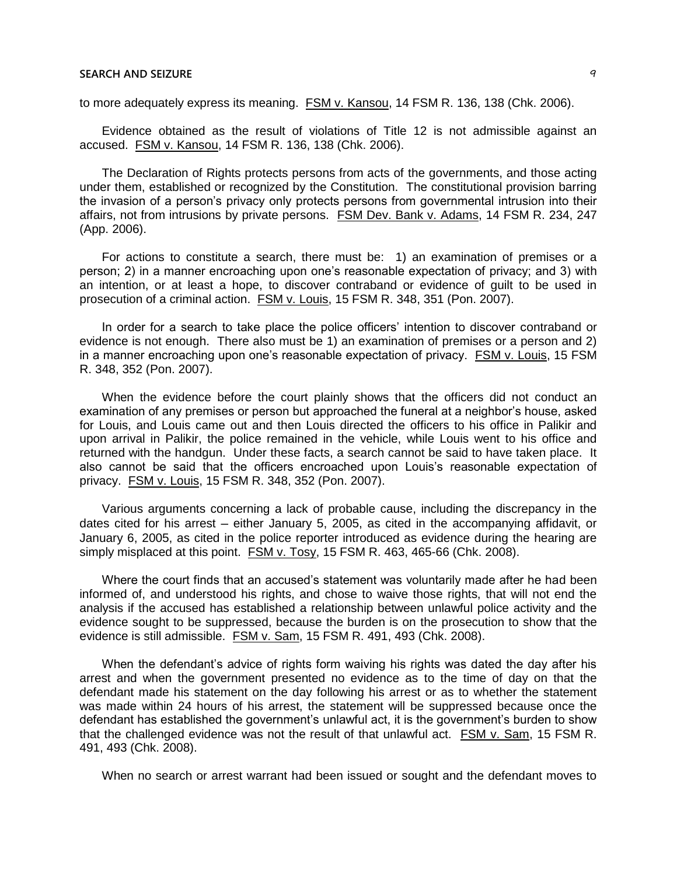to more adequately express its meaning. FSM v. Kansou, 14 FSM R. 136, 138 (Chk. 2006).

Evidence obtained as the result of violations of Title 12 is not admissible against an accused. FSM v. Kansou, 14 FSM R. 136, 138 (Chk. 2006).

The Declaration of Rights protects persons from acts of the governments, and those acting under them, established or recognized by the Constitution. The constitutional provision barring the invasion of a person's privacy only protects persons from governmental intrusion into their affairs, not from intrusions by private persons. FSM Dev. Bank v. Adams, 14 FSM R. 234, 247 (App. 2006).

For actions to constitute a search, there must be: 1) an examination of premises or a person; 2) in a manner encroaching upon one's reasonable expectation of privacy; and 3) with an intention, or at least a hope, to discover contraband or evidence of guilt to be used in prosecution of a criminal action. FSM v. Louis, 15 FSM R. 348, 351 (Pon. 2007).

In order for a search to take place the police officers' intention to discover contraband or evidence is not enough. There also must be 1) an examination of premises or a person and 2) in a manner encroaching upon one's reasonable expectation of privacy. FSM v. Louis, 15 FSM R. 348, 352 (Pon. 2007).

When the evidence before the court plainly shows that the officers did not conduct an examination of any premises or person but approached the funeral at a neighbor's house, asked for Louis, and Louis came out and then Louis directed the officers to his office in Palikir and upon arrival in Palikir, the police remained in the vehicle, while Louis went to his office and returned with the handgun. Under these facts, a search cannot be said to have taken place. It also cannot be said that the officers encroached upon Louis's reasonable expectation of privacy. FSM v. Louis, 15 FSM R. 348, 352 (Pon. 2007).

Various arguments concerning a lack of probable cause, including the discrepancy in the dates cited for his arrest – either January 5, 2005, as cited in the accompanying affidavit, or January 6, 2005, as cited in the police reporter introduced as evidence during the hearing are simply misplaced at this point. FSM v. Tosy, 15 FSM R. 463, 465-66 (Chk. 2008).

Where the court finds that an accused's statement was voluntarily made after he had been informed of, and understood his rights, and chose to waive those rights, that will not end the analysis if the accused has established a relationship between unlawful police activity and the evidence sought to be suppressed, because the burden is on the prosecution to show that the evidence is still admissible. FSM v. Sam, 15 FSM R. 491, 493 (Chk. 2008).

When the defendant's advice of rights form waiving his rights was dated the day after his arrest and when the government presented no evidence as to the time of day on that the defendant made his statement on the day following his arrest or as to whether the statement was made within 24 hours of his arrest, the statement will be suppressed because once the defendant has established the government's unlawful act, it is the government's burden to show that the challenged evidence was not the result of that unlawful act. FSM v. Sam, 15 FSM R. 491, 493 (Chk. 2008).

When no search or arrest warrant had been issued or sought and the defendant moves to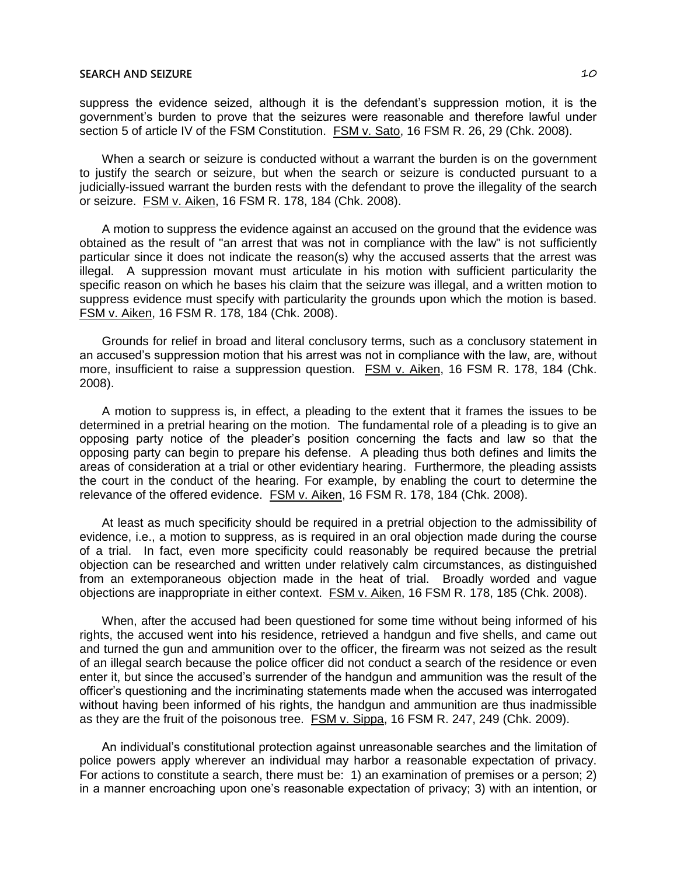suppress the evidence seized, although it is the defendant's suppression motion, it is the government's burden to prove that the seizures were reasonable and therefore lawful under section 5 of article IV of the FSM Constitution. FSM v. Sato, 16 FSM R. 26, 29 (Chk. 2008).

When a search or seizure is conducted without a warrant the burden is on the government to justify the search or seizure, but when the search or seizure is conducted pursuant to a judicially-issued warrant the burden rests with the defendant to prove the illegality of the search or seizure. FSM v. Aiken, 16 FSM R. 178, 184 (Chk. 2008).

A motion to suppress the evidence against an accused on the ground that the evidence was obtained as the result of "an arrest that was not in compliance with the law" is not sufficiently particular since it does not indicate the reason(s) why the accused asserts that the arrest was illegal. A suppression movant must articulate in his motion with sufficient particularity the specific reason on which he bases his claim that the seizure was illegal, and a written motion to suppress evidence must specify with particularity the grounds upon which the motion is based. FSM v. Aiken, 16 FSM R. 178, 184 (Chk. 2008).

Grounds for relief in broad and literal conclusory terms, such as a conclusory statement in an accused's suppression motion that his arrest was not in compliance with the law, are, without more, insufficient to raise a suppression question. FSM v. Aiken, 16 FSM R. 178, 184 (Chk. 2008).

A motion to suppress is, in effect, a pleading to the extent that it frames the issues to be determined in a pretrial hearing on the motion. The fundamental role of a pleading is to give an opposing party notice of the pleader's position concerning the facts and law so that the opposing party can begin to prepare his defense. A pleading thus both defines and limits the areas of consideration at a trial or other evidentiary hearing. Furthermore, the pleading assists the court in the conduct of the hearing. For example, by enabling the court to determine the relevance of the offered evidence. FSM v. Aiken, 16 FSM R. 178, 184 (Chk. 2008).

At least as much specificity should be required in a pretrial objection to the admissibility of evidence, i.e., a motion to suppress, as is required in an oral objection made during the course of a trial. In fact, even more specificity could reasonably be required because the pretrial objection can be researched and written under relatively calm circumstances, as distinguished from an extemporaneous objection made in the heat of trial. Broadly worded and vague objections are inappropriate in either context. FSM v. Aiken, 16 FSM R. 178, 185 (Chk. 2008).

When, after the accused had been questioned for some time without being informed of his rights, the accused went into his residence, retrieved a handgun and five shells, and came out and turned the gun and ammunition over to the officer, the firearm was not seized as the result of an illegal search because the police officer did not conduct a search of the residence or even enter it, but since the accused's surrender of the handgun and ammunition was the result of the officer's questioning and the incriminating statements made when the accused was interrogated without having been informed of his rights, the handgun and ammunition are thus inadmissible as they are the fruit of the poisonous tree. FSM v. Sippa, 16 FSM R. 247, 249 (Chk. 2009).

An individual's constitutional protection against unreasonable searches and the limitation of police powers apply wherever an individual may harbor a reasonable expectation of privacy. For actions to constitute a search, there must be: 1) an examination of premises or a person; 2) in a manner encroaching upon one's reasonable expectation of privacy; 3) with an intention, or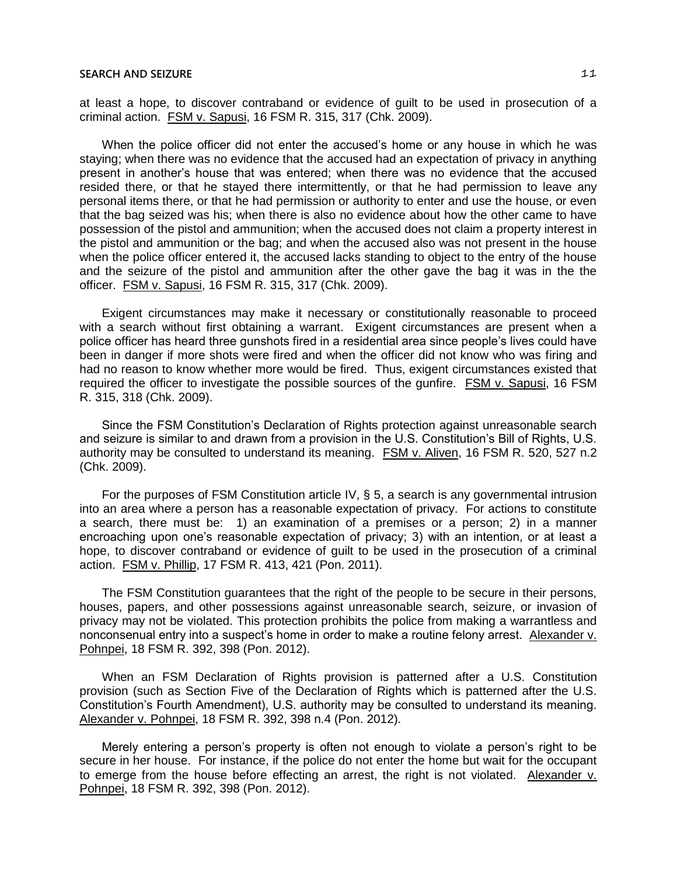at least a hope, to discover contraband or evidence of guilt to be used in prosecution of a criminal action. FSM v. Sapusi, 16 FSM R. 315, 317 (Chk. 2009).

When the police officer did not enter the accused's home or any house in which he was staying; when there was no evidence that the accused had an expectation of privacy in anything present in another's house that was entered; when there was no evidence that the accused resided there, or that he stayed there intermittently, or that he had permission to leave any personal items there, or that he had permission or authority to enter and use the house, or even that the bag seized was his; when there is also no evidence about how the other came to have possession of the pistol and ammunition; when the accused does not claim a property interest in the pistol and ammunition or the bag; and when the accused also was not present in the house when the police officer entered it, the accused lacks standing to object to the entry of the house and the seizure of the pistol and ammunition after the other gave the bag it was in the the officer. FSM v. Sapusi, 16 FSM R. 315, 317 (Chk. 2009).

Exigent circumstances may make it necessary or constitutionally reasonable to proceed with a search without first obtaining a warrant. Exigent circumstances are present when a police officer has heard three gunshots fired in a residential area since people's lives could have been in danger if more shots were fired and when the officer did not know who was firing and had no reason to know whether more would be fired. Thus, exigent circumstances existed that required the officer to investigate the possible sources of the gunfire. FSM v. Sapusi, 16 FSM R. 315, 318 (Chk. 2009).

Since the FSM Constitution's Declaration of Rights protection against unreasonable search and seizure is similar to and drawn from a provision in the U.S. Constitution's Bill of Rights, U.S. authority may be consulted to understand its meaning. FSM v. Aliven, 16 FSM R. 520, 527 n.2 (Chk. 2009).

For the purposes of FSM Constitution article IV, § 5, a search is any governmental intrusion into an area where a person has a reasonable expectation of privacy. For actions to constitute a search, there must be: 1) an examination of a premises or a person; 2) in a manner encroaching upon one's reasonable expectation of privacy; 3) with an intention, or at least a hope, to discover contraband or evidence of guilt to be used in the prosecution of a criminal action. FSM v. Phillip, 17 FSM R. 413, 421 (Pon. 2011).

The FSM Constitution guarantees that the right of the people to be secure in their persons, houses, papers, and other possessions against unreasonable search, seizure, or invasion of privacy may not be violated. This protection prohibits the police from making a warrantless and nonconsenual entry into a suspect's home in order to make a routine felony arrest. Alexander v. Pohnpei, 18 FSM R. 392, 398 (Pon. 2012).

When an FSM Declaration of Rights provision is patterned after a U.S. Constitution provision (such as Section Five of the Declaration of Rights which is patterned after the U.S. Constitution's Fourth Amendment), U.S. authority may be consulted to understand its meaning. Alexander v. Pohnpei, 18 FSM R. 392, 398 n.4 (Pon. 2012).

Merely entering a person's property is often not enough to violate a person's right to be secure in her house. For instance, if the police do not enter the home but wait for the occupant to emerge from the house before effecting an arrest, the right is not violated. Alexander v. Pohnpei, 18 FSM R. 392, 398 (Pon. 2012).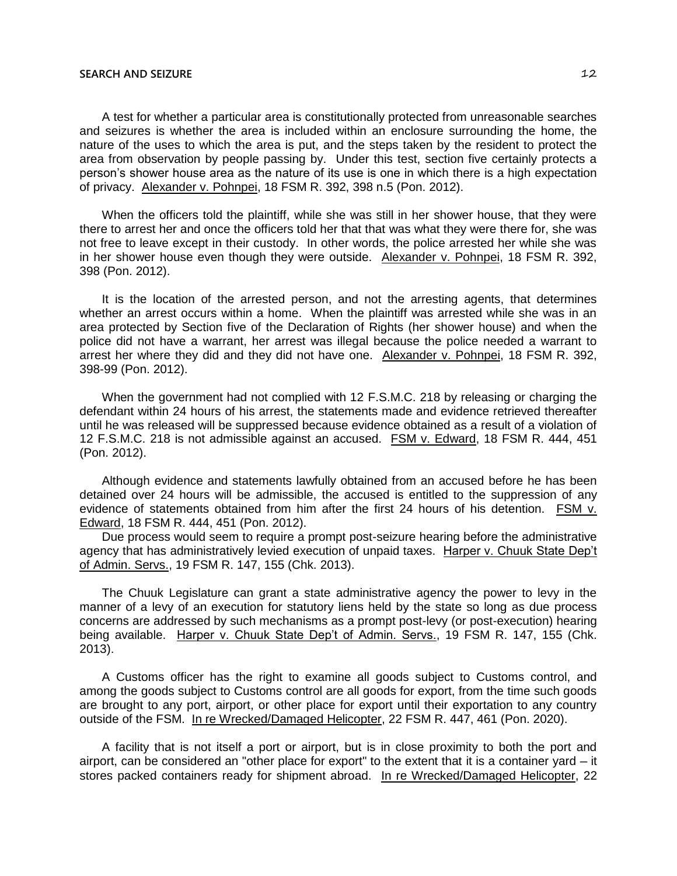A test for whether a particular area is constitutionally protected from unreasonable searches and seizures is whether the area is included within an enclosure surrounding the home, the nature of the uses to which the area is put, and the steps taken by the resident to protect the area from observation by people passing by. Under this test, section five certainly protects a person's shower house area as the nature of its use is one in which there is a high expectation of privacy. Alexander v. Pohnpei, 18 FSM R. 392, 398 n.5 (Pon. 2012).

When the officers told the plaintiff, while she was still in her shower house, that they were there to arrest her and once the officers told her that that was what they were there for, she was not free to leave except in their custody. In other words, the police arrested her while she was in her shower house even though they were outside. Alexander v. Pohnpei, 18 FSM R. 392, 398 (Pon. 2012).

It is the location of the arrested person, and not the arresting agents, that determines whether an arrest occurs within a home. When the plaintiff was arrested while she was in an area protected by Section five of the Declaration of Rights (her shower house) and when the police did not have a warrant, her arrest was illegal because the police needed a warrant to arrest her where they did and they did not have one. Alexander v. Pohnpei, 18 FSM R. 392, 398-99 (Pon. 2012).

When the government had not complied with 12 F.S.M.C. 218 by releasing or charging the defendant within 24 hours of his arrest, the statements made and evidence retrieved thereafter until he was released will be suppressed because evidence obtained as a result of a violation of 12 F.S.M.C. 218 is not admissible against an accused. FSM v. Edward, 18 FSM R. 444, 451 (Pon. 2012).

Although evidence and statements lawfully obtained from an accused before he has been detained over 24 hours will be admissible, the accused is entitled to the suppression of any evidence of statements obtained from him after the first 24 hours of his detention. FSM v. Edward, 18 FSM R. 444, 451 (Pon. 2012).

Due process would seem to require a prompt post-seizure hearing before the administrative agency that has administratively levied execution of unpaid taxes. Harper v. Chuuk State Dep't of Admin. Servs., 19 FSM R. 147, 155 (Chk. 2013).

The Chuuk Legislature can grant a state administrative agency the power to levy in the manner of a levy of an execution for statutory liens held by the state so long as due process concerns are addressed by such mechanisms as a prompt post-levy (or post-execution) hearing being available. Harper v. Chuuk State Dep't of Admin. Servs., 19 FSM R. 147, 155 (Chk. 2013).

A Customs officer has the right to examine all goods subject to Customs control, and among the goods subject to Customs control are all goods for export, from the time such goods are brought to any port, airport, or other place for export until their exportation to any country outside of the FSM. In re Wrecked/Damaged Helicopter, 22 FSM R. 447, 461 (Pon. 2020).

A facility that is not itself a port or airport, but is in close proximity to both the port and airport, can be considered an "other place for export" to the extent that it is a container yard — it stores packed containers ready for shipment abroad. In re Wrecked/Damaged Helicopter, 22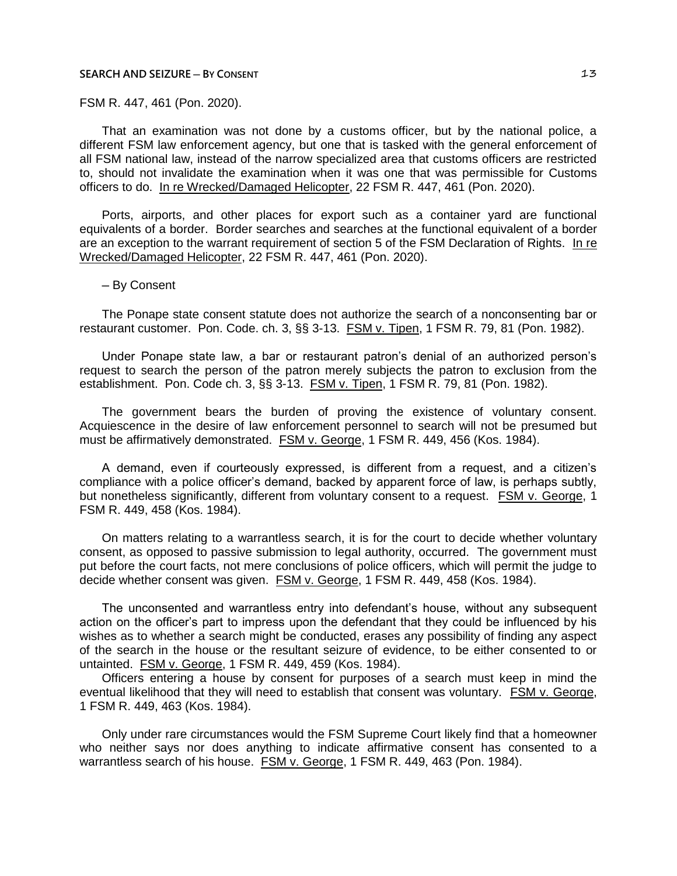FSM R. 447, 461 (Pon. 2020).

That an examination was not done by a customs officer, but by the national police, a different FSM law enforcement agency, but one that is tasked with the general enforcement of all FSM national law, instead of the narrow specialized area that customs officers are restricted to, should not invalidate the examination when it was one that was permissible for Customs officers to do. In re Wrecked/Damaged Helicopter, 22 FSM R. 447, 461 (Pon. 2020).

Ports, airports, and other places for export such as a container yard are functional equivalents of a border. Border searches and searches at the functional equivalent of a border are an exception to the warrant requirement of section 5 of the FSM Declaration of Rights. In re Wrecked/Damaged Helicopter, 22 FSM R. 447, 461 (Pon. 2020).

─ By Consent

The Ponape state consent statute does not authorize the search of a nonconsenting bar or restaurant customer. Pon. Code. ch. 3, §§ 3-13. FSM v. Tipen, 1 FSM R. 79, 81 (Pon. 1982).

Under Ponape state law, a bar or restaurant patron's denial of an authorized person's request to search the person of the patron merely subjects the patron to exclusion from the establishment. Pon. Code ch. 3, §§ 3-13. FSM v. Tipen, 1 FSM R. 79, 81 (Pon. 1982).

The government bears the burden of proving the existence of voluntary consent. Acquiescence in the desire of law enforcement personnel to search will not be presumed but must be affirmatively demonstrated. FSM v. George, 1 FSM R. 449, 456 (Kos. 1984).

A demand, even if courteously expressed, is different from a request, and a citizen's compliance with a police officer's demand, backed by apparent force of law, is perhaps subtly, but nonetheless significantly, different from voluntary consent to a request. FSM v. George, 1 FSM R. 449, 458 (Kos. 1984).

On matters relating to a warrantless search, it is for the court to decide whether voluntary consent, as opposed to passive submission to legal authority, occurred. The government must put before the court facts, not mere conclusions of police officers, which will permit the judge to decide whether consent was given. FSM v. George, 1 FSM R. 449, 458 (Kos. 1984).

The unconsented and warrantless entry into defendant's house, without any subsequent action on the officer's part to impress upon the defendant that they could be influenced by his wishes as to whether a search might be conducted, erases any possibility of finding any aspect of the search in the house or the resultant seizure of evidence, to be either consented to or untainted. FSM v. George, 1 FSM R. 449, 459 (Kos. 1984).

Officers entering a house by consent for purposes of a search must keep in mind the eventual likelihood that they will need to establish that consent was voluntary. FSM v. George, 1 FSM R. 449, 463 (Kos. 1984).

Only under rare circumstances would the FSM Supreme Court likely find that a homeowner who neither says nor does anything to indicate affirmative consent has consented to a warrantless search of his house. FSM v. George, 1 FSM R. 449, 463 (Pon. 1984).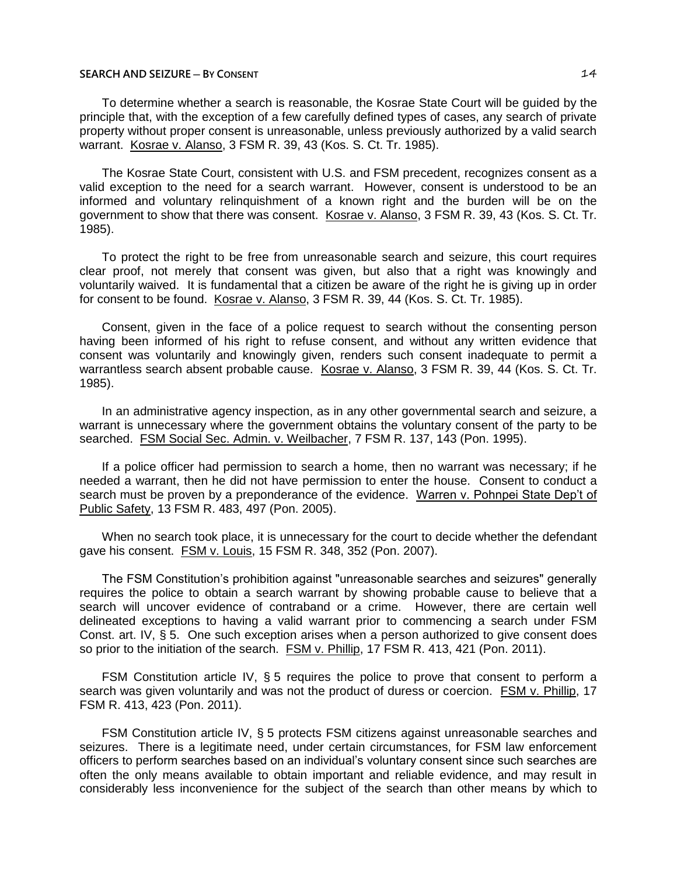To determine whether a search is reasonable, the Kosrae State Court will be guided by the principle that, with the exception of a few carefully defined types of cases, any search of private property without proper consent is unreasonable, unless previously authorized by a valid search warrant. Kosrae v. Alanso, 3 FSM R. 39, 43 (Kos. S. Ct. Tr. 1985).

The Kosrae State Court, consistent with U.S. and FSM precedent, recognizes consent as a valid exception to the need for a search warrant. However, consent is understood to be an informed and voluntary relinquishment of a known right and the burden will be on the government to show that there was consent. Kosrae v. Alanso, 3 FSM R. 39, 43 (Kos. S. Ct. Tr. 1985).

To protect the right to be free from unreasonable search and seizure, this court requires clear proof, not merely that consent was given, but also that a right was knowingly and voluntarily waived. It is fundamental that a citizen be aware of the right he is giving up in order for consent to be found. Kosrae v. Alanso, 3 FSM R. 39, 44 (Kos. S. Ct. Tr. 1985).

Consent, given in the face of a police request to search without the consenting person having been informed of his right to refuse consent, and without any written evidence that consent was voluntarily and knowingly given, renders such consent inadequate to permit a warrantless search absent probable cause. Kosrae v. Alanso, 3 FSM R. 39, 44 (Kos. S. Ct. Tr. 1985).

In an administrative agency inspection, as in any other governmental search and seizure, a warrant is unnecessary where the government obtains the voluntary consent of the party to be searched. FSM Social Sec. Admin. v. Weilbacher, 7 FSM R. 137, 143 (Pon. 1995).

If a police officer had permission to search a home, then no warrant was necessary; if he needed a warrant, then he did not have permission to enter the house. Consent to conduct a search must be proven by a preponderance of the evidence. Warren v. Pohnpei State Dep't of Public Safety, 13 FSM R. 483, 497 (Pon. 2005).

When no search took place, it is unnecessary for the court to decide whether the defendant gave his consent. FSM v. Louis, 15 FSM R. 348, 352 (Pon. 2007).

The FSM Constitution's prohibition against "unreasonable searches and seizures" generally requires the police to obtain a search warrant by showing probable cause to believe that a search will uncover evidence of contraband or a crime. However, there are certain well delineated exceptions to having a valid warrant prior to commencing a search under FSM Const. art. IV, § 5. One such exception arises when a person authorized to give consent does so prior to the initiation of the search. FSM v. Phillip, 17 FSM R. 413, 421 (Pon. 2011).

FSM Constitution article IV, § 5 requires the police to prove that consent to perform a search was given voluntarily and was not the product of duress or coercion. FSM v. Phillip, 17 FSM R. 413, 423 (Pon. 2011).

FSM Constitution article IV, § 5 protects FSM citizens against unreasonable searches and seizures. There is a legitimate need, under certain circumstances, for FSM law enforcement officers to perform searches based on an individual's voluntary consent since such searches are often the only means available to obtain important and reliable evidence, and may result in considerably less inconvenience for the subject of the search than other means by which to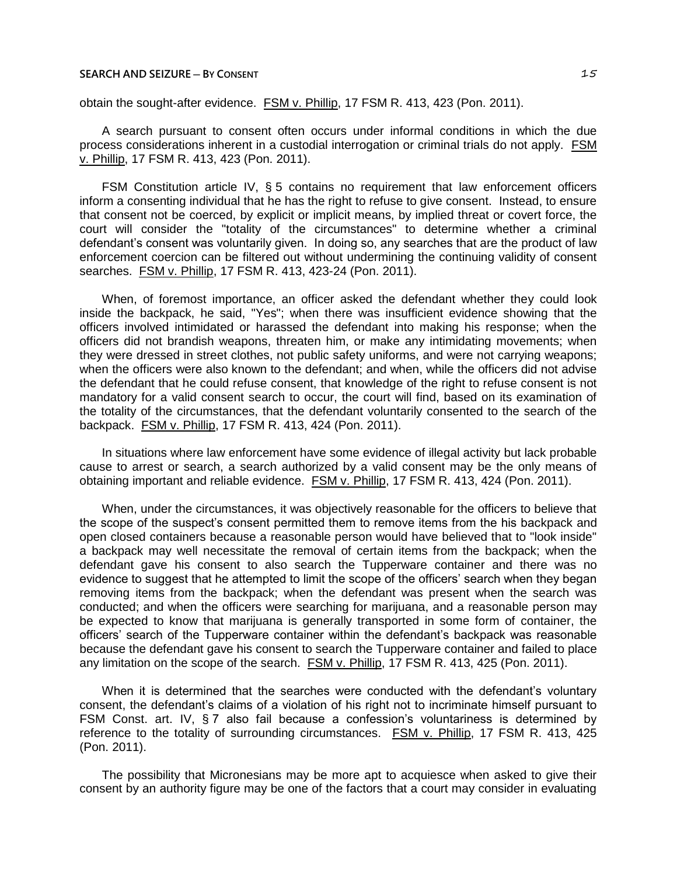obtain the sought-after evidence. FSM v. Phillip, 17 FSM R. 413, 423 (Pon. 2011).

A search pursuant to consent often occurs under informal conditions in which the due process considerations inherent in a custodial interrogation or criminal trials do not apply. FSM v. Phillip, 17 FSM R. 413, 423 (Pon. 2011).

FSM Constitution article IV, § 5 contains no requirement that law enforcement officers inform a consenting individual that he has the right to refuse to give consent. Instead, to ensure that consent not be coerced, by explicit or implicit means, by implied threat or covert force, the court will consider the "totality of the circumstances" to determine whether a criminal defendant's consent was voluntarily given. In doing so, any searches that are the product of law enforcement coercion can be filtered out without undermining the continuing validity of consent searches. FSM v. Phillip, 17 FSM R. 413, 423-24 (Pon. 2011).

When, of foremost importance, an officer asked the defendant whether they could look inside the backpack, he said, "Yes"; when there was insufficient evidence showing that the officers involved intimidated or harassed the defendant into making his response; when the officers did not brandish weapons, threaten him, or make any intimidating movements; when they were dressed in street clothes, not public safety uniforms, and were not carrying weapons; when the officers were also known to the defendant; and when, while the officers did not advise the defendant that he could refuse consent, that knowledge of the right to refuse consent is not mandatory for a valid consent search to occur, the court will find, based on its examination of the totality of the circumstances, that the defendant voluntarily consented to the search of the backpack. FSM v. Phillip, 17 FSM R. 413, 424 (Pon. 2011).

In situations where law enforcement have some evidence of illegal activity but lack probable cause to arrest or search, a search authorized by a valid consent may be the only means of obtaining important and reliable evidence. FSM v. Phillip, 17 FSM R. 413, 424 (Pon. 2011).

When, under the circumstances, it was objectively reasonable for the officers to believe that the scope of the suspect's consent permitted them to remove items from the his backpack and open closed containers because a reasonable person would have believed that to "look inside" a backpack may well necessitate the removal of certain items from the backpack; when the defendant gave his consent to also search the Tupperware container and there was no evidence to suggest that he attempted to limit the scope of the officers' search when they began removing items from the backpack; when the defendant was present when the search was conducted; and when the officers were searching for marijuana, and a reasonable person may be expected to know that marijuana is generally transported in some form of container, the officers' search of the Tupperware container within the defendant's backpack was reasonable because the defendant gave his consent to search the Tupperware container and failed to place any limitation on the scope of the search. FSM v. Phillip, 17 FSM R. 413, 425 (Pon. 2011).

When it is determined that the searches were conducted with the defendant's voluntary consent, the defendant's claims of a violation of his right not to incriminate himself pursuant to FSM Const. art. IV, § 7 also fail because a confession's voluntariness is determined by reference to the totality of surrounding circumstances. FSM v. Phillip, 17 FSM R. 413, 425 (Pon. 2011).

The possibility that Micronesians may be more apt to acquiesce when asked to give their consent by an authority figure may be one of the factors that a court may consider in evaluating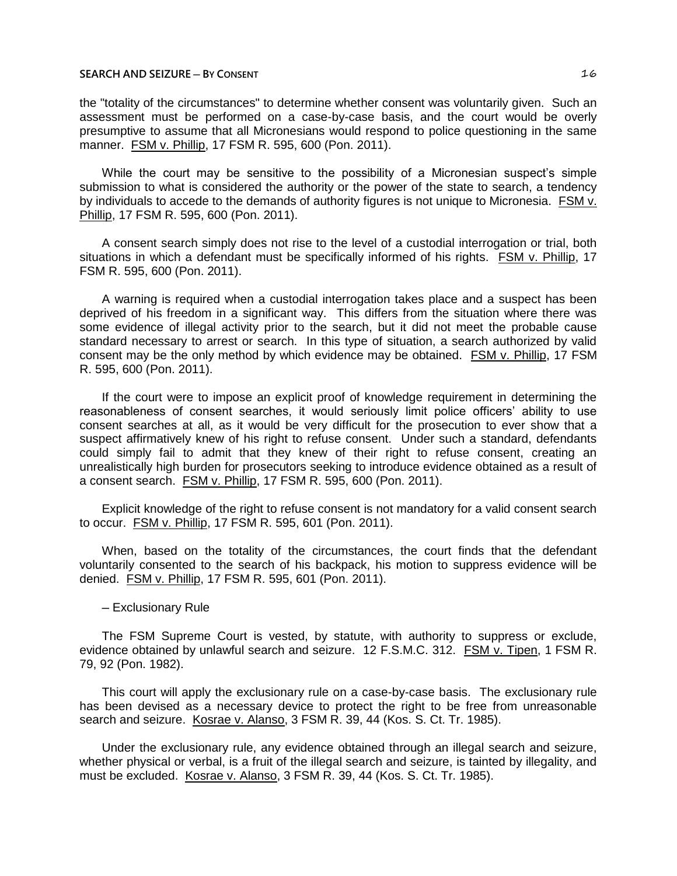the "totality of the circumstances" to determine whether consent was voluntarily given. Such an assessment must be performed on a case-by-case basis, and the court would be overly presumptive to assume that all Micronesians would respond to police questioning in the same manner. FSM v. Phillip, 17 FSM R. 595, 600 (Pon. 2011).

While the court may be sensitive to the possibility of a Micronesian suspect's simple submission to what is considered the authority or the power of the state to search, a tendency by individuals to accede to the demands of authority figures is not unique to Micronesia. FSM v. Phillip, 17 FSM R. 595, 600 (Pon. 2011).

A consent search simply does not rise to the level of a custodial interrogation or trial, both situations in which a defendant must be specifically informed of his rights. FSM v. Phillip, 17 FSM R. 595, 600 (Pon. 2011).

A warning is required when a custodial interrogation takes place and a suspect has been deprived of his freedom in a significant way. This differs from the situation where there was some evidence of illegal activity prior to the search, but it did not meet the probable cause standard necessary to arrest or search. In this type of situation, a search authorized by valid consent may be the only method by which evidence may be obtained. FSM v. Phillip, 17 FSM R. 595, 600 (Pon. 2011).

If the court were to impose an explicit proof of knowledge requirement in determining the reasonableness of consent searches, it would seriously limit police officers' ability to use consent searches at all, as it would be very difficult for the prosecution to ever show that a suspect affirmatively knew of his right to refuse consent. Under such a standard, defendants could simply fail to admit that they knew of their right to refuse consent, creating an unrealistically high burden for prosecutors seeking to introduce evidence obtained as a result of a consent search. FSM v. Phillip, 17 FSM R. 595, 600 (Pon. 2011).

Explicit knowledge of the right to refuse consent is not mandatory for a valid consent search to occur. FSM v. Phillip, 17 FSM R. 595, 601 (Pon. 2011).

When, based on the totality of the circumstances, the court finds that the defendant voluntarily consented to the search of his backpack, his motion to suppress evidence will be denied. FSM v. Phillip, 17 FSM R. 595, 601 (Pon. 2011).

#### ─ Exclusionary Rule

The FSM Supreme Court is vested, by statute, with authority to suppress or exclude, evidence obtained by unlawful search and seizure. 12 F.S.M.C. 312. FSM v. Tipen, 1 FSM R. 79, 92 (Pon. 1982).

This court will apply the exclusionary rule on a case-by-case basis. The exclusionary rule has been devised as a necessary device to protect the right to be free from unreasonable search and seizure. Kosrae v. Alanso, 3 FSM R. 39, 44 (Kos. S. Ct. Tr. 1985).

Under the exclusionary rule, any evidence obtained through an illegal search and seizure, whether physical or verbal, is a fruit of the illegal search and seizure, is tainted by illegality, and must be excluded. Kosrae v. Alanso, 3 FSM R. 39, 44 (Kos. S. Ct. Tr. 1985).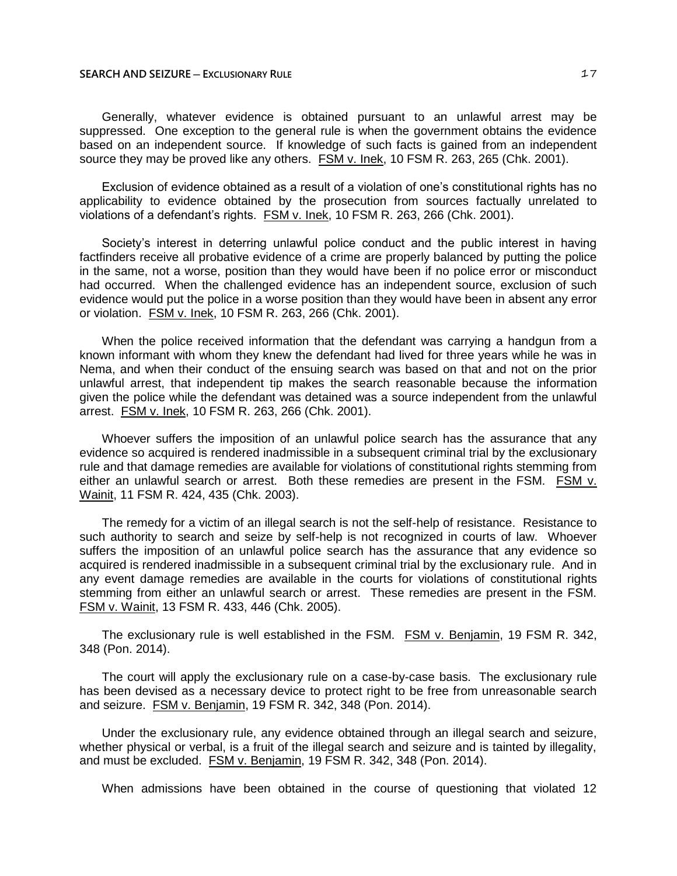#### **SEARCH AND SEIZURE ─ EXCLUSIONARY RULE** 17

Generally, whatever evidence is obtained pursuant to an unlawful arrest may be suppressed. One exception to the general rule is when the government obtains the evidence based on an independent source. If knowledge of such facts is gained from an independent source they may be proved like any others. FSM v. Inek, 10 FSM R. 263, 265 (Chk. 2001).

Exclusion of evidence obtained as a result of a violation of one's constitutional rights has no applicability to evidence obtained by the prosecution from sources factually unrelated to violations of a defendant's rights. FSM v. Inek, 10 FSM R. 263, 266 (Chk. 2001).

Society's interest in deterring unlawful police conduct and the public interest in having factfinders receive all probative evidence of a crime are properly balanced by putting the police in the same, not a worse, position than they would have been if no police error or misconduct had occurred. When the challenged evidence has an independent source, exclusion of such evidence would put the police in a worse position than they would have been in absent any error or violation. FSM v. Inek, 10 FSM R. 263, 266 (Chk. 2001).

When the police received information that the defendant was carrying a handgun from a known informant with whom they knew the defendant had lived for three years while he was in Nema, and when their conduct of the ensuing search was based on that and not on the prior unlawful arrest, that independent tip makes the search reasonable because the information given the police while the defendant was detained was a source independent from the unlawful arrest. FSM v. Inek, 10 FSM R. 263, 266 (Chk. 2001).

Whoever suffers the imposition of an unlawful police search has the assurance that any evidence so acquired is rendered inadmissible in a subsequent criminal trial by the exclusionary rule and that damage remedies are available for violations of constitutional rights stemming from either an unlawful search or arrest. Both these remedies are present in the FSM. FSM v. Wainit, 11 FSM R. 424, 435 (Chk. 2003).

The remedy for a victim of an illegal search is not the self-help of resistance. Resistance to such authority to search and seize by self-help is not recognized in courts of law. Whoever suffers the imposition of an unlawful police search has the assurance that any evidence so acquired is rendered inadmissible in a subsequent criminal trial by the exclusionary rule. And in any event damage remedies are available in the courts for violations of constitutional rights stemming from either an unlawful search or arrest. These remedies are present in the FSM. FSM v. Wainit, 13 FSM R. 433, 446 (Chk. 2005).

The exclusionary rule is well established in the FSM. FSM v. Benjamin, 19 FSM R. 342, 348 (Pon. 2014).

The court will apply the exclusionary rule on a case-by-case basis. The exclusionary rule has been devised as a necessary device to protect right to be free from unreasonable search and seizure. FSM v. Benjamin, 19 FSM R. 342, 348 (Pon. 2014).

Under the exclusionary rule, any evidence obtained through an illegal search and seizure, whether physical or verbal, is a fruit of the illegal search and seizure and is tainted by illegality, and must be excluded. FSM v. Benjamin, 19 FSM R. 342, 348 (Pon. 2014).

When admissions have been obtained in the course of questioning that violated 12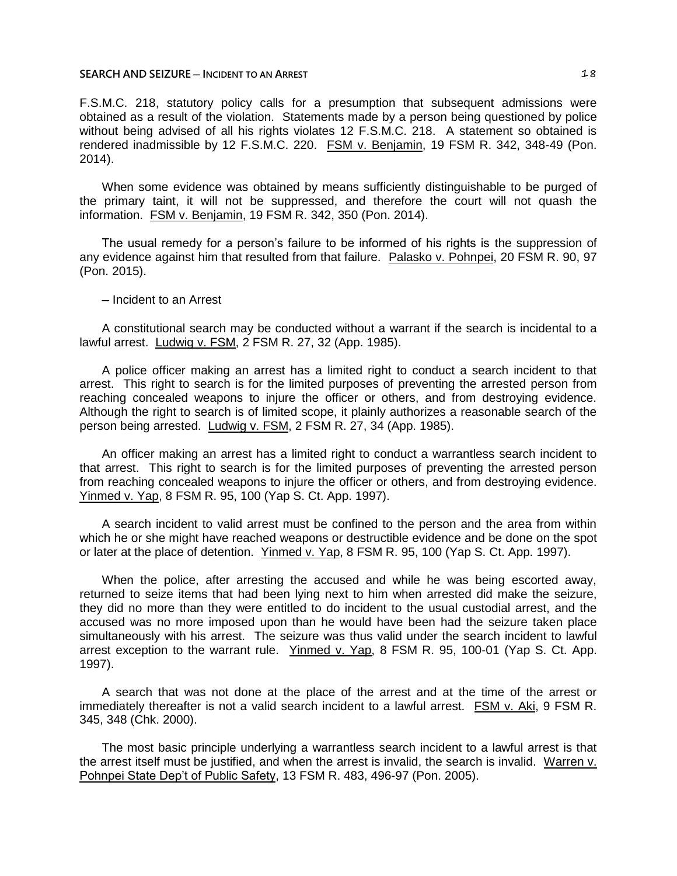#### **SEARCH AND SEIZURE** — INCIDENT TO AN ARREST **18**

F.S.M.C. 218, statutory policy calls for a presumption that subsequent admissions were obtained as a result of the violation. Statements made by a person being questioned by police without being advised of all his rights violates 12 F.S.M.C. 218. A statement so obtained is rendered inadmissible by 12 F.S.M.C. 220. FSM v. Benjamin, 19 FSM R. 342, 348-49 (Pon. 2014).

When some evidence was obtained by means sufficiently distinguishable to be purged of the primary taint, it will not be suppressed, and therefore the court will not quash the information. FSM v. Benjamin, 19 FSM R. 342, 350 (Pon. 2014).

The usual remedy for a person's failure to be informed of his rights is the suppression of any evidence against him that resulted from that failure. Palasko v. Pohnpei, 20 FSM R. 90, 97 (Pon. 2015).

# ─ Incident to an Arrest

A constitutional search may be conducted without a warrant if the search is incidental to a lawful arrest. Ludwig v. FSM, 2 FSM R. 27, 32 (App. 1985).

A police officer making an arrest has a limited right to conduct a search incident to that arrest. This right to search is for the limited purposes of preventing the arrested person from reaching concealed weapons to injure the officer or others, and from destroying evidence. Although the right to search is of limited scope, it plainly authorizes a reasonable search of the person being arrested. Ludwig v. FSM, 2 FSM R. 27, 34 (App. 1985).

An officer making an arrest has a limited right to conduct a warrantless search incident to that arrest. This right to search is for the limited purposes of preventing the arrested person from reaching concealed weapons to injure the officer or others, and from destroying evidence. Yinmed v. Yap, 8 FSM R. 95, 100 (Yap S. Ct. App. 1997).

A search incident to valid arrest must be confined to the person and the area from within which he or she might have reached weapons or destructible evidence and be done on the spot or later at the place of detention. Yinmed v. Yap, 8 FSM R. 95, 100 (Yap S. Ct. App. 1997).

When the police, after arresting the accused and while he was being escorted away, returned to seize items that had been lying next to him when arrested did make the seizure, they did no more than they were entitled to do incident to the usual custodial arrest, and the accused was no more imposed upon than he would have been had the seizure taken place simultaneously with his arrest. The seizure was thus valid under the search incident to lawful arrest exception to the warrant rule. Yinmed v. Yap, 8 FSM R. 95, 100-01 (Yap S. Ct. App. 1997).

A search that was not done at the place of the arrest and at the time of the arrest or immediately thereafter is not a valid search incident to a lawful arrest. FSM v. Aki, 9 FSM R. 345, 348 (Chk. 2000).

The most basic principle underlying a warrantless search incident to a lawful arrest is that the arrest itself must be justified, and when the arrest is invalid, the search is invalid. Warren v. Pohnpei State Dep't of Public Safety, 13 FSM R. 483, 496-97 (Pon. 2005).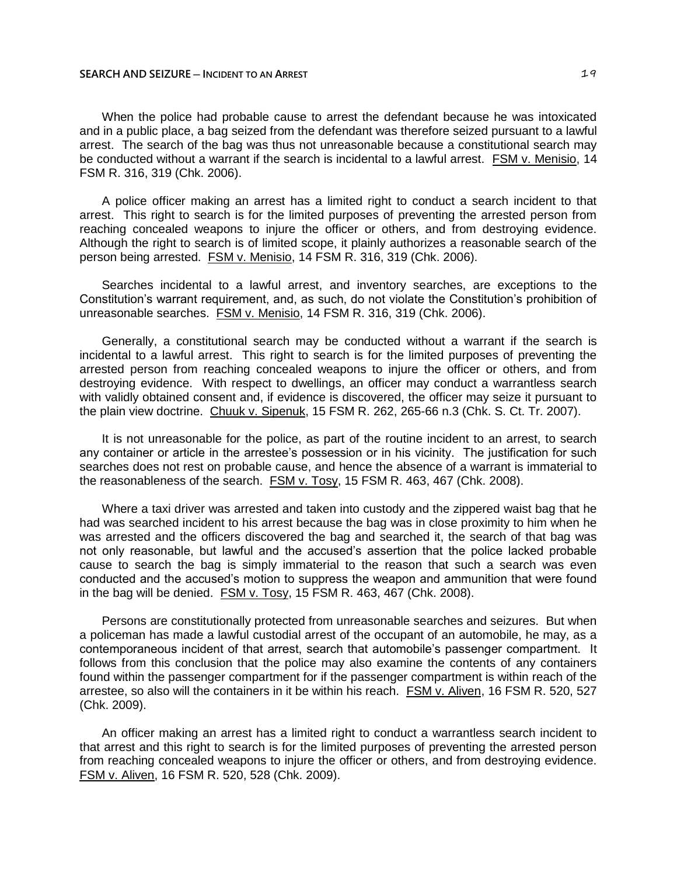When the police had probable cause to arrest the defendant because he was intoxicated and in a public place, a bag seized from the defendant was therefore seized pursuant to a lawful arrest. The search of the bag was thus not unreasonable because a constitutional search may be conducted without a warrant if the search is incidental to a lawful arrest. FSM v. Menisio, 14 FSM R. 316, 319 (Chk. 2006).

A police officer making an arrest has a limited right to conduct a search incident to that arrest. This right to search is for the limited purposes of preventing the arrested person from reaching concealed weapons to injure the officer or others, and from destroying evidence. Although the right to search is of limited scope, it plainly authorizes a reasonable search of the person being arrested. FSM v. Menisio, 14 FSM R. 316, 319 (Chk. 2006).

Searches incidental to a lawful arrest, and inventory searches, are exceptions to the Constitution's warrant requirement, and, as such, do not violate the Constitution's prohibition of unreasonable searches. FSM v. Menisio, 14 FSM R. 316, 319 (Chk. 2006).

Generally, a constitutional search may be conducted without a warrant if the search is incidental to a lawful arrest. This right to search is for the limited purposes of preventing the arrested person from reaching concealed weapons to injure the officer or others, and from destroying evidence. With respect to dwellings, an officer may conduct a warrantless search with validly obtained consent and, if evidence is discovered, the officer may seize it pursuant to the plain view doctrine. Chuuk v. Sipenuk, 15 FSM R. 262, 265-66 n.3 (Chk. S. Ct. Tr. 2007).

It is not unreasonable for the police, as part of the routine incident to an arrest, to search any container or article in the arrestee's possession or in his vicinity. The justification for such searches does not rest on probable cause, and hence the absence of a warrant is immaterial to the reasonableness of the search. FSM v. Tosy, 15 FSM R. 463, 467 (Chk. 2008).

Where a taxi driver was arrested and taken into custody and the zippered waist bag that he had was searched incident to his arrest because the bag was in close proximity to him when he was arrested and the officers discovered the bag and searched it, the search of that bag was not only reasonable, but lawful and the accused's assertion that the police lacked probable cause to search the bag is simply immaterial to the reason that such a search was even conducted and the accused's motion to suppress the weapon and ammunition that were found in the bag will be denied. FSM v. Tosy, 15 FSM R. 463, 467 (Chk. 2008).

Persons are constitutionally protected from unreasonable searches and seizures. But when a policeman has made a lawful custodial arrest of the occupant of an automobile, he may, as a contemporaneous incident of that arrest, search that automobile's passenger compartment. It follows from this conclusion that the police may also examine the contents of any containers found within the passenger compartment for if the passenger compartment is within reach of the arrestee, so also will the containers in it be within his reach. FSM v. Aliven, 16 FSM R. 520, 527 (Chk. 2009).

An officer making an arrest has a limited right to conduct a warrantless search incident to that arrest and this right to search is for the limited purposes of preventing the arrested person from reaching concealed weapons to injure the officer or others, and from destroying evidence. FSM v. Aliven, 16 FSM R. 520, 528 (Chk. 2009).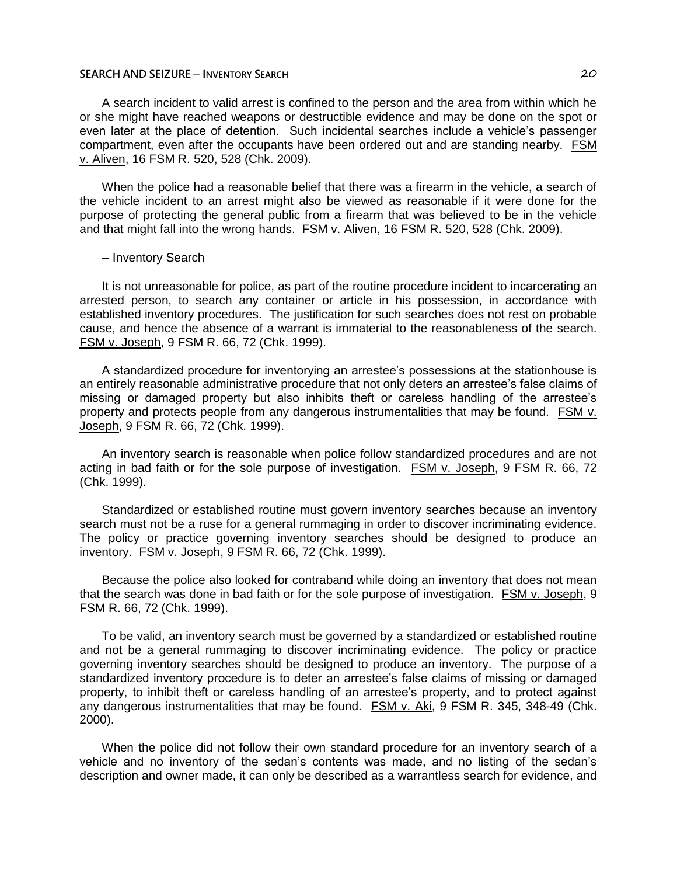## **SEARCH AND SEIZURE ─ INVENTORY SEARCH** 20

A search incident to valid arrest is confined to the person and the area from within which he or she might have reached weapons or destructible evidence and may be done on the spot or even later at the place of detention. Such incidental searches include a vehicle's passenger compartment, even after the occupants have been ordered out and are standing nearby. FSM v. Aliven, 16 FSM R. 520, 528 (Chk. 2009).

When the police had a reasonable belief that there was a firearm in the vehicle, a search of the vehicle incident to an arrest might also be viewed as reasonable if it were done for the purpose of protecting the general public from a firearm that was believed to be in the vehicle and that might fall into the wrong hands. FSM v. Aliven, 16 FSM R. 520, 528 (Chk. 2009).

#### ─ Inventory Search

It is not unreasonable for police, as part of the routine procedure incident to incarcerating an arrested person, to search any container or article in his possession, in accordance with established inventory procedures. The justification for such searches does not rest on probable cause, and hence the absence of a warrant is immaterial to the reasonableness of the search. FSM v. Joseph, 9 FSM R. 66, 72 (Chk. 1999).

A standardized procedure for inventorying an arrestee's possessions at the stationhouse is an entirely reasonable administrative procedure that not only deters an arrestee's false claims of missing or damaged property but also inhibits theft or careless handling of the arrestee's property and protects people from any dangerous instrumentalities that may be found. FSM v. Joseph, 9 FSM R. 66, 72 (Chk. 1999).

An inventory search is reasonable when police follow standardized procedures and are not acting in bad faith or for the sole purpose of investigation. FSM v. Joseph, 9 FSM R. 66, 72 (Chk. 1999).

Standardized or established routine must govern inventory searches because an inventory search must not be a ruse for a general rummaging in order to discover incriminating evidence. The policy or practice governing inventory searches should be designed to produce an inventory. FSM v. Joseph, 9 FSM R. 66, 72 (Chk. 1999).

Because the police also looked for contraband while doing an inventory that does not mean that the search was done in bad faith or for the sole purpose of investigation. FSM v. Joseph, 9 FSM R. 66, 72 (Chk. 1999).

To be valid, an inventory search must be governed by a standardized or established routine and not be a general rummaging to discover incriminating evidence. The policy or practice governing inventory searches should be designed to produce an inventory. The purpose of a standardized inventory procedure is to deter an arrestee's false claims of missing or damaged property, to inhibit theft or careless handling of an arrestee's property, and to protect against any dangerous instrumentalities that may be found. FSM v. Aki, 9 FSM R. 345, 348-49 (Chk. 2000).

When the police did not follow their own standard procedure for an inventory search of a vehicle and no inventory of the sedan's contents was made, and no listing of the sedan's description and owner made, it can only be described as a warrantless search for evidence, and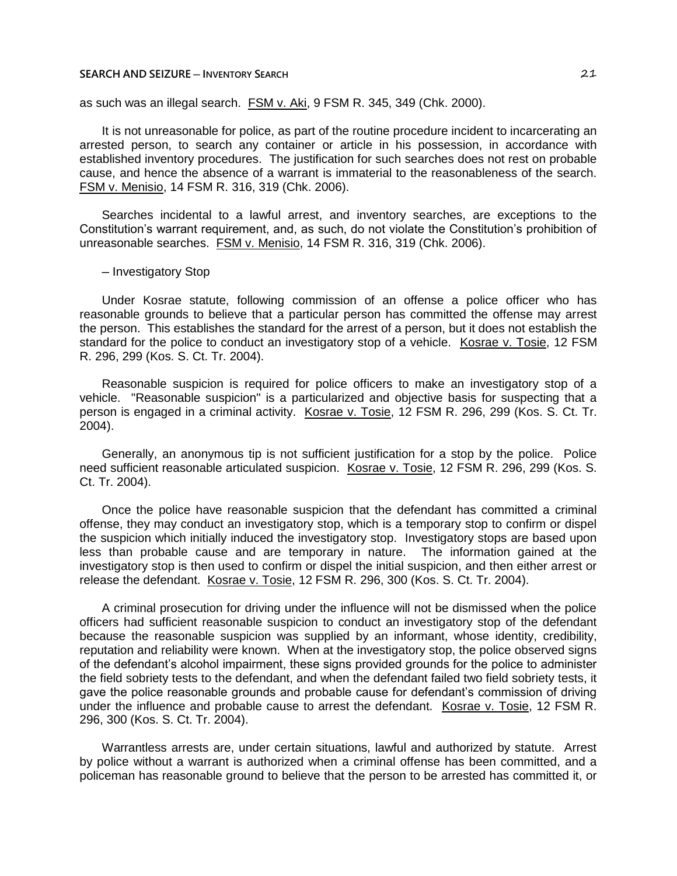## **SEARCH AND SEIZURE ─ INVENTORY SEARCH** 21

as such was an illegal search. FSM v. Aki, 9 FSM R. 345, 349 (Chk. 2000).

It is not unreasonable for police, as part of the routine procedure incident to incarcerating an arrested person, to search any container or article in his possession, in accordance with established inventory procedures. The justification for such searches does not rest on probable cause, and hence the absence of a warrant is immaterial to the reasonableness of the search. FSM v. Menisio, 14 FSM R. 316, 319 (Chk. 2006).

Searches incidental to a lawful arrest, and inventory searches, are exceptions to the Constitution's warrant requirement, and, as such, do not violate the Constitution's prohibition of unreasonable searches. FSM v. Menisio, 14 FSM R. 316, 319 (Chk. 2006).

─ Investigatory Stop

Under Kosrae statute, following commission of an offense a police officer who has reasonable grounds to believe that a particular person has committed the offense may arrest the person. This establishes the standard for the arrest of a person, but it does not establish the standard for the police to conduct an investigatory stop of a vehicle. Kosrae v. Tosie, 12 FSM R. 296, 299 (Kos. S. Ct. Tr. 2004).

Reasonable suspicion is required for police officers to make an investigatory stop of a vehicle. "Reasonable suspicion" is a particularized and objective basis for suspecting that a person is engaged in a criminal activity. Kosrae v. Tosie, 12 FSM R. 296, 299 (Kos. S. Ct. Tr. 2004).

Generally, an anonymous tip is not sufficient justification for a stop by the police. Police need sufficient reasonable articulated suspicion. Kosrae v. Tosie, 12 FSM R. 296, 299 (Kos. S. Ct. Tr. 2004).

Once the police have reasonable suspicion that the defendant has committed a criminal offense, they may conduct an investigatory stop, which is a temporary stop to confirm or dispel the suspicion which initially induced the investigatory stop. Investigatory stops are based upon less than probable cause and are temporary in nature. The information gained at the investigatory stop is then used to confirm or dispel the initial suspicion, and then either arrest or release the defendant. Kosrae v. Tosie, 12 FSM R. 296, 300 (Kos. S. Ct. Tr. 2004).

A criminal prosecution for driving under the influence will not be dismissed when the police officers had sufficient reasonable suspicion to conduct an investigatory stop of the defendant because the reasonable suspicion was supplied by an informant, whose identity, credibility, reputation and reliability were known. When at the investigatory stop, the police observed signs of the defendant's alcohol impairment, these signs provided grounds for the police to administer the field sobriety tests to the defendant, and when the defendant failed two field sobriety tests, it gave the police reasonable grounds and probable cause for defendant's commission of driving under the influence and probable cause to arrest the defendant. Kosrae v. Tosie, 12 FSM R. 296, 300 (Kos. S. Ct. Tr. 2004).

Warrantless arrests are, under certain situations, lawful and authorized by statute. Arrest by police without a warrant is authorized when a criminal offense has been committed, and a policeman has reasonable ground to believe that the person to be arrested has committed it, or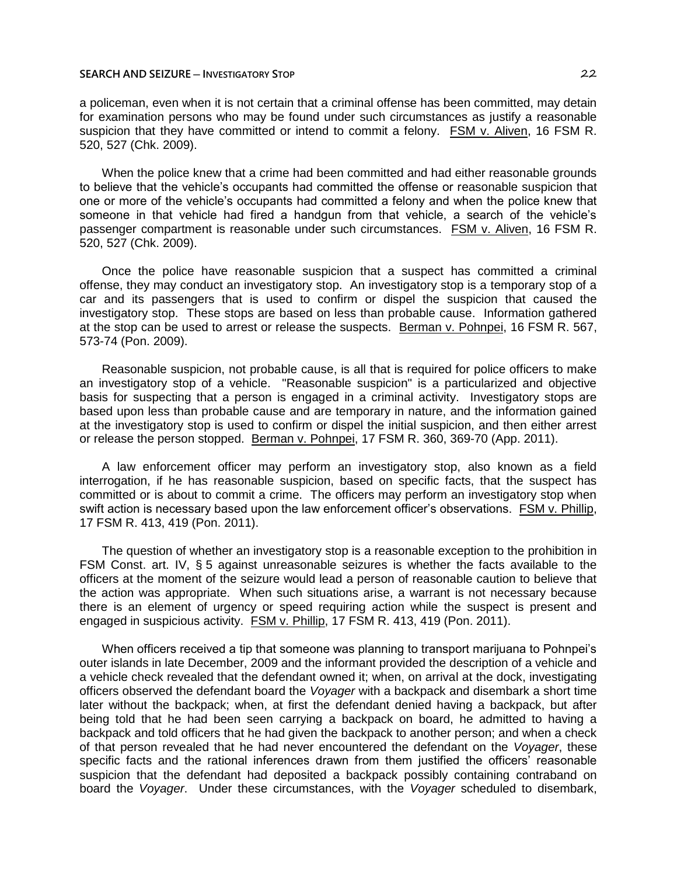#### **SEARCH AND SEIZURE ─ INVESTIGATORY STOP** 22

a policeman, even when it is not certain that a criminal offense has been committed, may detain for examination persons who may be found under such circumstances as justify a reasonable suspicion that they have committed or intend to commit a felony. FSM v. Aliven, 16 FSM R. 520, 527 (Chk. 2009).

When the police knew that a crime had been committed and had either reasonable grounds to believe that the vehicle's occupants had committed the offense or reasonable suspicion that one or more of the vehicle's occupants had committed a felony and when the police knew that someone in that vehicle had fired a handgun from that vehicle, a search of the vehicle's passenger compartment is reasonable under such circumstances. FSM v. Aliven, 16 FSM R. 520, 527 (Chk. 2009).

Once the police have reasonable suspicion that a suspect has committed a criminal offense, they may conduct an investigatory stop. An investigatory stop is a temporary stop of a car and its passengers that is used to confirm or dispel the suspicion that caused the investigatory stop. These stops are based on less than probable cause. Information gathered at the stop can be used to arrest or release the suspects. Berman v. Pohnpei, 16 FSM R. 567, 573-74 (Pon. 2009).

Reasonable suspicion, not probable cause, is all that is required for police officers to make an investigatory stop of a vehicle. "Reasonable suspicion" is a particularized and objective basis for suspecting that a person is engaged in a criminal activity. Investigatory stops are based upon less than probable cause and are temporary in nature, and the information gained at the investigatory stop is used to confirm or dispel the initial suspicion, and then either arrest or release the person stopped. Berman v. Pohnpei, 17 FSM R. 360, 369-70 (App. 2011).

A law enforcement officer may perform an investigatory stop, also known as a field interrogation, if he has reasonable suspicion, based on specific facts, that the suspect has committed or is about to commit a crime. The officers may perform an investigatory stop when swift action is necessary based upon the law enforcement officer's observations. FSM v. Phillip, 17 FSM R. 413, 419 (Pon. 2011).

The question of whether an investigatory stop is a reasonable exception to the prohibition in FSM Const. art. IV, § 5 against unreasonable seizures is whether the facts available to the officers at the moment of the seizure would lead a person of reasonable caution to believe that the action was appropriate. When such situations arise, a warrant is not necessary because there is an element of urgency or speed requiring action while the suspect is present and engaged in suspicious activity. FSM v. Phillip, 17 FSM R. 413, 419 (Pon. 2011).

When officers received a tip that someone was planning to transport marijuana to Pohnpei's outer islands in late December, 2009 and the informant provided the description of a vehicle and a vehicle check revealed that the defendant owned it; when, on arrival at the dock, investigating officers observed the defendant board the *Voyager* with a backpack and disembark a short time later without the backpack; when, at first the defendant denied having a backpack, but after being told that he had been seen carrying a backpack on board, he admitted to having a backpack and told officers that he had given the backpack to another person; and when a check of that person revealed that he had never encountered the defendant on the *Voyager*, these specific facts and the rational inferences drawn from them justified the officers' reasonable suspicion that the defendant had deposited a backpack possibly containing contraband on board the *Voyager*. Under these circumstances, with the *Voyager* scheduled to disembark,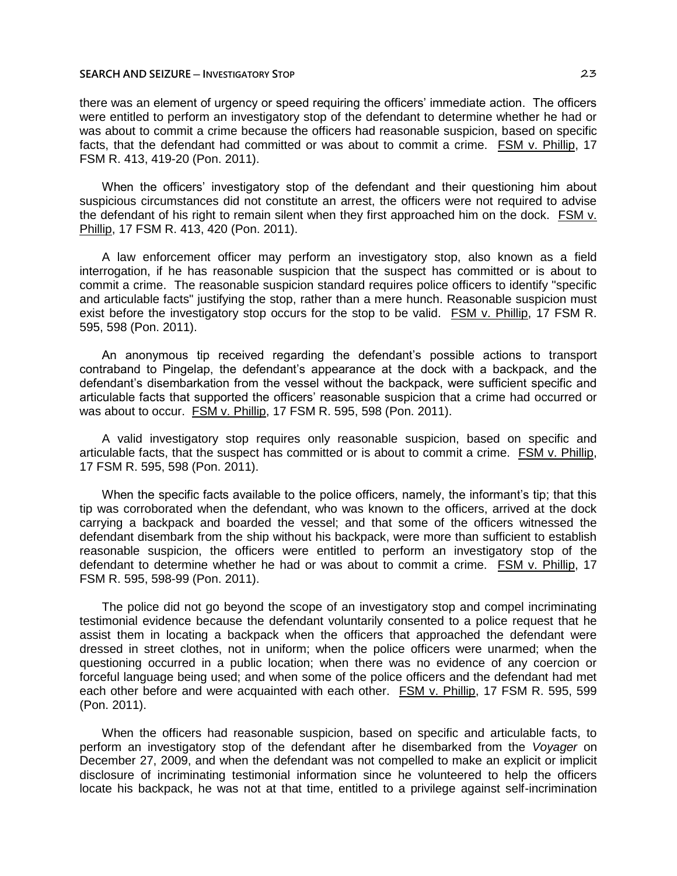#### **SEARCH AND SEIZURE ─ INVESTIGATORY STOP** 23

there was an element of urgency or speed requiring the officers' immediate action. The officers were entitled to perform an investigatory stop of the defendant to determine whether he had or was about to commit a crime because the officers had reasonable suspicion, based on specific facts, that the defendant had committed or was about to commit a crime. FSM v. Phillip, 17 FSM R. 413, 419-20 (Pon. 2011).

When the officers' investigatory stop of the defendant and their questioning him about suspicious circumstances did not constitute an arrest, the officers were not required to advise the defendant of his right to remain silent when they first approached him on the dock. FSM v. Phillip, 17 FSM R. 413, 420 (Pon. 2011).

A law enforcement officer may perform an investigatory stop, also known as a field interrogation, if he has reasonable suspicion that the suspect has committed or is about to commit a crime. The reasonable suspicion standard requires police officers to identify "specific and articulable facts" justifying the stop, rather than a mere hunch. Reasonable suspicion must exist before the investigatory stop occurs for the stop to be valid. FSM v. Phillip, 17 FSM R. 595, 598 (Pon. 2011).

An anonymous tip received regarding the defendant's possible actions to transport contraband to Pingelap, the defendant's appearance at the dock with a backpack, and the defendant's disembarkation from the vessel without the backpack, were sufficient specific and articulable facts that supported the officers' reasonable suspicion that a crime had occurred or was about to occur. FSM v. Phillip, 17 FSM R. 595, 598 (Pon. 2011).

A valid investigatory stop requires only reasonable suspicion, based on specific and articulable facts, that the suspect has committed or is about to commit a crime. FSM v. Phillip, 17 FSM R. 595, 598 (Pon. 2011).

When the specific facts available to the police officers, namely, the informant's tip; that this tip was corroborated when the defendant, who was known to the officers, arrived at the dock carrying a backpack and boarded the vessel; and that some of the officers witnessed the defendant disembark from the ship without his backpack, were more than sufficient to establish reasonable suspicion, the officers were entitled to perform an investigatory stop of the defendant to determine whether he had or was about to commit a crime. FSM v. Phillip, 17 FSM R. 595, 598-99 (Pon. 2011).

The police did not go beyond the scope of an investigatory stop and compel incriminating testimonial evidence because the defendant voluntarily consented to a police request that he assist them in locating a backpack when the officers that approached the defendant were dressed in street clothes, not in uniform; when the police officers were unarmed; when the questioning occurred in a public location; when there was no evidence of any coercion or forceful language being used; and when some of the police officers and the defendant had met each other before and were acquainted with each other. FSM v. Phillip, 17 FSM R. 595, 599 (Pon. 2011).

When the officers had reasonable suspicion, based on specific and articulable facts, to perform an investigatory stop of the defendant after he disembarked from the *Voyager* on December 27, 2009, and when the defendant was not compelled to make an explicit or implicit disclosure of incriminating testimonial information since he volunteered to help the officers locate his backpack, he was not at that time, entitled to a privilege against self-incrimination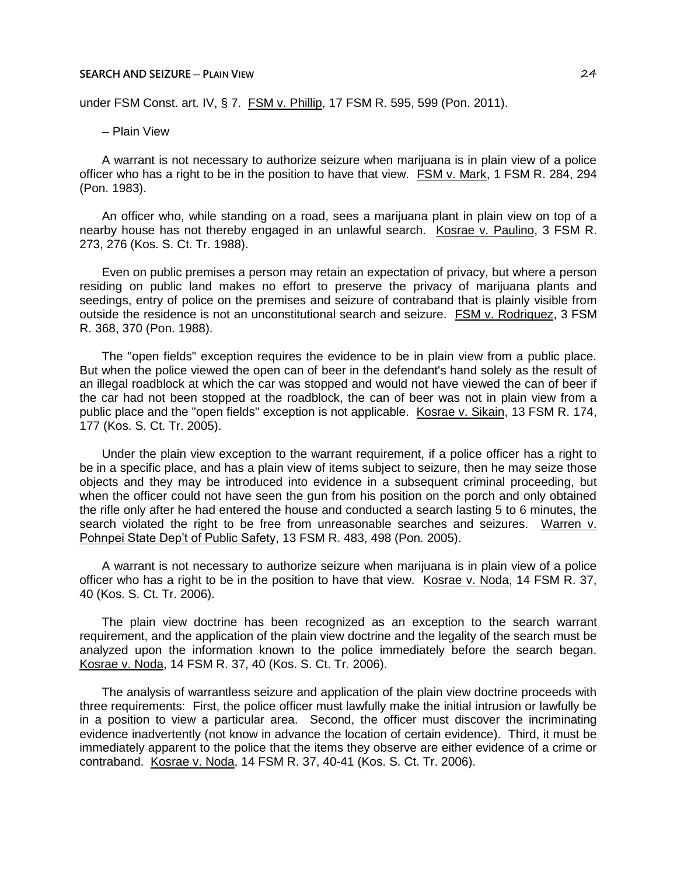#### **SEARCH AND SEIZURE ─ PLAIN VIEW** 24

under FSM Const. art. IV, § 7. FSM v. Phillip, 17 FSM R. 595, 599 (Pon. 2011).

─ Plain View

A warrant is not necessary to authorize seizure when marijuana is in plain view of a police officer who has a right to be in the position to have that view. FSM v. Mark, 1 FSM R. 284, 294 (Pon. 1983).

An officer who, while standing on a road, sees a marijuana plant in plain view on top of a nearby house has not thereby engaged in an unlawful search. Kosrae v. Paulino, 3 FSM R. 273, 276 (Kos. S. Ct. Tr. 1988).

Even on public premises a person may retain an expectation of privacy, but where a person residing on public land makes no effort to preserve the privacy of marijuana plants and seedings, entry of police on the premises and seizure of contraband that is plainly visible from outside the residence is not an unconstitutional search and seizure. FSM v. Rodriquez, 3 FSM R. 368, 370 (Pon. 1988).

The "open fields" exception requires the evidence to be in plain view from a public place. But when the police viewed the open can of beer in the defendant's hand solely as the result of an illegal roadblock at which the car was stopped and would not have viewed the can of beer if the car had not been stopped at the roadblock, the can of beer was not in plain view from a public place and the "open fields" exception is not applicable. Kosrae v. Sikain, 13 FSM R. 174, 177 (Kos. S. Ct. Tr. 2005).

Under the plain view exception to the warrant requirement, if a police officer has a right to be in a specific place, and has a plain view of items subject to seizure, then he may seize those objects and they may be introduced into evidence in a subsequent criminal proceeding, but when the officer could not have seen the gun from his position on the porch and only obtained the rifle only after he had entered the house and conducted a search lasting 5 to 6 minutes, the search violated the right to be free from unreasonable searches and seizures. Warren v. Pohnpei State Dep't of Public Safety, 13 FSM R. 483, 498 (Pon. 2005).

A warrant is not necessary to authorize seizure when marijuana is in plain view of a police officer who has a right to be in the position to have that view. Kosrae v. Noda, 14 FSM R. 37, 40 (Kos. S. Ct. Tr. 2006).

The plain view doctrine has been recognized as an exception to the search warrant requirement, and the application of the plain view doctrine and the legality of the search must be analyzed upon the information known to the police immediately before the search began. Kosrae v. Noda, 14 FSM R. 37, 40 (Kos. S. Ct. Tr. 2006).

The analysis of warrantless seizure and application of the plain view doctrine proceeds with three requirements: First, the police officer must lawfully make the initial intrusion or lawfully be in a position to view a particular area. Second, the officer must discover the incriminating evidence inadvertently (not know in advance the location of certain evidence). Third, it must be immediately apparent to the police that the items they observe are either evidence of a crime or contraband. Kosrae v. Noda, 14 FSM R. 37, 40-41 (Kos. S. Ct. Tr. 2006).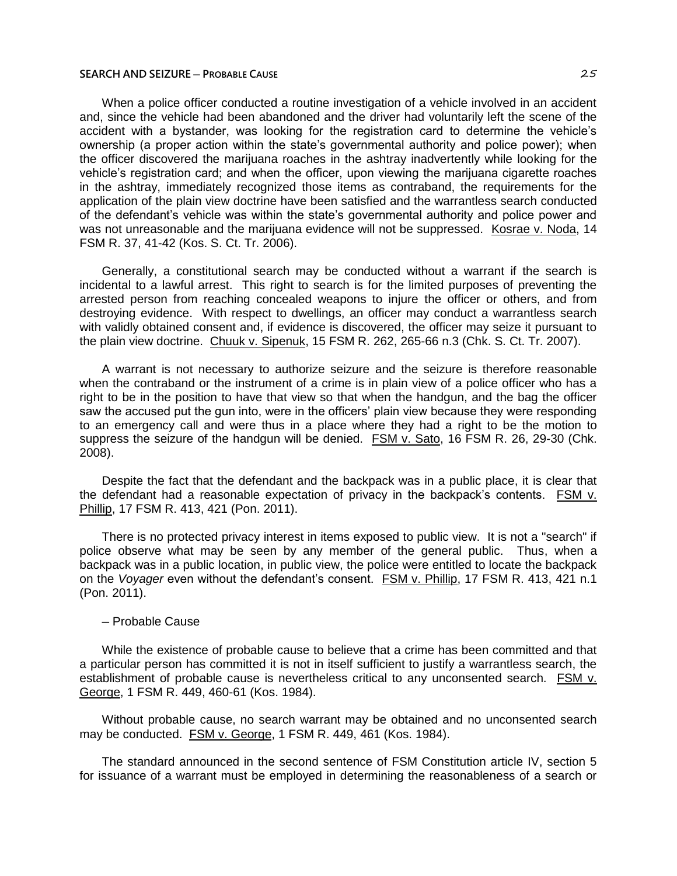When a police officer conducted a routine investigation of a vehicle involved in an accident and, since the vehicle had been abandoned and the driver had voluntarily left the scene of the accident with a bystander, was looking for the registration card to determine the vehicle's ownership (a proper action within the state's governmental authority and police power); when the officer discovered the marijuana roaches in the ashtray inadvertently while looking for the vehicle's registration card; and when the officer, upon viewing the marijuana cigarette roaches in the ashtray, immediately recognized those items as contraband, the requirements for the application of the plain view doctrine have been satisfied and the warrantless search conducted of the defendant's vehicle was within the state's governmental authority and police power and was not unreasonable and the marijuana evidence will not be suppressed. Kosrae v. Noda, 14 FSM R. 37, 41-42 (Kos. S. Ct. Tr. 2006).

Generally, a constitutional search may be conducted without a warrant if the search is incidental to a lawful arrest. This right to search is for the limited purposes of preventing the arrested person from reaching concealed weapons to injure the officer or others, and from destroying evidence. With respect to dwellings, an officer may conduct a warrantless search with validly obtained consent and, if evidence is discovered, the officer may seize it pursuant to the plain view doctrine. Chuuk v. Sipenuk, 15 FSM R. 262, 265-66 n.3 (Chk. S. Ct. Tr. 2007).

A warrant is not necessary to authorize seizure and the seizure is therefore reasonable when the contraband or the instrument of a crime is in plain view of a police officer who has a right to be in the position to have that view so that when the handgun, and the bag the officer saw the accused put the gun into, were in the officers' plain view because they were responding to an emergency call and were thus in a place where they had a right to be the motion to suppress the seizure of the handgun will be denied. FSM v. Sato, 16 FSM R. 26, 29-30 (Chk. 2008).

Despite the fact that the defendant and the backpack was in a public place, it is clear that the defendant had a reasonable expectation of privacy in the backpack's contents. FSM v. Phillip, 17 FSM R. 413, 421 (Pon. 2011).

There is no protected privacy interest in items exposed to public view. It is not a "search" if police observe what may be seen by any member of the general public. Thus, when a backpack was in a public location, in public view, the police were entitled to locate the backpack on the *Voyager* even without the defendant's consent. FSM v. Phillip, 17 FSM R. 413, 421 n.1 (Pon. 2011).

# ─ Probable Cause

While the existence of probable cause to believe that a crime has been committed and that a particular person has committed it is not in itself sufficient to justify a warrantless search, the establishment of probable cause is nevertheless critical to any unconsented search. FSM v. George, 1 FSM R. 449, 460-61 (Kos. 1984).

Without probable cause, no search warrant may be obtained and no unconsented search may be conducted. FSM v. George, 1 FSM R. 449, 461 (Kos. 1984).

The standard announced in the second sentence of FSM Constitution article IV, section 5 for issuance of a warrant must be employed in determining the reasonableness of a search or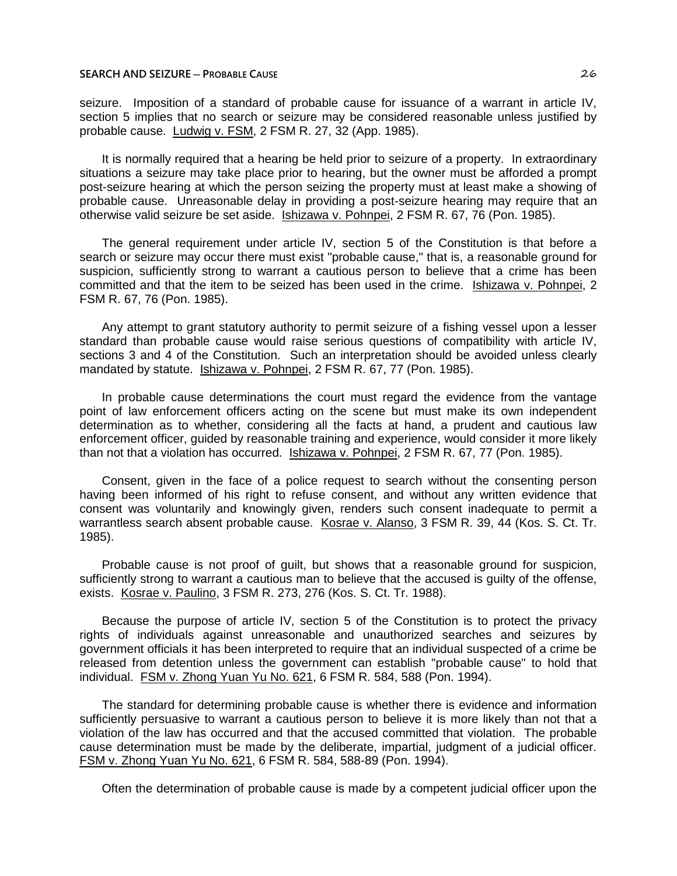seizure. Imposition of a standard of probable cause for issuance of a warrant in article IV, section 5 implies that no search or seizure may be considered reasonable unless justified by probable cause. Ludwig v. FSM, 2 FSM R. 27, 32 (App. 1985).

It is normally required that a hearing be held prior to seizure of a property. In extraordinary situations a seizure may take place prior to hearing, but the owner must be afforded a prompt post-seizure hearing at which the person seizing the property must at least make a showing of probable cause. Unreasonable delay in providing a post-seizure hearing may require that an otherwise valid seizure be set aside. Ishizawa v. Pohnpei, 2 FSM R. 67, 76 (Pon. 1985).

The general requirement under article IV, section 5 of the Constitution is that before a search or seizure may occur there must exist "probable cause," that is, a reasonable ground for suspicion, sufficiently strong to warrant a cautious person to believe that a crime has been committed and that the item to be seized has been used in the crime. Ishizawa v. Pohnpei, 2 FSM R. 67, 76 (Pon. 1985).

Any attempt to grant statutory authority to permit seizure of a fishing vessel upon a lesser standard than probable cause would raise serious questions of compatibility with article IV, sections 3 and 4 of the Constitution. Such an interpretation should be avoided unless clearly mandated by statute. Ishizawa v. Pohnpei, 2 FSM R. 67, 77 (Pon. 1985).

In probable cause determinations the court must regard the evidence from the vantage point of law enforcement officers acting on the scene but must make its own independent determination as to whether, considering all the facts at hand, a prudent and cautious law enforcement officer, guided by reasonable training and experience, would consider it more likely than not that a violation has occurred. Ishizawa v. Pohnpei, 2 FSM R. 67, 77 (Pon. 1985).

Consent, given in the face of a police request to search without the consenting person having been informed of his right to refuse consent, and without any written evidence that consent was voluntarily and knowingly given, renders such consent inadequate to permit a warrantless search absent probable cause. Kosrae v. Alanso, 3 FSM R. 39, 44 (Kos. S. Ct. Tr. 1985).

Probable cause is not proof of guilt, but shows that a reasonable ground for suspicion, sufficiently strong to warrant a cautious man to believe that the accused is guilty of the offense, exists. Kosrae v. Paulino, 3 FSM R. 273, 276 (Kos. S. Ct. Tr. 1988).

Because the purpose of article IV, section 5 of the Constitution is to protect the privacy rights of individuals against unreasonable and unauthorized searches and seizures by government officials it has been interpreted to require that an individual suspected of a crime be released from detention unless the government can establish "probable cause" to hold that individual. FSM v. Zhong Yuan Yu No. 621, 6 FSM R. 584, 588 (Pon. 1994).

The standard for determining probable cause is whether there is evidence and information sufficiently persuasive to warrant a cautious person to believe it is more likely than not that a violation of the law has occurred and that the accused committed that violation. The probable cause determination must be made by the deliberate, impartial, judgment of a judicial officer. FSM v. Zhong Yuan Yu No. 621, 6 FSM R. 584, 588-89 (Pon. 1994).

Often the determination of probable cause is made by a competent judicial officer upon the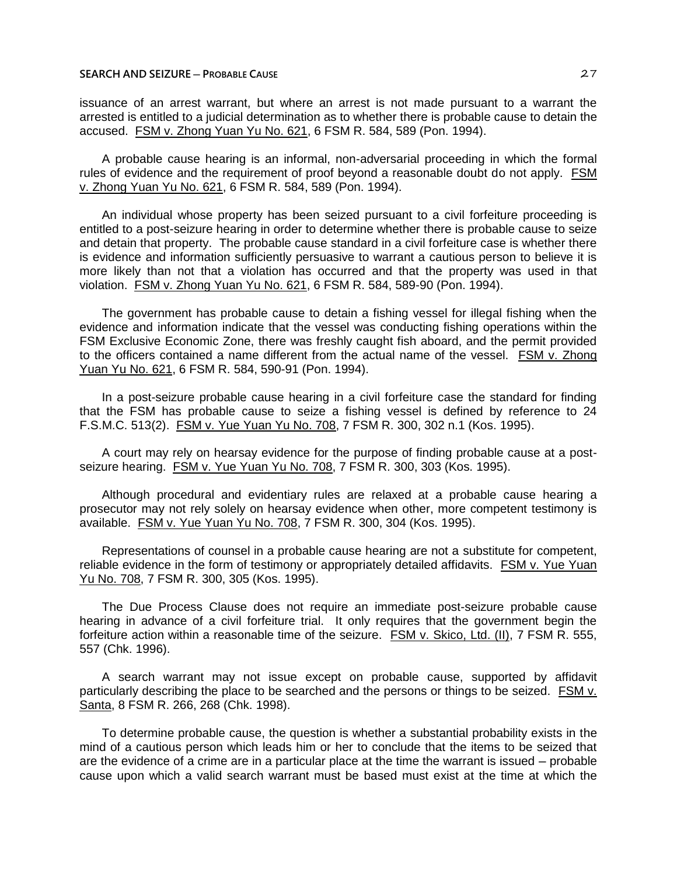issuance of an arrest warrant, but where an arrest is not made pursuant to a warrant the arrested is entitled to a judicial determination as to whether there is probable cause to detain the accused. FSM v. Zhong Yuan Yu No. 621, 6 FSM R. 584, 589 (Pon. 1994).

A probable cause hearing is an informal, non-adversarial proceeding in which the formal rules of evidence and the requirement of proof beyond a reasonable doubt do not apply. FSM v. Zhong Yuan Yu No. 621, 6 FSM R. 584, 589 (Pon. 1994).

An individual whose property has been seized pursuant to a civil forfeiture proceeding is entitled to a post-seizure hearing in order to determine whether there is probable cause to seize and detain that property. The probable cause standard in a civil forfeiture case is whether there is evidence and information sufficiently persuasive to warrant a cautious person to believe it is more likely than not that a violation has occurred and that the property was used in that violation. FSM v. Zhong Yuan Yu No. 621, 6 FSM R. 584, 589-90 (Pon. 1994).

The government has probable cause to detain a fishing vessel for illegal fishing when the evidence and information indicate that the vessel was conducting fishing operations within the FSM Exclusive Economic Zone, there was freshly caught fish aboard, and the permit provided to the officers contained a name different from the actual name of the vessel. FSM v. Zhong Yuan Yu No. 621, 6 FSM R. 584, 590-91 (Pon. 1994).

In a post-seizure probable cause hearing in a civil forfeiture case the standard for finding that the FSM has probable cause to seize a fishing vessel is defined by reference to 24 F.S.M.C. 513(2). FSM v. Yue Yuan Yu No. 708, 7 FSM R. 300, 302 n.1 (Kos. 1995).

A court may rely on hearsay evidence for the purpose of finding probable cause at a postseizure hearing. FSM v. Yue Yuan Yu No. 708, 7 FSM R. 300, 303 (Kos. 1995).

Although procedural and evidentiary rules are relaxed at a probable cause hearing a prosecutor may not rely solely on hearsay evidence when other, more competent testimony is available. FSM v. Yue Yuan Yu No. 708, 7 FSM R. 300, 304 (Kos. 1995).

Representations of counsel in a probable cause hearing are not a substitute for competent, reliable evidence in the form of testimony or appropriately detailed affidavits. FSM v. Yue Yuan Yu No. 708, 7 FSM R. 300, 305 (Kos. 1995).

The Due Process Clause does not require an immediate post-seizure probable cause hearing in advance of a civil forfeiture trial. It only requires that the government begin the forfeiture action within a reasonable time of the seizure. FSM v. Skico, Ltd. (II), 7 FSM R. 555, 557 (Chk. 1996).

A search warrant may not issue except on probable cause, supported by affidavit particularly describing the place to be searched and the persons or things to be seized. FSM v. Santa, 8 FSM R. 266, 268 (Chk. 1998).

To determine probable cause, the question is whether a substantial probability exists in the mind of a cautious person which leads him or her to conclude that the items to be seized that are the evidence of a crime are in a particular place at the time the warrant is issued – probable cause upon which a valid search warrant must be based must exist at the time at which the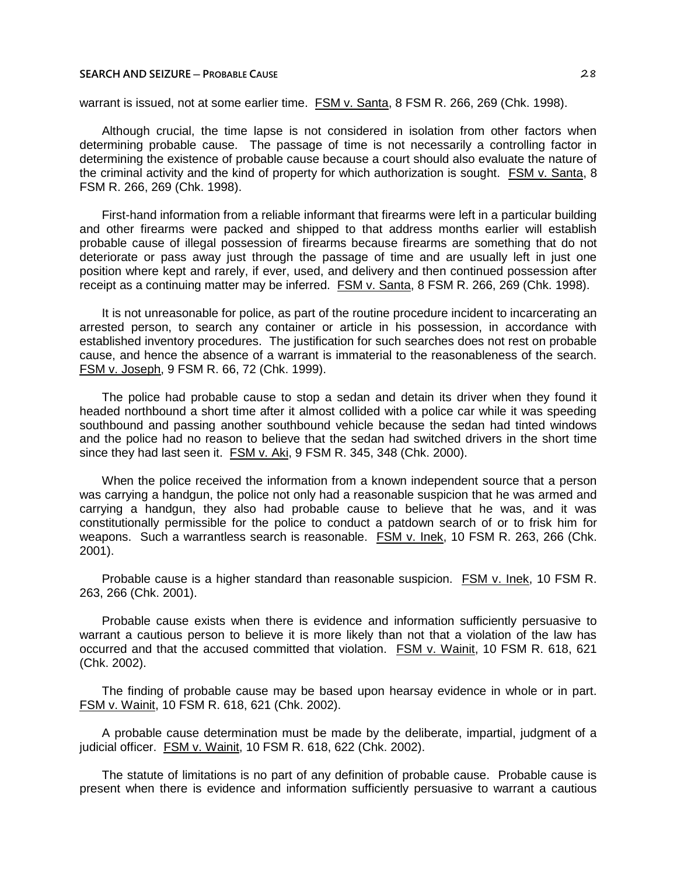warrant is issued, not at some earlier time. FSM v. Santa, 8 FSM R. 266, 269 (Chk. 1998).

Although crucial, the time lapse is not considered in isolation from other factors when determining probable cause. The passage of time is not necessarily a controlling factor in determining the existence of probable cause because a court should also evaluate the nature of the criminal activity and the kind of property for which authorization is sought. FSM v. Santa, 8 FSM R. 266, 269 (Chk. 1998).

First-hand information from a reliable informant that firearms were left in a particular building and other firearms were packed and shipped to that address months earlier will establish probable cause of illegal possession of firearms because firearms are something that do not deteriorate or pass away just through the passage of time and are usually left in just one position where kept and rarely, if ever, used, and delivery and then continued possession after receipt as a continuing matter may be inferred. FSM v. Santa, 8 FSM R. 266, 269 (Chk. 1998).

It is not unreasonable for police, as part of the routine procedure incident to incarcerating an arrested person, to search any container or article in his possession, in accordance with established inventory procedures. The justification for such searches does not rest on probable cause, and hence the absence of a warrant is immaterial to the reasonableness of the search. FSM v. Joseph, 9 FSM R. 66, 72 (Chk. 1999).

The police had probable cause to stop a sedan and detain its driver when they found it headed northbound a short time after it almost collided with a police car while it was speeding southbound and passing another southbound vehicle because the sedan had tinted windows and the police had no reason to believe that the sedan had switched drivers in the short time since they had last seen it. FSM v. Aki, 9 FSM R. 345, 348 (Chk. 2000).

When the police received the information from a known independent source that a person was carrying a handgun, the police not only had a reasonable suspicion that he was armed and carrying a handgun, they also had probable cause to believe that he was, and it was constitutionally permissible for the police to conduct a patdown search of or to frisk him for weapons. Such a warrantless search is reasonable. FSM v. Inek, 10 FSM R. 263, 266 (Chk. 2001).

Probable cause is a higher standard than reasonable suspicion. FSM v. Inek, 10 FSM R. 263, 266 (Chk. 2001).

Probable cause exists when there is evidence and information sufficiently persuasive to warrant a cautious person to believe it is more likely than not that a violation of the law has occurred and that the accused committed that violation. FSM v. Wainit, 10 FSM R. 618, 621 (Chk. 2002).

The finding of probable cause may be based upon hearsay evidence in whole or in part. FSM v. Wainit, 10 FSM R. 618, 621 (Chk. 2002).

A probable cause determination must be made by the deliberate, impartial, judgment of a judicial officer. FSM v. Wainit, 10 FSM R. 618, 622 (Chk. 2002).

The statute of limitations is no part of any definition of probable cause. Probable cause is present when there is evidence and information sufficiently persuasive to warrant a cautious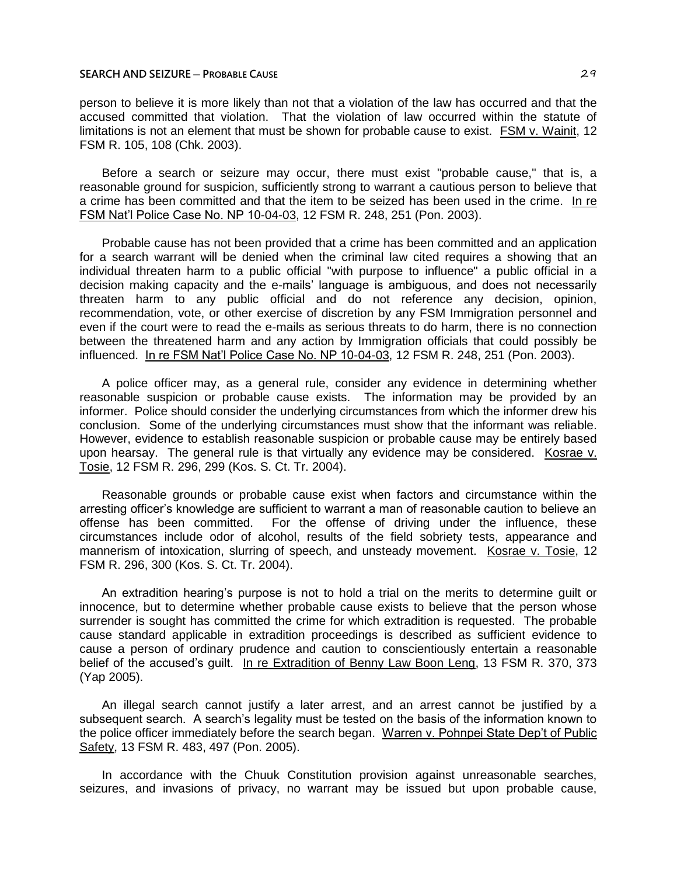person to believe it is more likely than not that a violation of the law has occurred and that the accused committed that violation. That the violation of law occurred within the statute of limitations is not an element that must be shown for probable cause to exist. FSM v. Wainit, 12 FSM R. 105, 108 (Chk. 2003).

Before a search or seizure may occur, there must exist "probable cause," that is, a reasonable ground for suspicion, sufficiently strong to warrant a cautious person to believe that a crime has been committed and that the item to be seized has been used in the crime. In re FSM Nat'l Police Case No. NP 10-04-03, 12 FSM R. 248, 251 (Pon. 2003).

Probable cause has not been provided that a crime has been committed and an application for a search warrant will be denied when the criminal law cited requires a showing that an individual threaten harm to a public official "with purpose to influence" a public official in a decision making capacity and the e-mails' language is ambiguous, and does not necessarily threaten harm to any public official and do not reference any decision, opinion, recommendation, vote, or other exercise of discretion by any FSM Immigration personnel and even if the court were to read the e-mails as serious threats to do harm, there is no connection between the threatened harm and any action by Immigration officials that could possibly be influenced. In re FSM Nat'l Police Case No. NP 10-04-03, 12 FSM R. 248, 251 (Pon. 2003).

A police officer may, as a general rule, consider any evidence in determining whether reasonable suspicion or probable cause exists. The information may be provided by an informer. Police should consider the underlying circumstances from which the informer drew his conclusion. Some of the underlying circumstances must show that the informant was reliable. However, evidence to establish reasonable suspicion or probable cause may be entirely based upon hearsay. The general rule is that virtually any evidence may be considered. Kosrae v. Tosie, 12 FSM R. 296, 299 (Kos. S. Ct. Tr. 2004).

Reasonable grounds or probable cause exist when factors and circumstance within the arresting officer's knowledge are sufficient to warrant a man of reasonable caution to believe an offense has been committed. For the offense of driving under the influence, these circumstances include odor of alcohol, results of the field sobriety tests, appearance and mannerism of intoxication, slurring of speech, and unsteady movement. Kosrae v. Tosie, 12 FSM R. 296, 300 (Kos. S. Ct. Tr. 2004).

An extradition hearing's purpose is not to hold a trial on the merits to determine guilt or innocence, but to determine whether probable cause exists to believe that the person whose surrender is sought has committed the crime for which extradition is requested. The probable cause standard applicable in extradition proceedings is described as sufficient evidence to cause a person of ordinary prudence and caution to conscientiously entertain a reasonable belief of the accused's guilt. In re Extradition of Benny Law Boon Leng, 13 FSM R. 370, 373 (Yap 2005).

An illegal search cannot justify a later arrest, and an arrest cannot be justified by a subsequent search. A search's legality must be tested on the basis of the information known to the police officer immediately before the search began. Warren v. Pohnpei State Dep't of Public Safety, 13 FSM R. 483, 497 (Pon. 2005).

In accordance with the Chuuk Constitution provision against unreasonable searches, seizures, and invasions of privacy, no warrant may be issued but upon probable cause,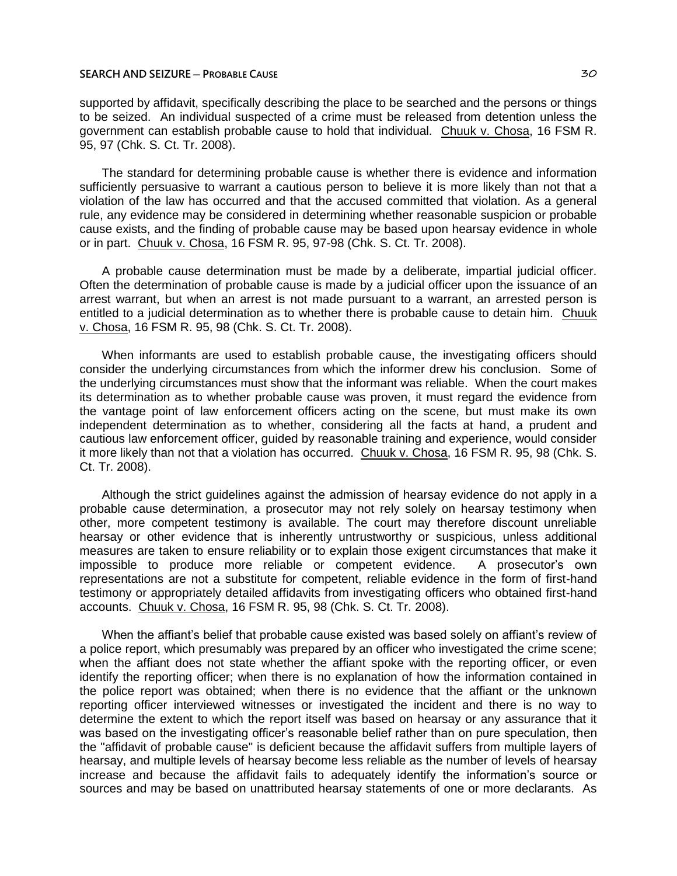supported by affidavit, specifically describing the place to be searched and the persons or things to be seized. An individual suspected of a crime must be released from detention unless the government can establish probable cause to hold that individual. Chuuk v. Chosa, 16 FSM R. 95, 97 (Chk. S. Ct. Tr. 2008).

The standard for determining probable cause is whether there is evidence and information sufficiently persuasive to warrant a cautious person to believe it is more likely than not that a violation of the law has occurred and that the accused committed that violation. As a general rule, any evidence may be considered in determining whether reasonable suspicion or probable cause exists, and the finding of probable cause may be based upon hearsay evidence in whole or in part. Chuuk v. Chosa, 16 FSM R. 95, 97-98 (Chk. S. Ct. Tr. 2008).

A probable cause determination must be made by a deliberate, impartial judicial officer. Often the determination of probable cause is made by a judicial officer upon the issuance of an arrest warrant, but when an arrest is not made pursuant to a warrant, an arrested person is entitled to a judicial determination as to whether there is probable cause to detain him. Chuuk v. Chosa, 16 FSM R. 95, 98 (Chk. S. Ct. Tr. 2008).

When informants are used to establish probable cause, the investigating officers should consider the underlying circumstances from which the informer drew his conclusion. Some of the underlying circumstances must show that the informant was reliable. When the court makes its determination as to whether probable cause was proven, it must regard the evidence from the vantage point of law enforcement officers acting on the scene, but must make its own independent determination as to whether, considering all the facts at hand, a prudent and cautious law enforcement officer, guided by reasonable training and experience, would consider it more likely than not that a violation has occurred. Chuuk v. Chosa, 16 FSM R. 95, 98 (Chk. S. Ct. Tr. 2008).

Although the strict guidelines against the admission of hearsay evidence do not apply in a probable cause determination, a prosecutor may not rely solely on hearsay testimony when other, more competent testimony is available. The court may therefore discount unreliable hearsay or other evidence that is inherently untrustworthy or suspicious, unless additional measures are taken to ensure reliability or to explain those exigent circumstances that make it impossible to produce more reliable or competent evidence. A prosecutor's own representations are not a substitute for competent, reliable evidence in the form of first-hand testimony or appropriately detailed affidavits from investigating officers who obtained first-hand accounts. Chuuk v. Chosa, 16 FSM R. 95, 98 (Chk. S. Ct. Tr. 2008).

When the affiant's belief that probable cause existed was based solely on affiant's review of a police report, which presumably was prepared by an officer who investigated the crime scene; when the affiant does not state whether the affiant spoke with the reporting officer, or even identify the reporting officer; when there is no explanation of how the information contained in the police report was obtained; when there is no evidence that the affiant or the unknown reporting officer interviewed witnesses or investigated the incident and there is no way to determine the extent to which the report itself was based on hearsay or any assurance that it was based on the investigating officer's reasonable belief rather than on pure speculation, then the "affidavit of probable cause" is deficient because the affidavit suffers from multiple layers of hearsay, and multiple levels of hearsay become less reliable as the number of levels of hearsay increase and because the affidavit fails to adequately identify the information's source or sources and may be based on unattributed hearsay statements of one or more declarants. As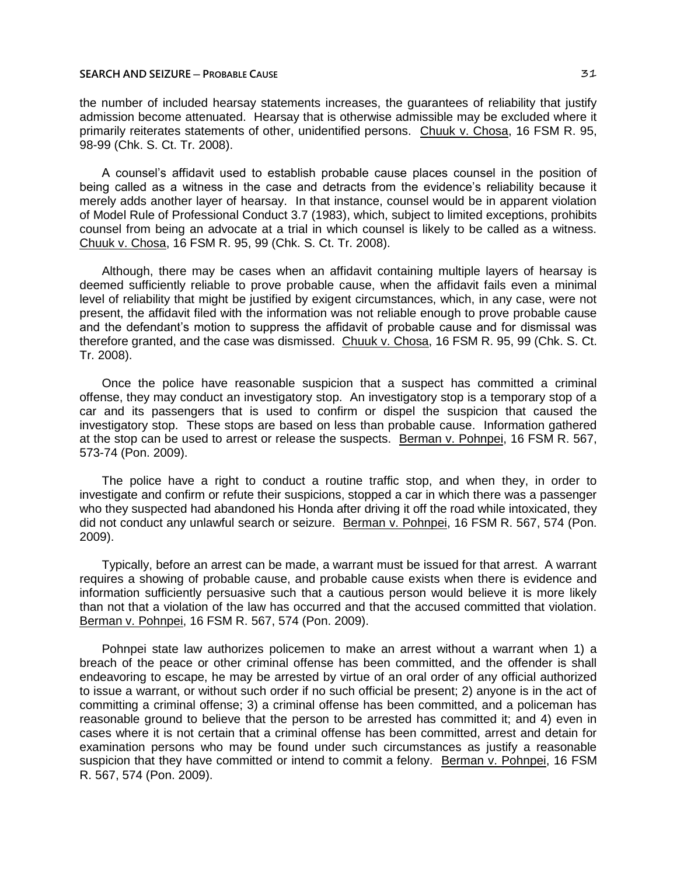the number of included hearsay statements increases, the guarantees of reliability that justify admission become attenuated. Hearsay that is otherwise admissible may be excluded where it primarily reiterates statements of other, unidentified persons. Chuuk v. Chosa, 16 FSM R. 95, 98-99 (Chk. S. Ct. Tr. 2008).

A counsel's affidavit used to establish probable cause places counsel in the position of being called as a witness in the case and detracts from the evidence's reliability because it merely adds another layer of hearsay. In that instance, counsel would be in apparent violation of Model Rule of Professional Conduct 3.7 (1983), which, subject to limited exceptions, prohibits counsel from being an advocate at a trial in which counsel is likely to be called as a witness. Chuuk v. Chosa, 16 FSM R. 95, 99 (Chk. S. Ct. Tr. 2008).

Although, there may be cases when an affidavit containing multiple layers of hearsay is deemed sufficiently reliable to prove probable cause, when the affidavit fails even a minimal level of reliability that might be justified by exigent circumstances, which, in any case, were not present, the affidavit filed with the information was not reliable enough to prove probable cause and the defendant's motion to suppress the affidavit of probable cause and for dismissal was therefore granted, and the case was dismissed. Chuuk v. Chosa, 16 FSM R. 95, 99 (Chk. S. Ct. Tr. 2008).

Once the police have reasonable suspicion that a suspect has committed a criminal offense, they may conduct an investigatory stop. An investigatory stop is a temporary stop of a car and its passengers that is used to confirm or dispel the suspicion that caused the investigatory stop. These stops are based on less than probable cause. Information gathered at the stop can be used to arrest or release the suspects. Berman v. Pohnpei, 16 FSM R. 567, 573-74 (Pon. 2009).

The police have a right to conduct a routine traffic stop, and when they, in order to investigate and confirm or refute their suspicions, stopped a car in which there was a passenger who they suspected had abandoned his Honda after driving it off the road while intoxicated, they did not conduct any unlawful search or seizure. Berman v. Pohnpei, 16 FSM R. 567, 574 (Pon. 2009).

Typically, before an arrest can be made, a warrant must be issued for that arrest. A warrant requires a showing of probable cause, and probable cause exists when there is evidence and information sufficiently persuasive such that a cautious person would believe it is more likely than not that a violation of the law has occurred and that the accused committed that violation. Berman v. Pohnpei, 16 FSM R. 567, 574 (Pon. 2009).

Pohnpei state law authorizes policemen to make an arrest without a warrant when 1) a breach of the peace or other criminal offense has been committed, and the offender is shall endeavoring to escape, he may be arrested by virtue of an oral order of any official authorized to issue a warrant, or without such order if no such official be present; 2) anyone is in the act of committing a criminal offense; 3) a criminal offense has been committed, and a policeman has reasonable ground to believe that the person to be arrested has committed it; and 4) even in cases where it is not certain that a criminal offense has been committed, arrest and detain for examination persons who may be found under such circumstances as justify a reasonable suspicion that they have committed or intend to commit a felony. Berman v. Pohnpei, 16 FSM R. 567, 574 (Pon. 2009).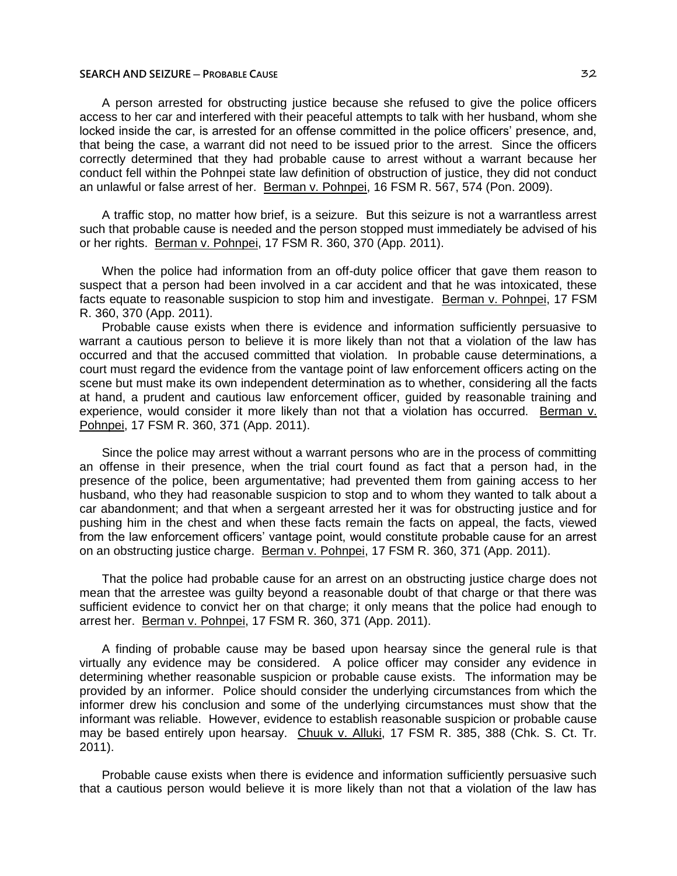A person arrested for obstructing justice because she refused to give the police officers access to her car and interfered with their peaceful attempts to talk with her husband, whom she locked inside the car, is arrested for an offense committed in the police officers' presence, and, that being the case, a warrant did not need to be issued prior to the arrest. Since the officers correctly determined that they had probable cause to arrest without a warrant because her conduct fell within the Pohnpei state law definition of obstruction of justice, they did not conduct an unlawful or false arrest of her. Berman v. Pohnpei, 16 FSM R. 567, 574 (Pon. 2009).

A traffic stop, no matter how brief, is a seizure. But this seizure is not a warrantless arrest such that probable cause is needed and the person stopped must immediately be advised of his or her rights. Berman v. Pohnpei, 17 FSM R. 360, 370 (App. 2011).

When the police had information from an off-duty police officer that gave them reason to suspect that a person had been involved in a car accident and that he was intoxicated, these facts equate to reasonable suspicion to stop him and investigate. Berman v. Pohnpei, 17 FSM R. 360, 370 (App. 2011).

Probable cause exists when there is evidence and information sufficiently persuasive to warrant a cautious person to believe it is more likely than not that a violation of the law has occurred and that the accused committed that violation. In probable cause determinations, a court must regard the evidence from the vantage point of law enforcement officers acting on the scene but must make its own independent determination as to whether, considering all the facts at hand, a prudent and cautious law enforcement officer, guided by reasonable training and experience, would consider it more likely than not that a violation has occurred. Berman v. Pohnpei, 17 FSM R. 360, 371 (App. 2011).

Since the police may arrest without a warrant persons who are in the process of committing an offense in their presence, when the trial court found as fact that a person had, in the presence of the police, been argumentative; had prevented them from gaining access to her husband, who they had reasonable suspicion to stop and to whom they wanted to talk about a car abandonment; and that when a sergeant arrested her it was for obstructing justice and for pushing him in the chest and when these facts remain the facts on appeal, the facts, viewed from the law enforcement officers' vantage point, would constitute probable cause for an arrest on an obstructing justice charge. Berman v. Pohnpei, 17 FSM R. 360, 371 (App. 2011).

That the police had probable cause for an arrest on an obstructing justice charge does not mean that the arrestee was guilty beyond a reasonable doubt of that charge or that there was sufficient evidence to convict her on that charge; it only means that the police had enough to arrest her. Berman v. Pohnpei, 17 FSM R. 360, 371 (App. 2011).

A finding of probable cause may be based upon hearsay since the general rule is that virtually any evidence may be considered. A police officer may consider any evidence in determining whether reasonable suspicion or probable cause exists. The information may be provided by an informer. Police should consider the underlying circumstances from which the informer drew his conclusion and some of the underlying circumstances must show that the informant was reliable. However, evidence to establish reasonable suspicion or probable cause may be based entirely upon hearsay. Chuuk v. Alluki, 17 FSM R. 385, 388 (Chk. S. Ct. Tr. 2011).

Probable cause exists when there is evidence and information sufficiently persuasive such that a cautious person would believe it is more likely than not that a violation of the law has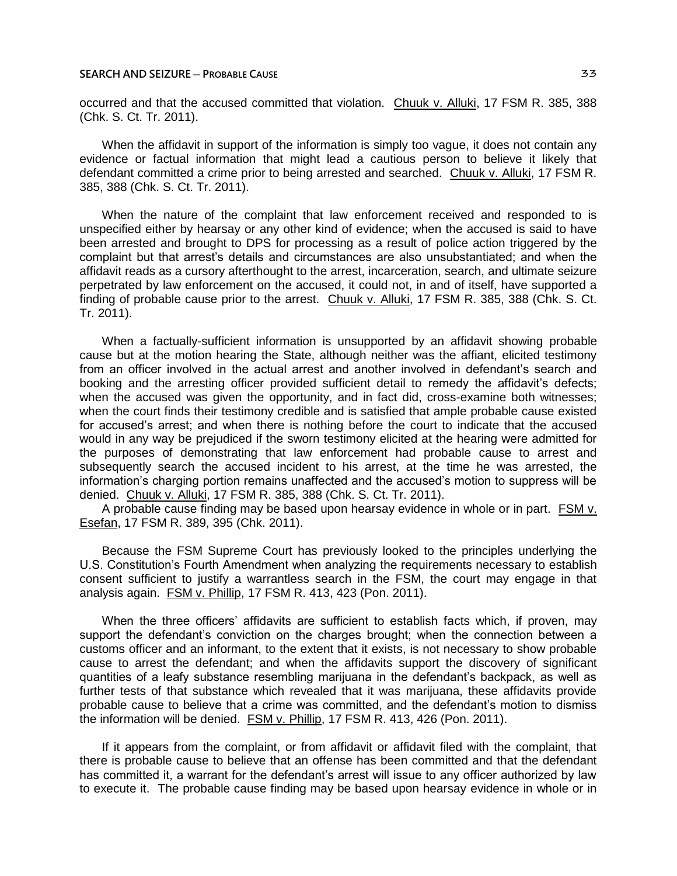occurred and that the accused committed that violation. Chuuk v. Alluki, 17 FSM R. 385, 388 (Chk. S. Ct. Tr. 2011).

When the affidavit in support of the information is simply too vague, it does not contain any evidence or factual information that might lead a cautious person to believe it likely that defendant committed a crime prior to being arrested and searched. Chuuk v. Alluki, 17 FSM R. 385, 388 (Chk. S. Ct. Tr. 2011).

When the nature of the complaint that law enforcement received and responded to is unspecified either by hearsay or any other kind of evidence; when the accused is said to have been arrested and brought to DPS for processing as a result of police action triggered by the complaint but that arrest's details and circumstances are also unsubstantiated; and when the affidavit reads as a cursory afterthought to the arrest, incarceration, search, and ultimate seizure perpetrated by law enforcement on the accused, it could not, in and of itself, have supported a finding of probable cause prior to the arrest. Chuuk v. Alluki, 17 FSM R. 385, 388 (Chk. S. Ct. Tr. 2011).

When a factually-sufficient information is unsupported by an affidavit showing probable cause but at the motion hearing the State, although neither was the affiant, elicited testimony from an officer involved in the actual arrest and another involved in defendant's search and booking and the arresting officer provided sufficient detail to remedy the affidavit's defects; when the accused was given the opportunity, and in fact did, cross-examine both witnesses; when the court finds their testimony credible and is satisfied that ample probable cause existed for accused's arrest; and when there is nothing before the court to indicate that the accused would in any way be prejudiced if the sworn testimony elicited at the hearing were admitted for the purposes of demonstrating that law enforcement had probable cause to arrest and subsequently search the accused incident to his arrest, at the time he was arrested, the information's charging portion remains unaffected and the accused's motion to suppress will be denied. Chuuk v. Alluki, 17 FSM R. 385, 388 (Chk. S. Ct. Tr. 2011).

A probable cause finding may be based upon hearsay evidence in whole or in part. FSM v. Esefan, 17 FSM R. 389, 395 (Chk. 2011).

Because the FSM Supreme Court has previously looked to the principles underlying the U.S. Constitution's Fourth Amendment when analyzing the requirements necessary to establish consent sufficient to justify a warrantless search in the FSM, the court may engage in that analysis again. FSM v. Phillip, 17 FSM R. 413, 423 (Pon. 2011).

When the three officers' affidavits are sufficient to establish facts which, if proven, may support the defendant's conviction on the charges brought; when the connection between a customs officer and an informant, to the extent that it exists, is not necessary to show probable cause to arrest the defendant; and when the affidavits support the discovery of significant quantities of a leafy substance resembling marijuana in the defendant's backpack, as well as further tests of that substance which revealed that it was marijuana, these affidavits provide probable cause to believe that a crime was committed, and the defendant's motion to dismiss the information will be denied. FSM v. Phillip, 17 FSM R. 413, 426 (Pon. 2011).

If it appears from the complaint, or from affidavit or affidavit filed with the complaint, that there is probable cause to believe that an offense has been committed and that the defendant has committed it, a warrant for the defendant's arrest will issue to any officer authorized by law to execute it. The probable cause finding may be based upon hearsay evidence in whole or in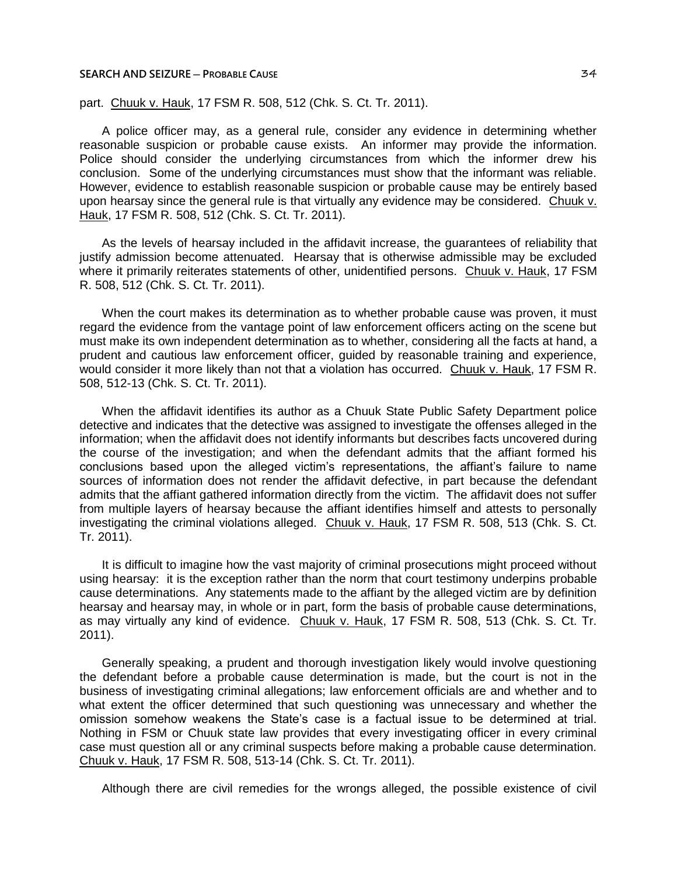part. Chuuk v. Hauk, 17 FSM R. 508, 512 (Chk. S. Ct. Tr. 2011).

A police officer may, as a general rule, consider any evidence in determining whether reasonable suspicion or probable cause exists. An informer may provide the information. Police should consider the underlying circumstances from which the informer drew his conclusion. Some of the underlying circumstances must show that the informant was reliable. However, evidence to establish reasonable suspicion or probable cause may be entirely based upon hearsay since the general rule is that virtually any evidence may be considered. Chuuk v. Hauk, 17 FSM R. 508, 512 (Chk. S. Ct. Tr. 2011).

As the levels of hearsay included in the affidavit increase, the guarantees of reliability that justify admission become attenuated. Hearsay that is otherwise admissible may be excluded where it primarily reiterates statements of other, unidentified persons. Chuuk v. Hauk, 17 FSM R. 508, 512 (Chk. S. Ct. Tr. 2011).

When the court makes its determination as to whether probable cause was proven, it must regard the evidence from the vantage point of law enforcement officers acting on the scene but must make its own independent determination as to whether, considering all the facts at hand, a prudent and cautious law enforcement officer, guided by reasonable training and experience, would consider it more likely than not that a violation has occurred. Chuuk v. Hauk, 17 FSM R. 508, 512-13 (Chk. S. Ct. Tr. 2011).

When the affidavit identifies its author as a Chuuk State Public Safety Department police detective and indicates that the detective was assigned to investigate the offenses alleged in the information; when the affidavit does not identify informants but describes facts uncovered during the course of the investigation; and when the defendant admits that the affiant formed his conclusions based upon the alleged victim's representations, the affiant's failure to name sources of information does not render the affidavit defective, in part because the defendant admits that the affiant gathered information directly from the victim. The affidavit does not suffer from multiple layers of hearsay because the affiant identifies himself and attests to personally investigating the criminal violations alleged. Chuuk v. Hauk, 17 FSM R. 508, 513 (Chk. S. Ct. Tr. 2011).

It is difficult to imagine how the vast majority of criminal prosecutions might proceed without using hearsay: it is the exception rather than the norm that court testimony underpins probable cause determinations. Any statements made to the affiant by the alleged victim are by definition hearsay and hearsay may, in whole or in part, form the basis of probable cause determinations, as may virtually any kind of evidence. Chuuk v. Hauk, 17 FSM R. 508, 513 (Chk. S. Ct. Tr. 2011).

Generally speaking, a prudent and thorough investigation likely would involve questioning the defendant before a probable cause determination is made, but the court is not in the business of investigating criminal allegations; law enforcement officials are and whether and to what extent the officer determined that such questioning was unnecessary and whether the omission somehow weakens the State's case is a factual issue to be determined at trial. Nothing in FSM or Chuuk state law provides that every investigating officer in every criminal case must question all or any criminal suspects before making a probable cause determination. Chuuk v. Hauk, 17 FSM R. 508, 513-14 (Chk. S. Ct. Tr. 2011).

Although there are civil remedies for the wrongs alleged, the possible existence of civil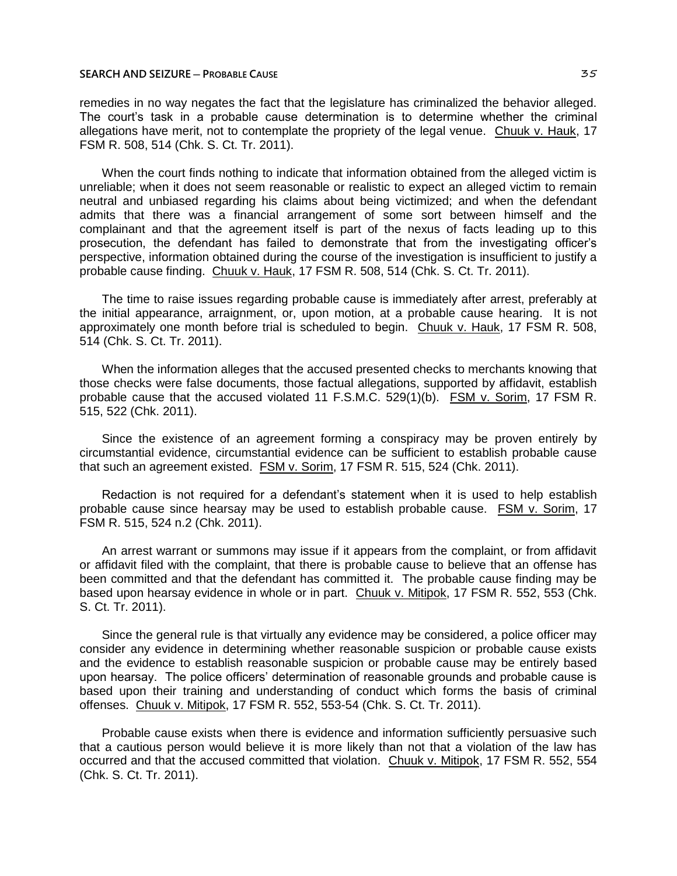remedies in no way negates the fact that the legislature has criminalized the behavior alleged. The court's task in a probable cause determination is to determine whether the criminal allegations have merit, not to contemplate the propriety of the legal venue. Chuuk v. Hauk, 17 FSM R. 508, 514 (Chk. S. Ct. Tr. 2011).

When the court finds nothing to indicate that information obtained from the alleged victim is unreliable; when it does not seem reasonable or realistic to expect an alleged victim to remain neutral and unbiased regarding his claims about being victimized; and when the defendant admits that there was a financial arrangement of some sort between himself and the complainant and that the agreement itself is part of the nexus of facts leading up to this prosecution, the defendant has failed to demonstrate that from the investigating officer's perspective, information obtained during the course of the investigation is insufficient to justify a probable cause finding. Chuuk v. Hauk, 17 FSM R. 508, 514 (Chk. S. Ct. Tr. 2011).

The time to raise issues regarding probable cause is immediately after arrest, preferably at the initial appearance, arraignment, or, upon motion, at a probable cause hearing. It is not approximately one month before trial is scheduled to begin. Chuuk v. Hauk, 17 FSM R. 508, 514 (Chk. S. Ct. Tr. 2011).

When the information alleges that the accused presented checks to merchants knowing that those checks were false documents, those factual allegations, supported by affidavit, establish probable cause that the accused violated 11 F.S.M.C. 529(1)(b). FSM v. Sorim, 17 FSM R. 515, 522 (Chk. 2011).

Since the existence of an agreement forming a conspiracy may be proven entirely by circumstantial evidence, circumstantial evidence can be sufficient to establish probable cause that such an agreement existed. FSM v. Sorim, 17 FSM R. 515, 524 (Chk. 2011).

Redaction is not required for a defendant's statement when it is used to help establish probable cause since hearsay may be used to establish probable cause. FSM v. Sorim, 17 FSM R. 515, 524 n.2 (Chk. 2011).

An arrest warrant or summons may issue if it appears from the complaint, or from affidavit or affidavit filed with the complaint, that there is probable cause to believe that an offense has been committed and that the defendant has committed it. The probable cause finding may be based upon hearsay evidence in whole or in part. Chuuk v. Mitipok, 17 FSM R. 552, 553 (Chk. S. Ct. Tr. 2011).

Since the general rule is that virtually any evidence may be considered, a police officer may consider any evidence in determining whether reasonable suspicion or probable cause exists and the evidence to establish reasonable suspicion or probable cause may be entirely based upon hearsay. The police officers' determination of reasonable grounds and probable cause is based upon their training and understanding of conduct which forms the basis of criminal offenses. Chuuk v. Mitipok, 17 FSM R. 552, 553-54 (Chk. S. Ct. Tr. 2011).

Probable cause exists when there is evidence and information sufficiently persuasive such that a cautious person would believe it is more likely than not that a violation of the law has occurred and that the accused committed that violation. Chuuk v. Mitipok, 17 FSM R. 552, 554 (Chk. S. Ct. Tr. 2011).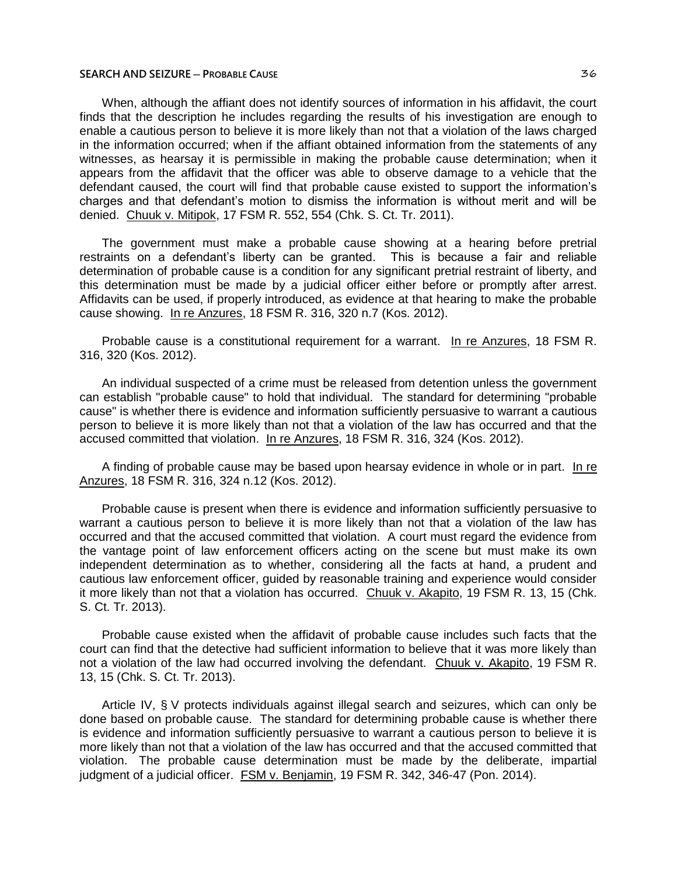When, although the affiant does not identify sources of information in his affidavit, the court finds that the description he includes regarding the results of his investigation are enough to enable a cautious person to believe it is more likely than not that a violation of the laws charged in the information occurred; when if the affiant obtained information from the statements of any witnesses, as hearsay it is permissible in making the probable cause determination; when it appears from the affidavit that the officer was able to observe damage to a vehicle that the defendant caused, the court will find that probable cause existed to support the information's charges and that defendant's motion to dismiss the information is without merit and will be denied. Chuuk v. Mitipok, 17 FSM R. 552, 554 (Chk. S. Ct. Tr. 2011).

The government must make a probable cause showing at a hearing before pretrial restraints on a defendant's liberty can be granted. This is because a fair and reliable determination of probable cause is a condition for any significant pretrial restraint of liberty, and this determination must be made by a judicial officer either before or promptly after arrest. Affidavits can be used, if properly introduced, as evidence at that hearing to make the probable cause showing. In re Anzures, 18 FSM R. 316, 320 n.7 (Kos. 2012).

Probable cause is a constitutional requirement for a warrant. In re Anzures, 18 FSM R. 316, 320 (Kos. 2012).

An individual suspected of a crime must be released from detention unless the government can establish "probable cause" to hold that individual. The standard for determining "probable cause" is whether there is evidence and information sufficiently persuasive to warrant a cautious person to believe it is more likely than not that a violation of the law has occurred and that the accused committed that violation. In re Anzures, 18 FSM R. 316, 324 (Kos. 2012).

A finding of probable cause may be based upon hearsay evidence in whole or in part. In re Anzures, 18 FSM R. 316, 324 n.12 (Kos. 2012).

Probable cause is present when there is evidence and information sufficiently persuasive to warrant a cautious person to believe it is more likely than not that a violation of the law has occurred and that the accused committed that violation. A court must regard the evidence from the vantage point of law enforcement officers acting on the scene but must make its own independent determination as to whether, considering all the facts at hand, a prudent and cautious law enforcement officer, guided by reasonable training and experience would consider it more likely than not that a violation has occurred. Chuuk v. Akapito, 19 FSM R. 13, 15 (Chk. S. Ct. Tr. 2013).

Probable cause existed when the affidavit of probable cause includes such facts that the court can find that the detective had sufficient information to believe that it was more likely than not a violation of the law had occurred involving the defendant. Chuuk v. Akapito, 19 FSM R. 13, 15 (Chk. S. Ct. Tr. 2013).

Article IV, § V protects individuals against illegal search and seizures, which can only be done based on probable cause. The standard for determining probable cause is whether there is evidence and information sufficiently persuasive to warrant a cautious person to believe it is more likely than not that a violation of the law has occurred and that the accused committed that violation. The probable cause determination must be made by the deliberate, impartial judgment of a judicial officer. FSM v. Benjamin, 19 FSM R. 342, 346-47 (Pon. 2014).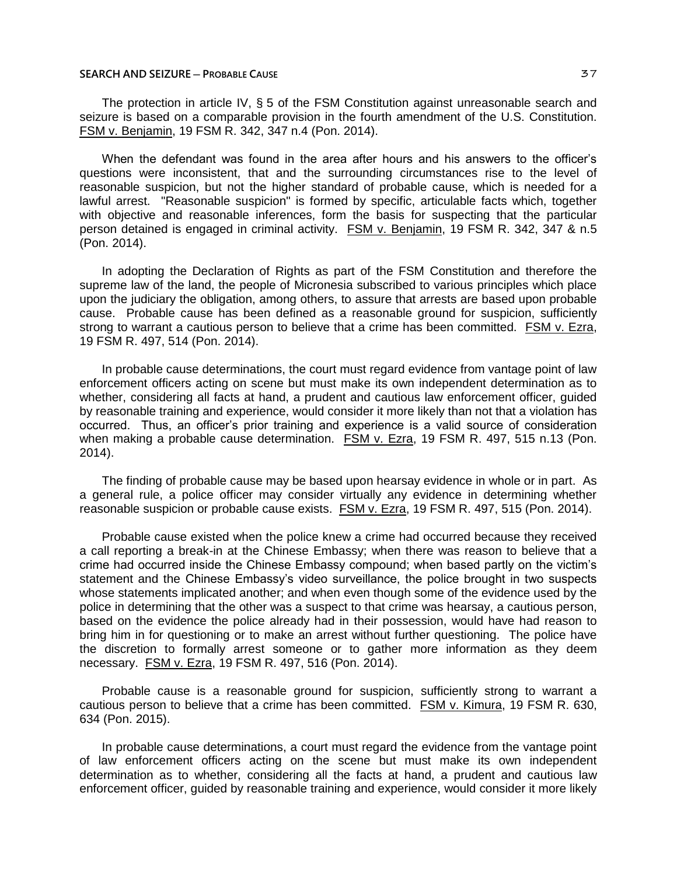The protection in article IV, § 5 of the FSM Constitution against unreasonable search and seizure is based on a comparable provision in the fourth amendment of the U.S. Constitution. FSM v. Benjamin, 19 FSM R. 342, 347 n.4 (Pon. 2014).

When the defendant was found in the area after hours and his answers to the officer's questions were inconsistent, that and the surrounding circumstances rise to the level of reasonable suspicion, but not the higher standard of probable cause, which is needed for a lawful arrest. "Reasonable suspicion" is formed by specific, articulable facts which, together with objective and reasonable inferences, form the basis for suspecting that the particular person detained is engaged in criminal activity. **FSM v. Benjamin**, 19 FSM R. 342, 347 & n.5 (Pon. 2014).

In adopting the Declaration of Rights as part of the FSM Constitution and therefore the supreme law of the land, the people of Micronesia subscribed to various principles which place upon the judiciary the obligation, among others, to assure that arrests are based upon probable cause. Probable cause has been defined as a reasonable ground for suspicion, sufficiently strong to warrant a cautious person to believe that a crime has been committed. FSM v. Ezra, 19 FSM R. 497, 514 (Pon. 2014).

In probable cause determinations, the court must regard evidence from vantage point of law enforcement officers acting on scene but must make its own independent determination as to whether, considering all facts at hand, a prudent and cautious law enforcement officer, guided by reasonable training and experience, would consider it more likely than not that a violation has occurred. Thus, an officer's prior training and experience is a valid source of consideration when making a probable cause determination. FSM v. Ezra, 19 FSM R. 497, 515 n.13 (Pon. 2014).

The finding of probable cause may be based upon hearsay evidence in whole or in part. As a general rule, a police officer may consider virtually any evidence in determining whether reasonable suspicion or probable cause exists. FSM v. Ezra, 19 FSM R. 497, 515 (Pon. 2014).

Probable cause existed when the police knew a crime had occurred because they received a call reporting a break-in at the Chinese Embassy; when there was reason to believe that a crime had occurred inside the Chinese Embassy compound; when based partly on the victim's statement and the Chinese Embassy's video surveillance, the police brought in two suspects whose statements implicated another; and when even though some of the evidence used by the police in determining that the other was a suspect to that crime was hearsay, a cautious person, based on the evidence the police already had in their possession, would have had reason to bring him in for questioning or to make an arrest without further questioning. The police have the discretion to formally arrest someone or to gather more information as they deem necessary. FSM v. Ezra, 19 FSM R. 497, 516 (Pon. 2014).

Probable cause is a reasonable ground for suspicion, sufficiently strong to warrant a cautious person to believe that a crime has been committed. FSM v. Kimura, 19 FSM R. 630, 634 (Pon. 2015).

In probable cause determinations, a court must regard the evidence from the vantage point of law enforcement officers acting on the scene but must make its own independent determination as to whether, considering all the facts at hand, a prudent and cautious law enforcement officer, guided by reasonable training and experience, would consider it more likely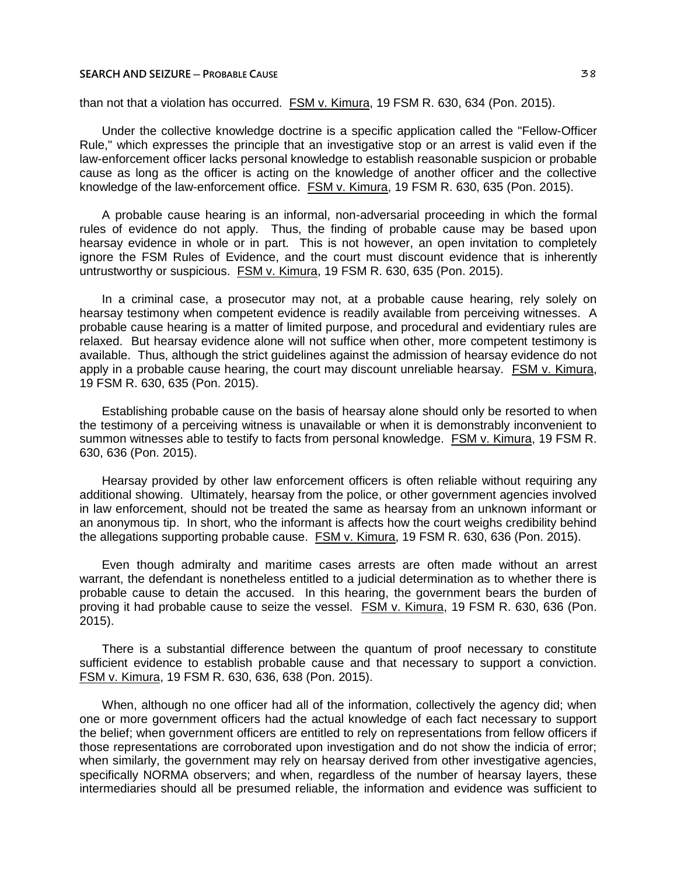than not that a violation has occurred. FSM v. Kimura, 19 FSM R. 630, 634 (Pon. 2015).

Under the collective knowledge doctrine is a specific application called the "Fellow-Officer Rule," which expresses the principle that an investigative stop or an arrest is valid even if the law-enforcement officer lacks personal knowledge to establish reasonable suspicion or probable cause as long as the officer is acting on the knowledge of another officer and the collective knowledge of the law-enforcement office. FSM v. Kimura, 19 FSM R. 630, 635 (Pon. 2015).

A probable cause hearing is an informal, non-adversarial proceeding in which the formal rules of evidence do not apply. Thus, the finding of probable cause may be based upon hearsay evidence in whole or in part. This is not however, an open invitation to completely ignore the FSM Rules of Evidence, and the court must discount evidence that is inherently untrustworthy or suspicious. FSM v. Kimura, 19 FSM R. 630, 635 (Pon. 2015).

In a criminal case, a prosecutor may not, at a probable cause hearing, rely solely on hearsay testimony when competent evidence is readily available from perceiving witnesses. A probable cause hearing is a matter of limited purpose, and procedural and evidentiary rules are relaxed. But hearsay evidence alone will not suffice when other, more competent testimony is available. Thus, although the strict guidelines against the admission of hearsay evidence do not apply in a probable cause hearing, the court may discount unreliable hearsay. FSM v. Kimura, 19 FSM R. 630, 635 (Pon. 2015).

Establishing probable cause on the basis of hearsay alone should only be resorted to when the testimony of a perceiving witness is unavailable or when it is demonstrably inconvenient to summon witnesses able to testify to facts from personal knowledge. FSM v. Kimura, 19 FSM R. 630, 636 (Pon. 2015).

Hearsay provided by other law enforcement officers is often reliable without requiring any additional showing. Ultimately, hearsay from the police, or other government agencies involved in law enforcement, should not be treated the same as hearsay from an unknown informant or an anonymous tip. In short, who the informant is affects how the court weighs credibility behind the allegations supporting probable cause. FSM v. Kimura, 19 FSM R. 630, 636 (Pon. 2015).

Even though admiralty and maritime cases arrests are often made without an arrest warrant, the defendant is nonetheless entitled to a judicial determination as to whether there is probable cause to detain the accused. In this hearing, the government bears the burden of proving it had probable cause to seize the vessel. FSM v. Kimura, 19 FSM R. 630, 636 (Pon. 2015).

There is a substantial difference between the quantum of proof necessary to constitute sufficient evidence to establish probable cause and that necessary to support a conviction. FSM v. Kimura, 19 FSM R. 630, 636, 638 (Pon. 2015).

When, although no one officer had all of the information, collectively the agency did; when one or more government officers had the actual knowledge of each fact necessary to support the belief; when government officers are entitled to rely on representations from fellow officers if those representations are corroborated upon investigation and do not show the indicia of error; when similarly, the government may rely on hearsay derived from other investigative agencies, specifically NORMA observers; and when, regardless of the number of hearsay layers, these intermediaries should all be presumed reliable, the information and evidence was sufficient to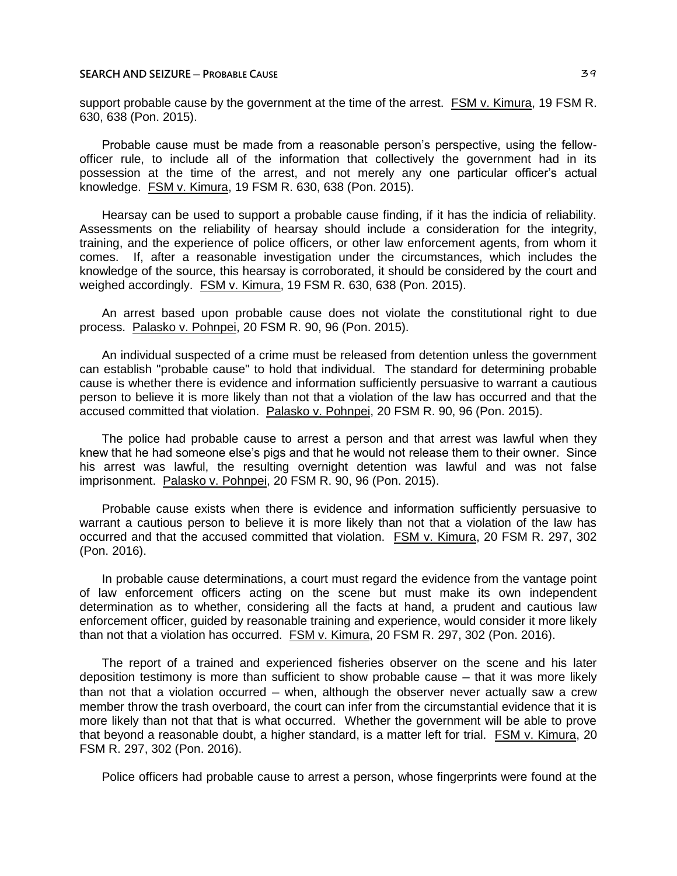support probable cause by the government at the time of the arrest. FSM v. Kimura, 19 FSM R. 630, 638 (Pon. 2015).

Probable cause must be made from a reasonable person's perspective, using the fellowofficer rule, to include all of the information that collectively the government had in its possession at the time of the arrest, and not merely any one particular officer's actual knowledge. FSM v. Kimura, 19 FSM R. 630, 638 (Pon. 2015).

Hearsay can be used to support a probable cause finding, if it has the indicia of reliability. Assessments on the reliability of hearsay should include a consideration for the integrity, training, and the experience of police officers, or other law enforcement agents, from whom it comes. If, after a reasonable investigation under the circumstances, which includes the knowledge of the source, this hearsay is corroborated, it should be considered by the court and weighed accordingly. FSM v. Kimura, 19 FSM R. 630, 638 (Pon. 2015).

An arrest based upon probable cause does not violate the constitutional right to due process. Palasko v. Pohnpei, 20 FSM R. 90, 96 (Pon. 2015).

An individual suspected of a crime must be released from detention unless the government can establish "probable cause" to hold that individual. The standard for determining probable cause is whether there is evidence and information sufficiently persuasive to warrant a cautious person to believe it is more likely than not that a violation of the law has occurred and that the accused committed that violation. Palasko v. Pohnpei, 20 FSM R. 90, 96 (Pon. 2015).

The police had probable cause to arrest a person and that arrest was lawful when they knew that he had someone else's pigs and that he would not release them to their owner. Since his arrest was lawful, the resulting overnight detention was lawful and was not false imprisonment. Palasko v. Pohnpei, 20 FSM R. 90, 96 (Pon. 2015).

Probable cause exists when there is evidence and information sufficiently persuasive to warrant a cautious person to believe it is more likely than not that a violation of the law has occurred and that the accused committed that violation. FSM v. Kimura, 20 FSM R. 297, 302 (Pon. 2016).

In probable cause determinations, a court must regard the evidence from the vantage point of law enforcement officers acting on the scene but must make its own independent determination as to whether, considering all the facts at hand, a prudent and cautious law enforcement officer, guided by reasonable training and experience, would consider it more likely than not that a violation has occurred. FSM v. Kimura, 20 FSM R. 297, 302 (Pon. 2016).

The report of a trained and experienced fisheries observer on the scene and his later deposition testimony is more than sufficient to show probable cause — that it was more likely than not that a violation occurred – when, although the observer never actually saw a crew member throw the trash overboard, the court can infer from the circumstantial evidence that it is more likely than not that that is what occurred. Whether the government will be able to prove that beyond a reasonable doubt, a higher standard, is a matter left for trial. FSM v. Kimura, 20 FSM R. 297, 302 (Pon. 2016).

Police officers had probable cause to arrest a person, whose fingerprints were found at the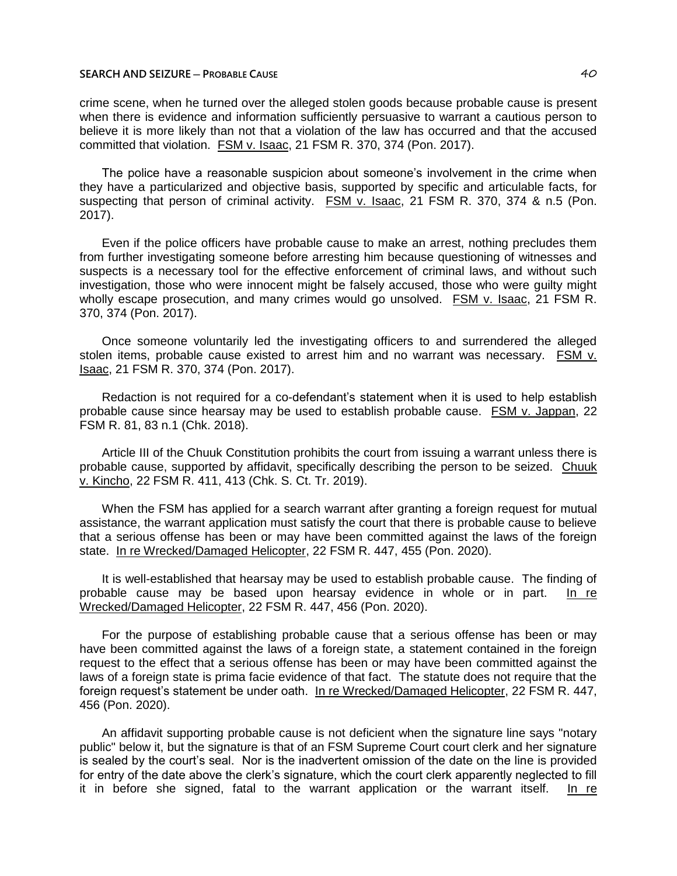crime scene, when he turned over the alleged stolen goods because probable cause is present when there is evidence and information sufficiently persuasive to warrant a cautious person to believe it is more likely than not that a violation of the law has occurred and that the accused committed that violation. FSM v. Isaac, 21 FSM R. 370, 374 (Pon. 2017).

The police have a reasonable suspicion about someone's involvement in the crime when they have a particularized and objective basis, supported by specific and articulable facts, for suspecting that person of criminal activity. FSM v. Isaac, 21 FSM R. 370, 374 & n.5 (Pon. 2017).

Even if the police officers have probable cause to make an arrest, nothing precludes them from further investigating someone before arresting him because questioning of witnesses and suspects is a necessary tool for the effective enforcement of criminal laws, and without such investigation, those who were innocent might be falsely accused, those who were guilty might wholly escape prosecution, and many crimes would go unsolved. FSM v. Isaac, 21 FSM R. 370, 374 (Pon. 2017).

Once someone voluntarily led the investigating officers to and surrendered the alleged stolen items, probable cause existed to arrest him and no warrant was necessary. FSM v. Isaac, 21 FSM R. 370, 374 (Pon. 2017).

Redaction is not required for a co-defendant's statement when it is used to help establish probable cause since hearsay may be used to establish probable cause. FSM v. Jappan, 22 FSM R. 81, 83 n.1 (Chk. 2018).

Article III of the Chuuk Constitution prohibits the court from issuing a warrant unless there is probable cause, supported by affidavit, specifically describing the person to be seized. Chuuk v. Kincho, 22 FSM R. 411, 413 (Chk. S. Ct. Tr. 2019).

When the FSM has applied for a search warrant after granting a foreign request for mutual assistance, the warrant application must satisfy the court that there is probable cause to believe that a serious offense has been or may have been committed against the laws of the foreign state. In re Wrecked/Damaged Helicopter, 22 FSM R. 447, 455 (Pon. 2020).

It is well-established that hearsay may be used to establish probable cause. The finding of probable cause may be based upon hearsay evidence in whole or in part. In re Wrecked/Damaged Helicopter, 22 FSM R. 447, 456 (Pon. 2020).

For the purpose of establishing probable cause that a serious offense has been or may have been committed against the laws of a foreign state, a statement contained in the foreign request to the effect that a serious offense has been or may have been committed against the laws of a foreign state is prima facie evidence of that fact. The statute does not require that the foreign request's statement be under oath. In re Wrecked/Damaged Helicopter, 22 FSM R. 447, 456 (Pon. 2020).

An affidavit supporting probable cause is not deficient when the signature line says "notary public" below it, but the signature is that of an FSM Supreme Court court clerk and her signature is sealed by the court's seal. Nor is the inadvertent omission of the date on the line is provided for entry of the date above the clerk's signature, which the court clerk apparently neglected to fill it in before she signed, fatal to the warrant application or the warrant itself. In re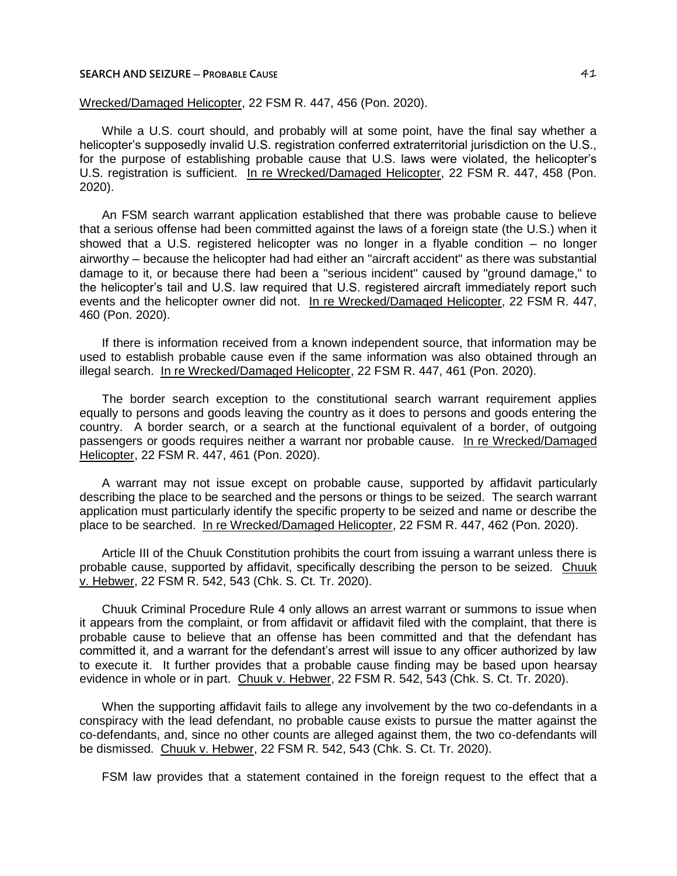# Wrecked/Damaged Helicopter, 22 FSM R. 447, 456 (Pon. 2020).

While a U.S. court should, and probably will at some point, have the final say whether a helicopter's supposedly invalid U.S. registration conferred extraterritorial jurisdiction on the U.S., for the purpose of establishing probable cause that U.S. laws were violated, the helicopter's U.S. registration is sufficient. In re Wrecked/Damaged Helicopter, 22 FSM R. 447, 458 (Pon. 2020).

An FSM search warrant application established that there was probable cause to believe that a serious offense had been committed against the laws of a foreign state (the U.S.) when it showed that a U.S. registered helicopter was no longer in a flyable condition - no longer airworthy ─ because the helicopter had had either an "aircraft accident" as there was substantial damage to it, or because there had been a "serious incident" caused by "ground damage," to the helicopter's tail and U.S. law required that U.S. registered aircraft immediately report such events and the helicopter owner did not. In re Wrecked/Damaged Helicopter, 22 FSM R. 447, 460 (Pon. 2020).

If there is information received from a known independent source, that information may be used to establish probable cause even if the same information was also obtained through an illegal search. In re Wrecked/Damaged Helicopter, 22 FSM R. 447, 461 (Pon. 2020).

The border search exception to the constitutional search warrant requirement applies equally to persons and goods leaving the country as it does to persons and goods entering the country. A border search, or a search at the functional equivalent of a border, of outgoing passengers or goods requires neither a warrant nor probable cause. In re Wrecked/Damaged Helicopter, 22 FSM R. 447, 461 (Pon. 2020).

A warrant may not issue except on probable cause, supported by affidavit particularly describing the place to be searched and the persons or things to be seized. The search warrant application must particularly identify the specific property to be seized and name or describe the place to be searched. In re Wrecked/Damaged Helicopter, 22 FSM R. 447, 462 (Pon. 2020).

Article III of the Chuuk Constitution prohibits the court from issuing a warrant unless there is probable cause, supported by affidavit, specifically describing the person to be seized. Chuuk v. Hebwer, 22 FSM R. 542, 543 (Chk. S. Ct. Tr. 2020).

Chuuk Criminal Procedure Rule 4 only allows an arrest warrant or summons to issue when it appears from the complaint, or from affidavit or affidavit filed with the complaint, that there is probable cause to believe that an offense has been committed and that the defendant has committed it, and a warrant for the defendant's arrest will issue to any officer authorized by law to execute it. It further provides that a probable cause finding may be based upon hearsay evidence in whole or in part. Chuuk v. Hebwer, 22 FSM R. 542, 543 (Chk. S. Ct. Tr. 2020).

When the supporting affidavit fails to allege any involvement by the two co-defendants in a conspiracy with the lead defendant, no probable cause exists to pursue the matter against the co-defendants, and, since no other counts are alleged against them, the two co-defendants will be dismissed. Chuuk v. Hebwer, 22 FSM R. 542, 543 (Chk. S. Ct. Tr. 2020).

FSM law provides that a statement contained in the foreign request to the effect that a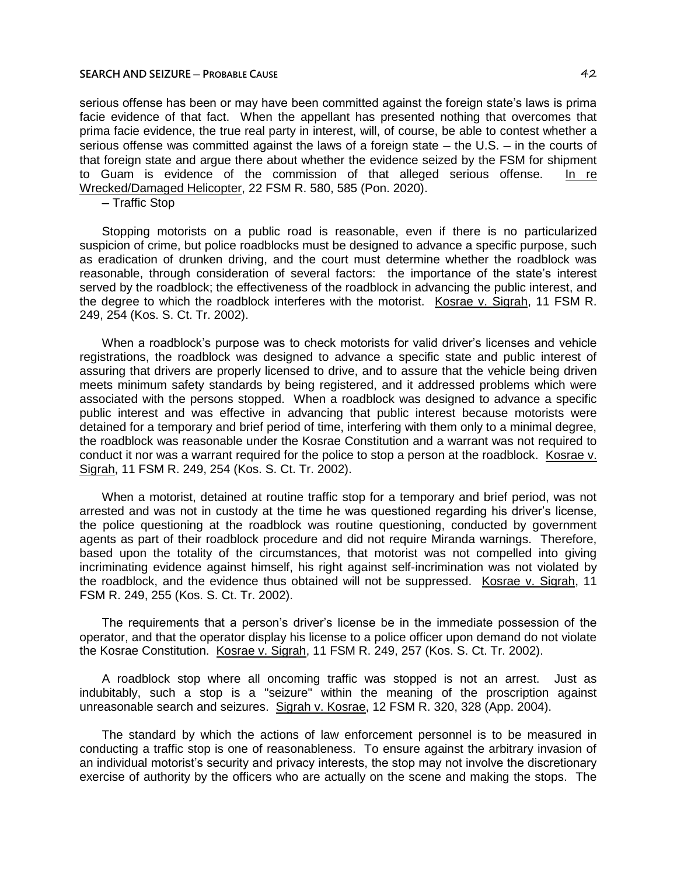serious offense has been or may have been committed against the foreign state's laws is prima facie evidence of that fact. When the appellant has presented nothing that overcomes that prima facie evidence, the true real party in interest, will, of course, be able to contest whether a serious offense was committed against the laws of a foreign state – the U.S. – in the courts of that foreign state and argue there about whether the evidence seized by the FSM for shipment to Guam is evidence of the commission of that alleged serious offense. In re Wrecked/Damaged Helicopter, 22 FSM R. 580, 585 (Pon. 2020).

─ Traffic Stop

Stopping motorists on a public road is reasonable, even if there is no particularized suspicion of crime, but police roadblocks must be designed to advance a specific purpose, such as eradication of drunken driving, and the court must determine whether the roadblock was reasonable, through consideration of several factors: the importance of the state's interest served by the roadblock; the effectiveness of the roadblock in advancing the public interest, and the degree to which the roadblock interferes with the motorist. Kosrae v. Sigrah, 11 FSM R. 249, 254 (Kos. S. Ct. Tr. 2002).

When a roadblock's purpose was to check motorists for valid driver's licenses and vehicle registrations, the roadblock was designed to advance a specific state and public interest of assuring that drivers are properly licensed to drive, and to assure that the vehicle being driven meets minimum safety standards by being registered, and it addressed problems which were associated with the persons stopped. When a roadblock was designed to advance a specific public interest and was effective in advancing that public interest because motorists were detained for a temporary and brief period of time, interfering with them only to a minimal degree, the roadblock was reasonable under the Kosrae Constitution and a warrant was not required to conduct it nor was a warrant required for the police to stop a person at the roadblock. Kosrae v. Sigrah, 11 FSM R. 249, 254 (Kos. S. Ct. Tr. 2002).

When a motorist, detained at routine traffic stop for a temporary and brief period, was not arrested and was not in custody at the time he was questioned regarding his driver's license, the police questioning at the roadblock was routine questioning, conducted by government agents as part of their roadblock procedure and did not require Miranda warnings. Therefore, based upon the totality of the circumstances, that motorist was not compelled into giving incriminating evidence against himself, his right against self-incrimination was not violated by the roadblock, and the evidence thus obtained will not be suppressed. Kosrae v. Sigrah, 11 FSM R. 249, 255 (Kos. S. Ct. Tr. 2002).

The requirements that a person's driver's license be in the immediate possession of the operator, and that the operator display his license to a police officer upon demand do not violate the Kosrae Constitution. Kosrae v. Sigrah, 11 FSM R. 249, 257 (Kos. S. Ct. Tr. 2002).

A roadblock stop where all oncoming traffic was stopped is not an arrest. Just as indubitably, such a stop is a "seizure" within the meaning of the proscription against unreasonable search and seizures. Sigrah v. Kosrae, 12 FSM R. 320, 328 (App. 2004).

The standard by which the actions of law enforcement personnel is to be measured in conducting a traffic stop is one of reasonableness. To ensure against the arbitrary invasion of an individual motorist's security and privacy interests, the stop may not involve the discretionary exercise of authority by the officers who are actually on the scene and making the stops. The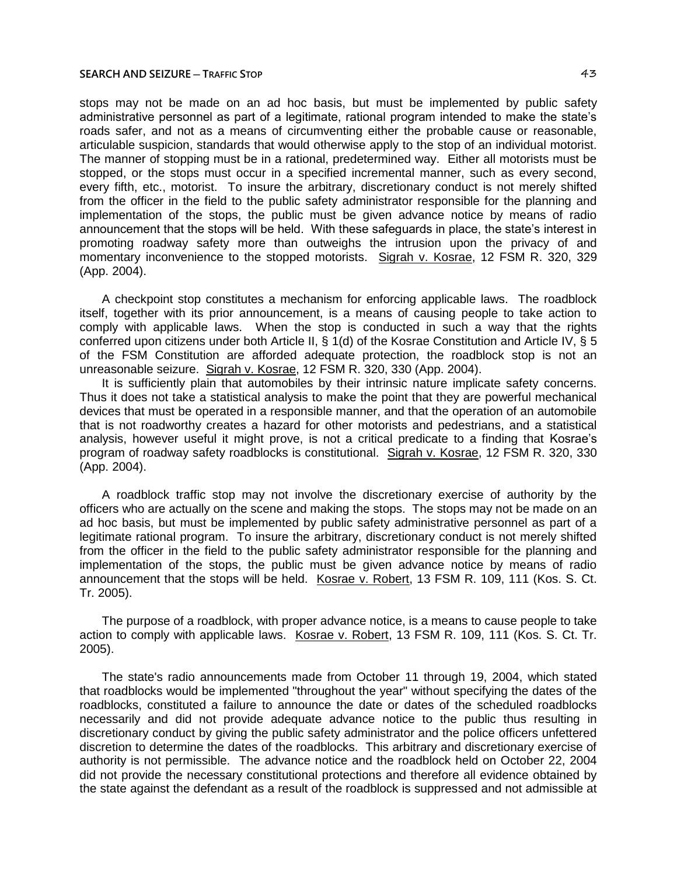#### **SEARCH AND SEIZURE ─ TRAFFIC STOP** 43

stops may not be made on an ad hoc basis, but must be implemented by public safety administrative personnel as part of a legitimate, rational program intended to make the state's roads safer, and not as a means of circumventing either the probable cause or reasonable, articulable suspicion, standards that would otherwise apply to the stop of an individual motorist. The manner of stopping must be in a rational, predetermined way. Either all motorists must be stopped, or the stops must occur in a specified incremental manner, such as every second, every fifth, etc., motorist. To insure the arbitrary, discretionary conduct is not merely shifted from the officer in the field to the public safety administrator responsible for the planning and implementation of the stops, the public must be given advance notice by means of radio announcement that the stops will be held. With these safeguards in place, the state's interest in promoting roadway safety more than outweighs the intrusion upon the privacy of and momentary inconvenience to the stopped motorists. Sigrah v. Kosrae, 12 FSM R. 320, 329 (App. 2004).

A checkpoint stop constitutes a mechanism for enforcing applicable laws. The roadblock itself, together with its prior announcement, is a means of causing people to take action to comply with applicable laws. When the stop is conducted in such a way that the rights conferred upon citizens under both Article II, § 1(d) of the Kosrae Constitution and Article IV, § 5 of the FSM Constitution are afforded adequate protection, the roadblock stop is not an unreasonable seizure. Sigrah v. Kosrae, 12 FSM R. 320, 330 (App. 2004).

It is sufficiently plain that automobiles by their intrinsic nature implicate safety concerns. Thus it does not take a statistical analysis to make the point that they are powerful mechanical devices that must be operated in a responsible manner, and that the operation of an automobile that is not roadworthy creates a hazard for other motorists and pedestrians, and a statistical analysis, however useful it might prove, is not a critical predicate to a finding that Kosrae's program of roadway safety roadblocks is constitutional. Sigrah v. Kosrae, 12 FSM R. 320, 330 (App. 2004).

A roadblock traffic stop may not involve the discretionary exercise of authority by the officers who are actually on the scene and making the stops. The stops may not be made on an ad hoc basis, but must be implemented by public safety administrative personnel as part of a legitimate rational program. To insure the arbitrary, discretionary conduct is not merely shifted from the officer in the field to the public safety administrator responsible for the planning and implementation of the stops, the public must be given advance notice by means of radio announcement that the stops will be held. Kosrae v. Robert, 13 FSM R. 109, 111 (Kos. S. Ct. Tr. 2005).

The purpose of a roadblock, with proper advance notice, is a means to cause people to take action to comply with applicable laws. Kosrae v. Robert, 13 FSM R. 109, 111 (Kos. S. Ct. Tr. 2005).

The state's radio announcements made from October 11 through 19, 2004, which stated that roadblocks would be implemented "throughout the year" without specifying the dates of the roadblocks, constituted a failure to announce the date or dates of the scheduled roadblocks necessarily and did not provide adequate advance notice to the public thus resulting in discretionary conduct by giving the public safety administrator and the police officers unfettered discretion to determine the dates of the roadblocks. This arbitrary and discretionary exercise of authority is not permissible. The advance notice and the roadblock held on October 22, 2004 did not provide the necessary constitutional protections and therefore all evidence obtained by the state against the defendant as a result of the roadblock is suppressed and not admissible at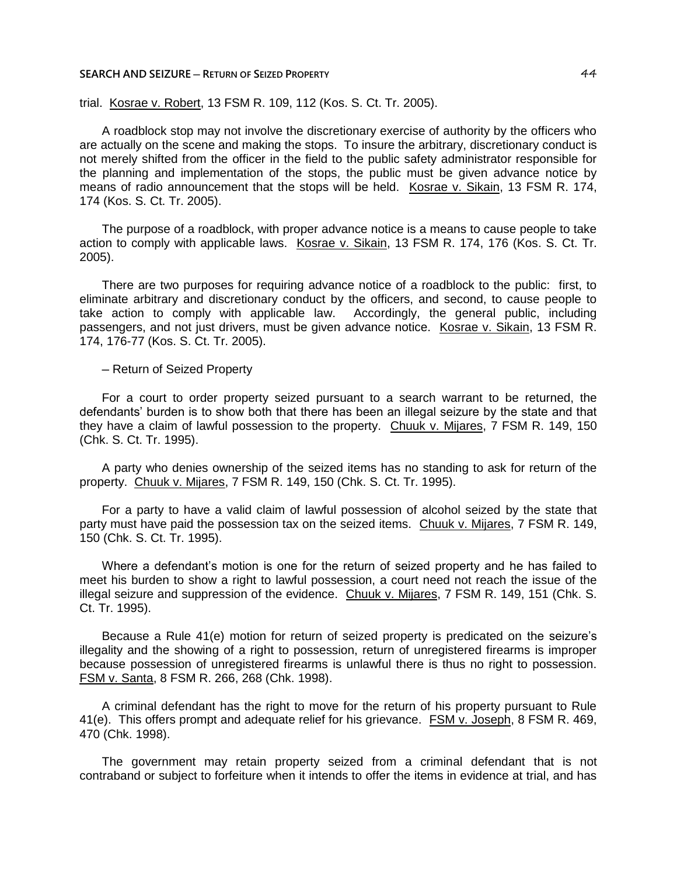#### **SEARCH AND SEIZURE ─ RETURN OF SEIZED PROPERTY** 44

trial. Kosrae v. Robert, 13 FSM R. 109, 112 (Kos. S. Ct. Tr. 2005).

A roadblock stop may not involve the discretionary exercise of authority by the officers who are actually on the scene and making the stops. To insure the arbitrary, discretionary conduct is not merely shifted from the officer in the field to the public safety administrator responsible for the planning and implementation of the stops, the public must be given advance notice by means of radio announcement that the stops will be held. Kosrae v. Sikain, 13 FSM R. 174, 174 (Kos. S. Ct. Tr. 2005).

The purpose of a roadblock, with proper advance notice is a means to cause people to take action to comply with applicable laws. Kosrae v. Sikain, 13 FSM R. 174, 176 (Kos. S. Ct. Tr. 2005).

There are two purposes for requiring advance notice of a roadblock to the public: first, to eliminate arbitrary and discretionary conduct by the officers, and second, to cause people to take action to comply with applicable law. Accordingly, the general public, including passengers, and not just drivers, must be given advance notice. Kosrae v. Sikain, 13 FSM R. 174, 176-77 (Kos. S. Ct. Tr. 2005).

─ Return of Seized Property

For a court to order property seized pursuant to a search warrant to be returned, the defendants' burden is to show both that there has been an illegal seizure by the state and that they have a claim of lawful possession to the property. Chuuk v. Mijares, 7 FSM R. 149, 150 (Chk. S. Ct. Tr. 1995).

A party who denies ownership of the seized items has no standing to ask for return of the property. Chuuk v. Mijares, 7 FSM R. 149, 150 (Chk. S. Ct. Tr. 1995).

For a party to have a valid claim of lawful possession of alcohol seized by the state that party must have paid the possession tax on the seized items. Chuuk v. Mijares, 7 FSM R. 149, 150 (Chk. S. Ct. Tr. 1995).

Where a defendant's motion is one for the return of seized property and he has failed to meet his burden to show a right to lawful possession, a court need not reach the issue of the illegal seizure and suppression of the evidence. Chuuk v. Mijares, 7 FSM R. 149, 151 (Chk. S. Ct. Tr. 1995).

Because a Rule 41(e) motion for return of seized property is predicated on the seizure's illegality and the showing of a right to possession, return of unregistered firearms is improper because possession of unregistered firearms is unlawful there is thus no right to possession. FSM v. Santa, 8 FSM R. 266, 268 (Chk. 1998).

A criminal defendant has the right to move for the return of his property pursuant to Rule 41(e). This offers prompt and adequate relief for his grievance. FSM v. Joseph, 8 FSM R. 469, 470 (Chk. 1998).

The government may retain property seized from a criminal defendant that is not contraband or subject to forfeiture when it intends to offer the items in evidence at trial, and has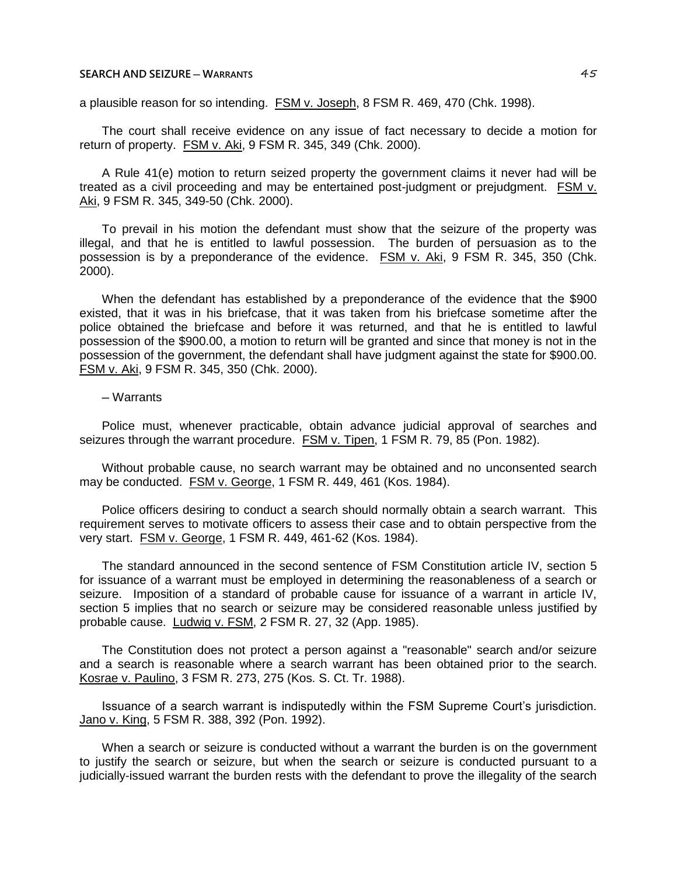a plausible reason for so intending. FSM v. Joseph, 8 FSM R. 469, 470 (Chk. 1998).

The court shall receive evidence on any issue of fact necessary to decide a motion for return of property. FSM v. Aki, 9 FSM R. 345, 349 (Chk. 2000).

A Rule 41(e) motion to return seized property the government claims it never had will be treated as a civil proceeding and may be entertained post-judgment or prejudgment. FSM v. Aki, 9 FSM R. 345, 349-50 (Chk. 2000).

To prevail in his motion the defendant must show that the seizure of the property was illegal, and that he is entitled to lawful possession. The burden of persuasion as to the possession is by a preponderance of the evidence. FSM v. Aki, 9 FSM R. 345, 350 (Chk. 2000).

When the defendant has established by a preponderance of the evidence that the \$900 existed, that it was in his briefcase, that it was taken from his briefcase sometime after the police obtained the briefcase and before it was returned, and that he is entitled to lawful possession of the \$900.00, a motion to return will be granted and since that money is not in the possession of the government, the defendant shall have judgment against the state for \$900.00. FSM v. Aki, 9 FSM R. 345, 350 (Chk. 2000).

## ─ Warrants

Police must, whenever practicable, obtain advance judicial approval of searches and seizures through the warrant procedure. FSM v. Tipen, 1 FSM R. 79, 85 (Pon. 1982).

Without probable cause, no search warrant may be obtained and no unconsented search may be conducted. FSM v. George, 1 FSM R. 449, 461 (Kos. 1984).

Police officers desiring to conduct a search should normally obtain a search warrant. This requirement serves to motivate officers to assess their case and to obtain perspective from the very start. FSM v. George, 1 FSM R. 449, 461-62 (Kos. 1984).

The standard announced in the second sentence of FSM Constitution article IV, section 5 for issuance of a warrant must be employed in determining the reasonableness of a search or seizure. Imposition of a standard of probable cause for issuance of a warrant in article IV, section 5 implies that no search or seizure may be considered reasonable unless justified by probable cause. Ludwig v. FSM, 2 FSM R. 27, 32 (App. 1985).

The Constitution does not protect a person against a "reasonable" search and/or seizure and a search is reasonable where a search warrant has been obtained prior to the search. Kosrae v. Paulino, 3 FSM R. 273, 275 (Kos. S. Ct. Tr. 1988).

Issuance of a search warrant is indisputedly within the FSM Supreme Court's jurisdiction. Jano v. King, 5 FSM R. 388, 392 (Pon. 1992).

When a search or seizure is conducted without a warrant the burden is on the government to justify the search or seizure, but when the search or seizure is conducted pursuant to a judicially-issued warrant the burden rests with the defendant to prove the illegality of the search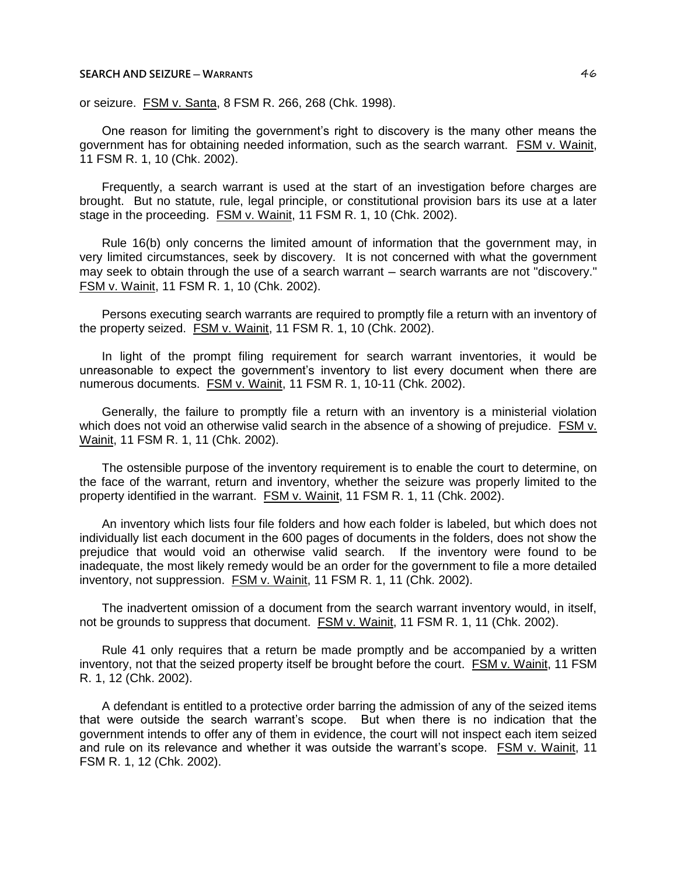or seizure. FSM v. Santa, 8 FSM R. 266, 268 (Chk. 1998).

One reason for limiting the government's right to discovery is the many other means the government has for obtaining needed information, such as the search warrant. FSM v. Wainit, 11 FSM R. 1, 10 (Chk. 2002).

Frequently, a search warrant is used at the start of an investigation before charges are brought. But no statute, rule, legal principle, or constitutional provision bars its use at a later stage in the proceeding. FSM v. Wainit, 11 FSM R. 1, 10 (Chk. 2002).

Rule 16(b) only concerns the limited amount of information that the government may, in very limited circumstances, seek by discovery. It is not concerned with what the government may seek to obtain through the use of a search warrant – search warrants are not "discovery." FSM v. Wainit, 11 FSM R. 1, 10 (Chk. 2002).

Persons executing search warrants are required to promptly file a return with an inventory of the property seized. **FSM v. Wainit, 11 FSM R. 1, 10 (Chk. 2002).** 

In light of the prompt filing requirement for search warrant inventories, it would be unreasonable to expect the government's inventory to list every document when there are numerous documents. FSM v. Wainit, 11 FSM R. 1, 10-11 (Chk. 2002).

Generally, the failure to promptly file a return with an inventory is a ministerial violation which does not void an otherwise valid search in the absence of a showing of prejudice. FSM v. Wainit, 11 FSM R. 1, 11 (Chk. 2002).

The ostensible purpose of the inventory requirement is to enable the court to determine, on the face of the warrant, return and inventory, whether the seizure was properly limited to the property identified in the warrant. FSM v. Wainit, 11 FSM R. 1, 11 (Chk. 2002).

An inventory which lists four file folders and how each folder is labeled, but which does not individually list each document in the 600 pages of documents in the folders, does not show the prejudice that would void an otherwise valid search. If the inventory were found to be inadequate, the most likely remedy would be an order for the government to file a more detailed inventory, not suppression. FSM v. Wainit, 11 FSM R. 1, 11 (Chk. 2002).

The inadvertent omission of a document from the search warrant inventory would, in itself, not be grounds to suppress that document. FSM v. Wainit, 11 FSM R. 1, 11 (Chk. 2002).

Rule 41 only requires that a return be made promptly and be accompanied by a written inventory, not that the seized property itself be brought before the court. FSM v. Wainit, 11 FSM R. 1, 12 (Chk. 2002).

A defendant is entitled to a protective order barring the admission of any of the seized items that were outside the search warrant's scope. But when there is no indication that the government intends to offer any of them in evidence, the court will not inspect each item seized and rule on its relevance and whether it was outside the warrant's scope. FSM v. Wainit, 11 FSM R. 1, 12 (Chk. 2002).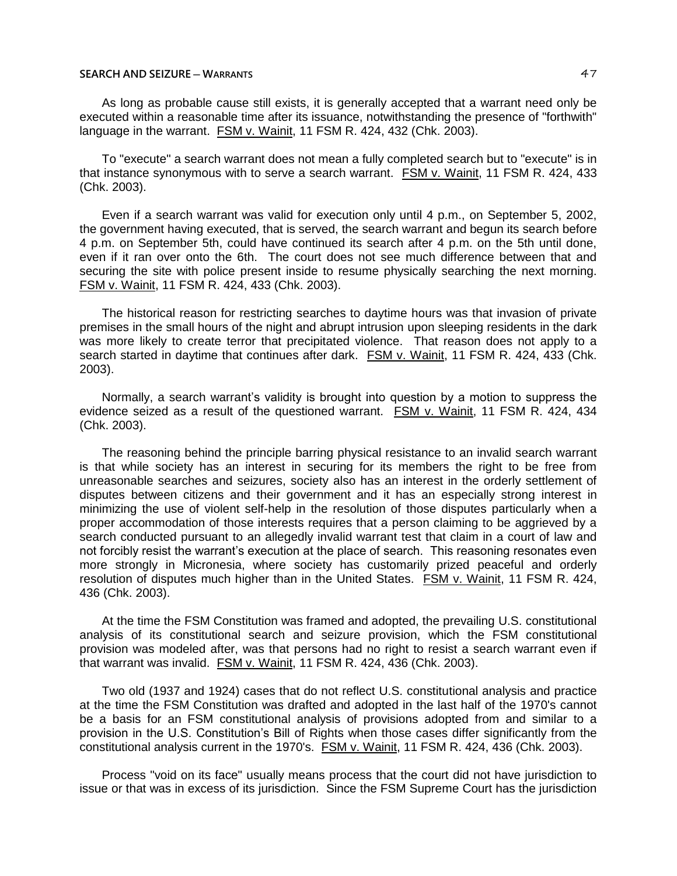As long as probable cause still exists, it is generally accepted that a warrant need only be executed within a reasonable time after its issuance, notwithstanding the presence of "forthwith" language in the warrant. FSM v. Wainit, 11 FSM R. 424, 432 (Chk. 2003).

To "execute" a search warrant does not mean a fully completed search but to "execute" is in that instance synonymous with to serve a search warrant. FSM v. Wainit, 11 FSM R. 424, 433 (Chk. 2003).

Even if a search warrant was valid for execution only until 4 p.m., on September 5, 2002, the government having executed, that is served, the search warrant and begun its search before 4 p.m. on September 5th, could have continued its search after 4 p.m. on the 5th until done, even if it ran over onto the 6th. The court does not see much difference between that and securing the site with police present inside to resume physically searching the next morning. FSM v. Wainit, 11 FSM R. 424, 433 (Chk. 2003).

The historical reason for restricting searches to daytime hours was that invasion of private premises in the small hours of the night and abrupt intrusion upon sleeping residents in the dark was more likely to create terror that precipitated violence. That reason does not apply to a search started in daytime that continues after dark. FSM v. Wainit, 11 FSM R. 424, 433 (Chk. 2003).

Normally, a search warrant's validity is brought into question by a motion to suppress the evidence seized as a result of the questioned warrant. FSM v. Wainit, 11 FSM R. 424, 434 (Chk. 2003).

The reasoning behind the principle barring physical resistance to an invalid search warrant is that while society has an interest in securing for its members the right to be free from unreasonable searches and seizures, society also has an interest in the orderly settlement of disputes between citizens and their government and it has an especially strong interest in minimizing the use of violent self-help in the resolution of those disputes particularly when a proper accommodation of those interests requires that a person claiming to be aggrieved by a search conducted pursuant to an allegedly invalid warrant test that claim in a court of law and not forcibly resist the warrant's execution at the place of search. This reasoning resonates even more strongly in Micronesia, where society has customarily prized peaceful and orderly resolution of disputes much higher than in the United States. FSM v. Wainit, 11 FSM R. 424, 436 (Chk. 2003).

At the time the FSM Constitution was framed and adopted, the prevailing U.S. constitutional analysis of its constitutional search and seizure provision, which the FSM constitutional provision was modeled after, was that persons had no right to resist a search warrant even if that warrant was invalid. FSM v. Wainit, 11 FSM R. 424, 436 (Chk. 2003).

Two old (1937 and 1924) cases that do not reflect U.S. constitutional analysis and practice at the time the FSM Constitution was drafted and adopted in the last half of the 1970's cannot be a basis for an FSM constitutional analysis of provisions adopted from and similar to a provision in the U.S. Constitution's Bill of Rights when those cases differ significantly from the constitutional analysis current in the 1970's. FSM v. Wainit, 11 FSM R. 424, 436 (Chk. 2003).

Process "void on its face" usually means process that the court did not have jurisdiction to issue or that was in excess of its jurisdiction. Since the FSM Supreme Court has the jurisdiction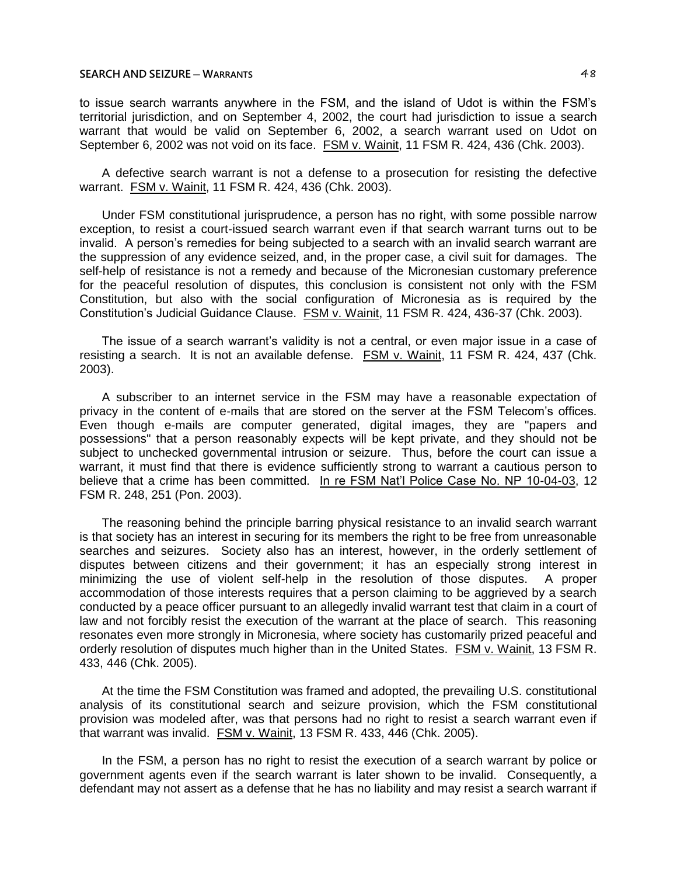to issue search warrants anywhere in the FSM, and the island of Udot is within the FSM's territorial jurisdiction, and on September 4, 2002, the court had jurisdiction to issue a search warrant that would be valid on September 6, 2002, a search warrant used on Udot on September 6, 2002 was not void on its face. FSM v. Wainit, 11 FSM R. 424, 436 (Chk. 2003).

A defective search warrant is not a defense to a prosecution for resisting the defective warrant. FSM v. Wainit, 11 FSM R. 424, 436 (Chk. 2003).

Under FSM constitutional jurisprudence, a person has no right, with some possible narrow exception, to resist a court-issued search warrant even if that search warrant turns out to be invalid. A person's remedies for being subjected to a search with an invalid search warrant are the suppression of any evidence seized, and, in the proper case, a civil suit for damages. The self-help of resistance is not a remedy and because of the Micronesian customary preference for the peaceful resolution of disputes, this conclusion is consistent not only with the FSM Constitution, but also with the social configuration of Micronesia as is required by the Constitution's Judicial Guidance Clause. FSM v. Wainit, 11 FSM R. 424, 436-37 (Chk. 2003).

The issue of a search warrant's validity is not a central, or even major issue in a case of resisting a search. It is not an available defense. FSM v. Wainit, 11 FSM R. 424, 437 (Chk. 2003).

A subscriber to an internet service in the FSM may have a reasonable expectation of privacy in the content of e-mails that are stored on the server at the FSM Telecom's offices. Even though e-mails are computer generated, digital images, they are "papers and possessions" that a person reasonably expects will be kept private, and they should not be subject to unchecked governmental intrusion or seizure. Thus, before the court can issue a warrant, it must find that there is evidence sufficiently strong to warrant a cautious person to believe that a crime has been committed. In re FSM Nat'l Police Case No. NP 10-04-03, 12 FSM R. 248, 251 (Pon. 2003).

The reasoning behind the principle barring physical resistance to an invalid search warrant is that society has an interest in securing for its members the right to be free from unreasonable searches and seizures. Society also has an interest, however, in the orderly settlement of disputes between citizens and their government; it has an especially strong interest in minimizing the use of violent self-help in the resolution of those disputes. A proper accommodation of those interests requires that a person claiming to be aggrieved by a search conducted by a peace officer pursuant to an allegedly invalid warrant test that claim in a court of law and not forcibly resist the execution of the warrant at the place of search. This reasoning resonates even more strongly in Micronesia, where society has customarily prized peaceful and orderly resolution of disputes much higher than in the United States. FSM v. Wainit, 13 FSM R. 433, 446 (Chk. 2005).

At the time the FSM Constitution was framed and adopted, the prevailing U.S. constitutional analysis of its constitutional search and seizure provision, which the FSM constitutional provision was modeled after, was that persons had no right to resist a search warrant even if that warrant was invalid. FSM v. Wainit, 13 FSM R. 433, 446 (Chk. 2005).

In the FSM, a person has no right to resist the execution of a search warrant by police or government agents even if the search warrant is later shown to be invalid. Consequently, a defendant may not assert as a defense that he has no liability and may resist a search warrant if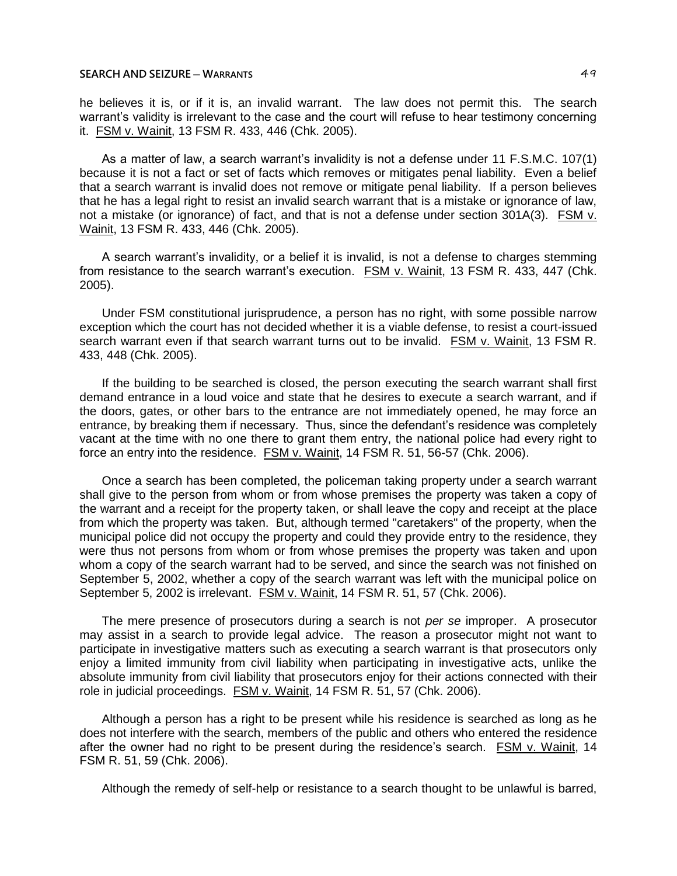he believes it is, or if it is, an invalid warrant. The law does not permit this. The search warrant's validity is irrelevant to the case and the court will refuse to hear testimony concerning it. FSM v. Wainit, 13 FSM R. 433, 446 (Chk. 2005).

As a matter of law, a search warrant's invalidity is not a defense under 11 F.S.M.C. 107(1) because it is not a fact or set of facts which removes or mitigates penal liability. Even a belief that a search warrant is invalid does not remove or mitigate penal liability. If a person believes that he has a legal right to resist an invalid search warrant that is a mistake or ignorance of law, not a mistake (or ignorance) of fact, and that is not a defense under section 301A(3). FSM v. Wainit, 13 FSM R. 433, 446 (Chk. 2005).

A search warrant's invalidity, or a belief it is invalid, is not a defense to charges stemming from resistance to the search warrant's execution. FSM v. Wainit, 13 FSM R. 433, 447 (Chk. 2005).

Under FSM constitutional jurisprudence, a person has no right, with some possible narrow exception which the court has not decided whether it is a viable defense, to resist a court-issued search warrant even if that search warrant turns out to be invalid. FSM v. Wainit, 13 FSM R. 433, 448 (Chk. 2005).

If the building to be searched is closed, the person executing the search warrant shall first demand entrance in a loud voice and state that he desires to execute a search warrant, and if the doors, gates, or other bars to the entrance are not immediately opened, he may force an entrance, by breaking them if necessary. Thus, since the defendant's residence was completely vacant at the time with no one there to grant them entry, the national police had every right to force an entry into the residence. FSM v. Wainit, 14 FSM R. 51, 56-57 (Chk. 2006).

Once a search has been completed, the policeman taking property under a search warrant shall give to the person from whom or from whose premises the property was taken a copy of the warrant and a receipt for the property taken, or shall leave the copy and receipt at the place from which the property was taken. But, although termed "caretakers" of the property, when the municipal police did not occupy the property and could they provide entry to the residence, they were thus not persons from whom or from whose premises the property was taken and upon whom a copy of the search warrant had to be served, and since the search was not finished on September 5, 2002, whether a copy of the search warrant was left with the municipal police on September 5, 2002 is irrelevant. FSM v. Wainit, 14 FSM R. 51, 57 (Chk. 2006).

The mere presence of prosecutors during a search is not *per se* improper. A prosecutor may assist in a search to provide legal advice. The reason a prosecutor might not want to participate in investigative matters such as executing a search warrant is that prosecutors only enjoy a limited immunity from civil liability when participating in investigative acts, unlike the absolute immunity from civil liability that prosecutors enjoy for their actions connected with their role in judicial proceedings. FSM v. Wainit, 14 FSM R. 51, 57 (Chk. 2006).

Although a person has a right to be present while his residence is searched as long as he does not interfere with the search, members of the public and others who entered the residence after the owner had no right to be present during the residence's search. FSM v. Wainit, 14 FSM R. 51, 59 (Chk. 2006).

Although the remedy of self-help or resistance to a search thought to be unlawful is barred,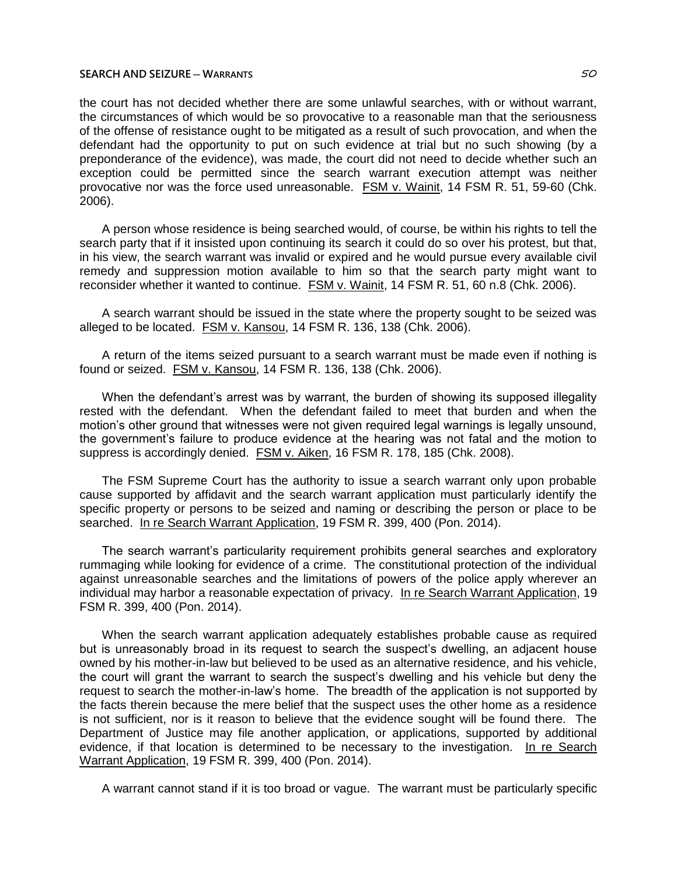the court has not decided whether there are some unlawful searches, with or without warrant, the circumstances of which would be so provocative to a reasonable man that the seriousness of the offense of resistance ought to be mitigated as a result of such provocation, and when the defendant had the opportunity to put on such evidence at trial but no such showing (by a preponderance of the evidence), was made, the court did not need to decide whether such an exception could be permitted since the search warrant execution attempt was neither provocative nor was the force used unreasonable. FSM v. Wainit, 14 FSM R. 51, 59-60 (Chk. 2006).

A person whose residence is being searched would, of course, be within his rights to tell the search party that if it insisted upon continuing its search it could do so over his protest, but that, in his view, the search warrant was invalid or expired and he would pursue every available civil remedy and suppression motion available to him so that the search party might want to reconsider whether it wanted to continue. FSM v. Wainit, 14 FSM R. 51, 60 n.8 (Chk. 2006).

A search warrant should be issued in the state where the property sought to be seized was alleged to be located. FSM v. Kansou, 14 FSM R. 136, 138 (Chk. 2006).

A return of the items seized pursuant to a search warrant must be made even if nothing is found or seized. FSM v. Kansou, 14 FSM R. 136, 138 (Chk. 2006).

When the defendant's arrest was by warrant, the burden of showing its supposed illegality rested with the defendant. When the defendant failed to meet that burden and when the motion's other ground that witnesses were not given required legal warnings is legally unsound, the government's failure to produce evidence at the hearing was not fatal and the motion to suppress is accordingly denied. FSM v. Aiken, 16 FSM R. 178, 185 (Chk. 2008).

The FSM Supreme Court has the authority to issue a search warrant only upon probable cause supported by affidavit and the search warrant application must particularly identify the specific property or persons to be seized and naming or describing the person or place to be searched. In re Search Warrant Application, 19 FSM R. 399, 400 (Pon. 2014).

The search warrant's particularity requirement prohibits general searches and exploratory rummaging while looking for evidence of a crime. The constitutional protection of the individual against unreasonable searches and the limitations of powers of the police apply wherever an individual may harbor a reasonable expectation of privacy. In re Search Warrant Application, 19 FSM R. 399, 400 (Pon. 2014).

When the search warrant application adequately establishes probable cause as required but is unreasonably broad in its request to search the suspect's dwelling, an adjacent house owned by his mother-in-law but believed to be used as an alternative residence, and his vehicle, the court will grant the warrant to search the suspect's dwelling and his vehicle but deny the request to search the mother-in-law's home. The breadth of the application is not supported by the facts therein because the mere belief that the suspect uses the other home as a residence is not sufficient, nor is it reason to believe that the evidence sought will be found there. The Department of Justice may file another application, or applications, supported by additional evidence, if that location is determined to be necessary to the investigation. In re Search Warrant Application, 19 FSM R. 399, 400 (Pon. 2014).

A warrant cannot stand if it is too broad or vague. The warrant must be particularly specific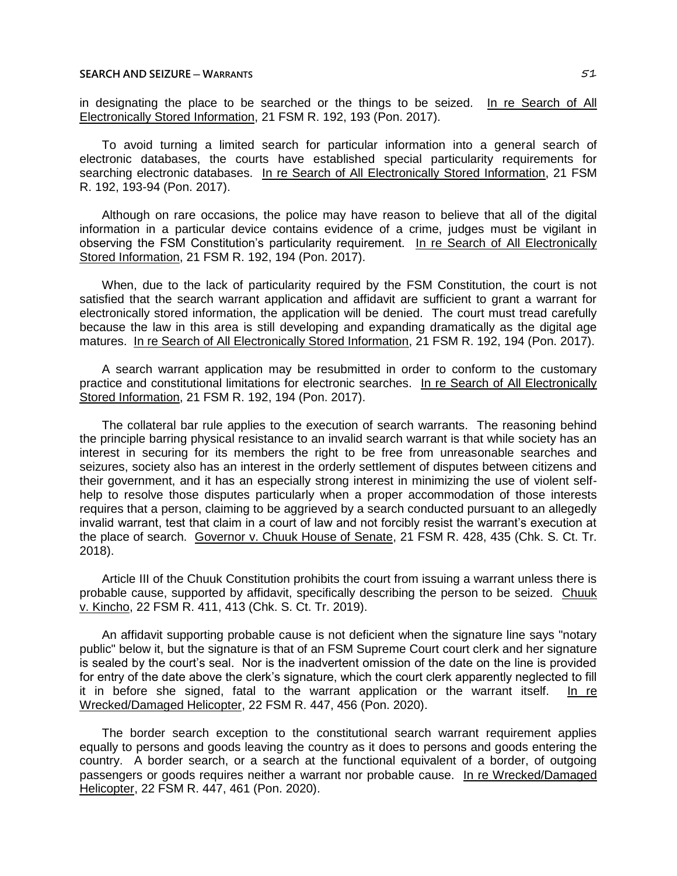in designating the place to be searched or the things to be seized. In re Search of All Electronically Stored Information, 21 FSM R. 192, 193 (Pon. 2017).

To avoid turning a limited search for particular information into a general search of electronic databases, the courts have established special particularity requirements for searching electronic databases. In re Search of All Electronically Stored Information, 21 FSM R. 192, 193-94 (Pon. 2017).

Although on rare occasions, the police may have reason to believe that all of the digital information in a particular device contains evidence of a crime, judges must be vigilant in observing the FSM Constitution's particularity requirement. In re Search of All Electronically Stored Information, 21 FSM R. 192, 194 (Pon. 2017).

When, due to the lack of particularity required by the FSM Constitution, the court is not satisfied that the search warrant application and affidavit are sufficient to grant a warrant for electronically stored information, the application will be denied. The court must tread carefully because the law in this area is still developing and expanding dramatically as the digital age matures. In re Search of All Electronically Stored Information, 21 FSM R. 192, 194 (Pon. 2017).

A search warrant application may be resubmitted in order to conform to the customary practice and constitutional limitations for electronic searches. In re Search of All Electronically Stored Information, 21 FSM R. 192, 194 (Pon. 2017).

The collateral bar rule applies to the execution of search warrants. The reasoning behind the principle barring physical resistance to an invalid search warrant is that while society has an interest in securing for its members the right to be free from unreasonable searches and seizures, society also has an interest in the orderly settlement of disputes between citizens and their government, and it has an especially strong interest in minimizing the use of violent selfhelp to resolve those disputes particularly when a proper accommodation of those interests requires that a person, claiming to be aggrieved by a search conducted pursuant to an allegedly invalid warrant, test that claim in a court of law and not forcibly resist the warrant's execution at the place of search. Governor v. Chuuk House of Senate, 21 FSM R. 428, 435 (Chk. S. Ct. Tr. 2018).

Article III of the Chuuk Constitution prohibits the court from issuing a warrant unless there is probable cause, supported by affidavit, specifically describing the person to be seized. Chuuk v. Kincho, 22 FSM R. 411, 413 (Chk. S. Ct. Tr. 2019).

An affidavit supporting probable cause is not deficient when the signature line says "notary public" below it, but the signature is that of an FSM Supreme Court court clerk and her signature is sealed by the court's seal. Nor is the inadvertent omission of the date on the line is provided for entry of the date above the clerk's signature, which the court clerk apparently neglected to fill it in before she signed, fatal to the warrant application or the warrant itself. In re Wrecked/Damaged Helicopter, 22 FSM R. 447, 456 (Pon. 2020).

The border search exception to the constitutional search warrant requirement applies equally to persons and goods leaving the country as it does to persons and goods entering the country. A border search, or a search at the functional equivalent of a border, of outgoing passengers or goods requires neither a warrant nor probable cause. In re Wrecked/Damaged Helicopter, 22 FSM R. 447, 461 (Pon. 2020).